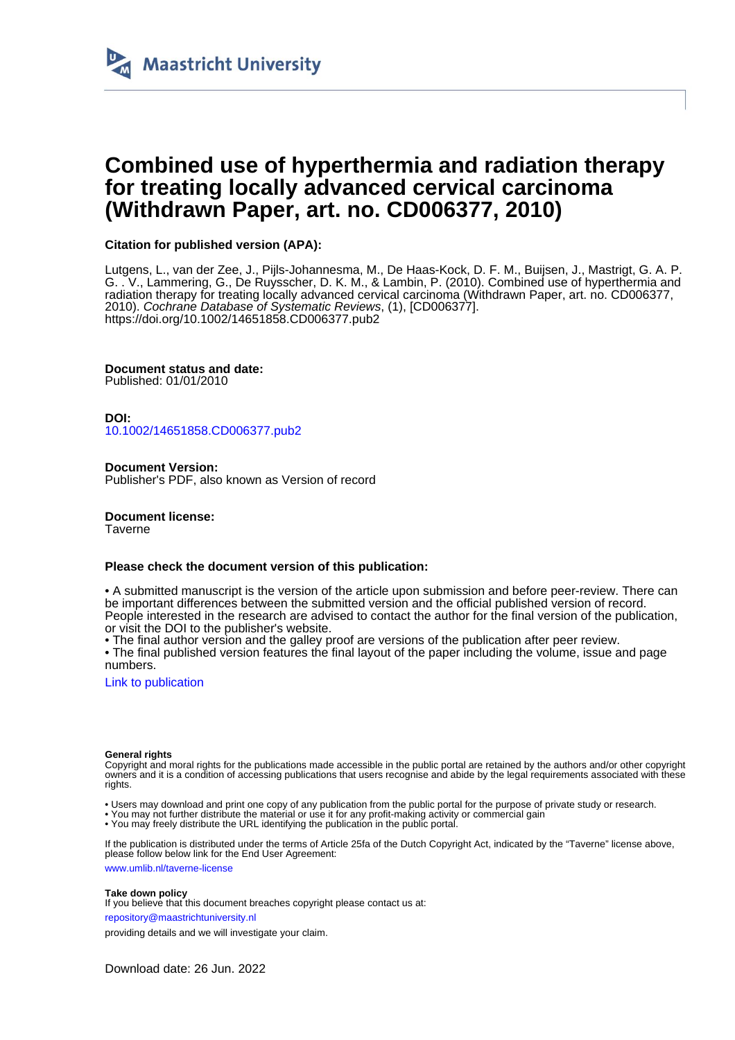

# **Combined use of hyperthermia and radiation therapy for treating locally advanced cervical carcinoma (Withdrawn Paper, art. no. CD006377, 2010)**

# **Citation for published version (APA):**

Lutgens, L., van der Zee, J., Pijls-Johannesma, M., De Haas-Kock, D. F. M., Buijsen, J., Mastrigt, G. A. P. G. . V., Lammering, G., De Ruysscher, D. K. M., & Lambin, P. (2010). Combined use of hyperthermia and radiation therapy for treating locally advanced cervical carcinoma (Withdrawn Paper, art. no. CD006377, 2010). Cochrane Database of Systematic Reviews, (1), [CD006377]. <https://doi.org/10.1002/14651858.CD006377.pub2>

**Document status and date:**

Published: 01/01/2010

**DOI:** [10.1002/14651858.CD006377.pub2](https://doi.org/10.1002/14651858.CD006377.pub2)

**Document Version:** Publisher's PDF, also known as Version of record

**Document license:** Taverne

## **Please check the document version of this publication:**

• A submitted manuscript is the version of the article upon submission and before peer-review. There can be important differences between the submitted version and the official published version of record. People interested in the research are advised to contact the author for the final version of the publication, or visit the DOI to the publisher's website.

• The final author version and the galley proof are versions of the publication after peer review.

• The final published version features the final layout of the paper including the volume, issue and page numbers.

[Link to publication](https://cris.maastrichtuniversity.nl/en/publications/00b30144-e481-49ca-8f0a-b22378b16a1d)

#### **General rights**

Copyright and moral rights for the publications made accessible in the public portal are retained by the authors and/or other copyright owners and it is a condition of accessing publications that users recognise and abide by the legal requirements associated with these rights.

• Users may download and print one copy of any publication from the public portal for the purpose of private study or research.

• You may not further distribute the material or use it for any profit-making activity or commercial gain

• You may freely distribute the URL identifying the publication in the public portal

If the publication is distributed under the terms of Article 25fa of the Dutch Copyright Act, indicated by the "Taverne" license above, please follow below link for the End User Agreement:

www.umlib.nl/taverne-license

#### **Take down policy**

If you believe that this document breaches copyright please contact us at:

repository@maastrichtuniversity.nl

providing details and we will investigate your claim.

Download date: 26 Jun. 2022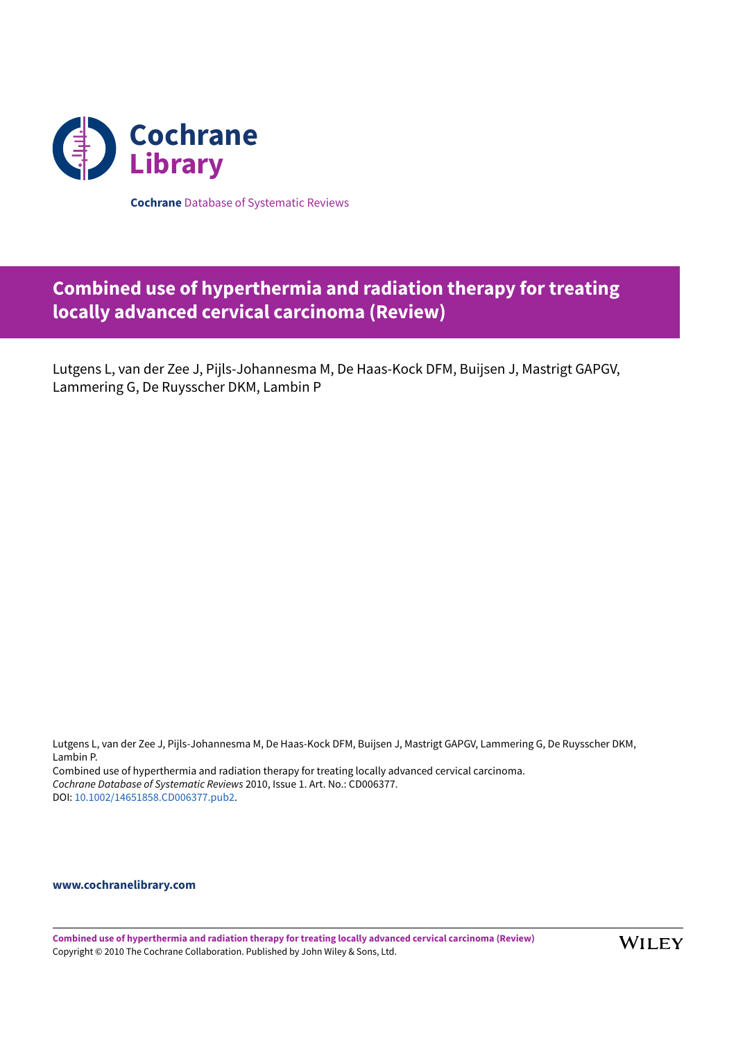

**Cochrane** Database of Systematic Reviews

# **Combined use of hyperthermia and radiation therapy for treating locally advanced cervical carcinoma (Review)**

Lutgens L, van der Zee J, Pijls-Johannesma M, De Haas-Kock DFM, Buijsen J, Mastrigt GAPGV, Lammering G, De Ruysscher DKM, Lambin P

Lutgens L, van der Zee J, Pijls-Johannesma M, De Haas-Kock DFM, Buijsen J, Mastrigt GAPGV, Lammering G, De Ruysscher DKM, Lambin P. Combined use of hyperthermia and radiation therapy for treating locally advanced cervical carcinoma. *Cochrane Database of Systematic Reviews* 2010, Issue 1. Art. No.: CD006377. DOI: [10.1002/14651858.CD006377.pub2.](https://doi.org/10.1002%2F14651858.CD006377.pub2)

### **[www.cochranelibrary.com](https://www.cochranelibrary.com)**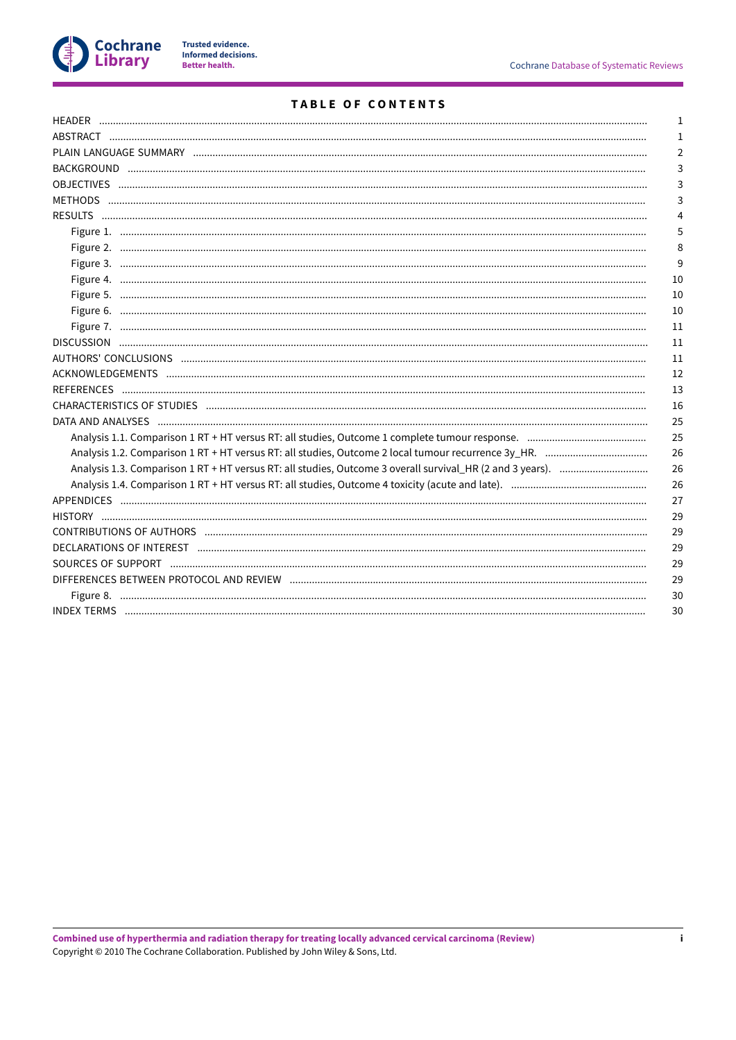

# **TABLE OF CONTENTS**

|                                                                                                                                                                                                                                | 1              |
|--------------------------------------------------------------------------------------------------------------------------------------------------------------------------------------------------------------------------------|----------------|
|                                                                                                                                                                                                                                | 1              |
|                                                                                                                                                                                                                                | $\overline{2}$ |
|                                                                                                                                                                                                                                | 3              |
|                                                                                                                                                                                                                                | 3              |
|                                                                                                                                                                                                                                | 3              |
|                                                                                                                                                                                                                                | 4              |
|                                                                                                                                                                                                                                | 5              |
|                                                                                                                                                                                                                                | 8              |
|                                                                                                                                                                                                                                | 9              |
|                                                                                                                                                                                                                                | 10             |
|                                                                                                                                                                                                                                | 10             |
|                                                                                                                                                                                                                                | 10             |
|                                                                                                                                                                                                                                | 11             |
|                                                                                                                                                                                                                                | 11             |
|                                                                                                                                                                                                                                | 11             |
|                                                                                                                                                                                                                                | 12             |
|                                                                                                                                                                                                                                | 13             |
| CHARACTERISTICS OF STUDIES (and antiquity and antiquity and antiquity and all the studies of the studies of the studies (and the control of the studies of the studies of the studies of the studies of the studies of the stu | 16             |
|                                                                                                                                                                                                                                | 25             |
|                                                                                                                                                                                                                                | 25             |
|                                                                                                                                                                                                                                | 26             |
|                                                                                                                                                                                                                                | 26             |
|                                                                                                                                                                                                                                | 26             |
|                                                                                                                                                                                                                                | 27             |
|                                                                                                                                                                                                                                | 29             |
|                                                                                                                                                                                                                                | 29             |
|                                                                                                                                                                                                                                | 29             |
| SOURCES OF SUPPORT Entertainment and the contract of the contract of the contract of the contract of the contract of the contract of the contract of the contract of the contract of the contract of the contract of the contr | 29             |
|                                                                                                                                                                                                                                | 29             |
|                                                                                                                                                                                                                                | 30             |
|                                                                                                                                                                                                                                | 30             |
|                                                                                                                                                                                                                                |                |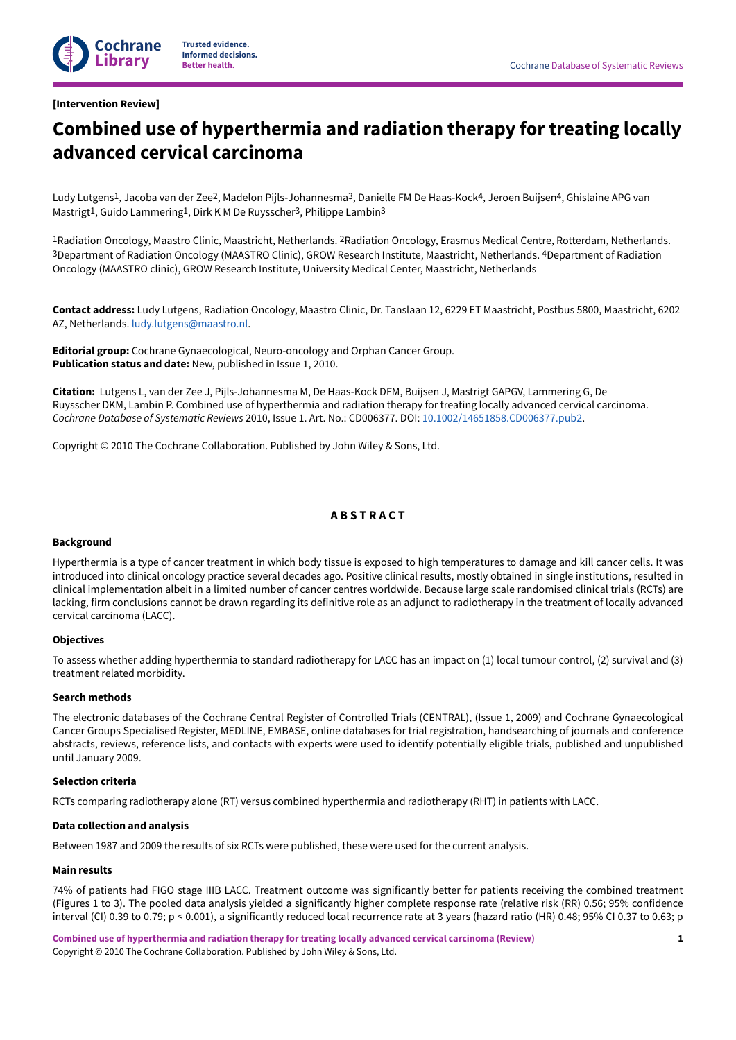### <span id="page-3-0"></span>**[Intervention Review]**

# **Combined use of hyperthermia and radiation therapy for treating locally advanced cervical carcinoma**

Ludy Lutgens 1, Jacoba van der Zee2, Madelon Pijls-Johannesma3, Danielle FM De Haas-Kock4, Jeroen Buijsen4, Ghislaine APG van Mastrigt<sup>1</sup>, Guido Lammering<sup>1</sup>, Dirk K M De Ruysscher<sup>3</sup>, Philippe Lambin<sup>3</sup>

<sup>1</sup>Radiation Oncology, Maastro Clinic, Maastricht, Netherlands. <sup>2</sup>Radiation Oncology, Erasmus Medical Centre, Rotterdam, Netherlands. 3Department of Radiation Oncology (MAASTRO Clinic), GROW Research Institute, Maastricht, Netherlands. 4Department of Radiation Oncology (MAASTRO clinic), GROW Research Institute, University Medical Center, Maastricht, Netherlands

**Contact address:** Ludy Lutgens, Radiation Oncology, Maastro Clinic, Dr. Tanslaan 12, 6229 ET Maastricht, Postbus 5800, Maastricht, 6202 AZ, Netherlands. [ludy.lutgens@maastro.nl.](mailto:ludy.lutgens@maastro.nl)

**Editorial group:** Cochrane Gynaecological, Neuro-oncology and Orphan Cancer Group. **Publication status and date:** New, published in Issue 1, 2010.

**Citation:** Lutgens L, van der Zee J, Pijls-Johannesma M, De Haas-Kock DFM, Buijsen J, Mastrigt GAPGV, Lammering G, De Ruysscher DKM, Lambin P. Combined use of hyperthermia and radiation therapy for treating locally advanced cervical carcinoma. *Cochrane Database of Systematic Reviews* 2010, Issue 1. Art. No.: CD006377. DOI: [10.1002/14651858.CD006377.pub2](https://doi.org/10.1002%2F14651858.CD006377.pub2).

Copyright © 2010 The Cochrane Collaboration. Published by John Wiley & Sons, Ltd.

# **A B S T R A C T**

#### <span id="page-3-1"></span>**Background**

Hyperthermia is a type of cancer treatment in which body tissue is exposed to high temperatures to damage and kill cancer cells. It was introduced into clinical oncology practice several decades ago. Positive clinical results, mostly obtained in single institutions, resulted in clinical implementation albeit in a limited number of cancer centres worldwide. Because large scale randomised clinical trials (RCTs) are lacking, firm conclusions cannot be drawn regarding its definitive role as an adjunct to radiotherapy in the treatment of locally advanced cervical carcinoma (LACC).

#### **Objectives**

To assess whether adding hyperthermia to standard radiotherapy for LACC has an impact on (1) local tumour control, (2) survival and (3) treatment related morbidity.

### **Search methods**

The electronic databases of the Cochrane Central Register of Controlled Trials (CENTRAL), (Issue 1, 2009) and Cochrane Gynaecological Cancer Groups Specialised Register, MEDLINE, EMBASE, online databases for trial registration, handsearching of journals and conference abstracts, reviews, reference lists, and contacts with experts were used to identify potentially eligible trials, published and unpublished until January 2009.

#### **Selection criteria**

RCTs comparing radiotherapy alone (RT) versus combined hyperthermia and radiotherapy (RHT) in patients with LACC.

#### **Data collection and analysis**

Between 1987 and 2009 the results of six RCTs were published, these were used for the current analysis.

### **Main results**

74% of patients had FIGO stage IIIB LACC. Treatment outcome was significantly better for patients receiving the combined treatment (Figures 1 to 3). The pooled data analysis yielded a significantly higher complete response rate (relative risk (RR) 0.56; 95% confidence interval (CI) 0.39 to 0.79; p < 0.001), a significantly reduced local recurrence rate at 3 years (hazard ratio (HR) 0.48; 95% CI 0.37 to 0.63; p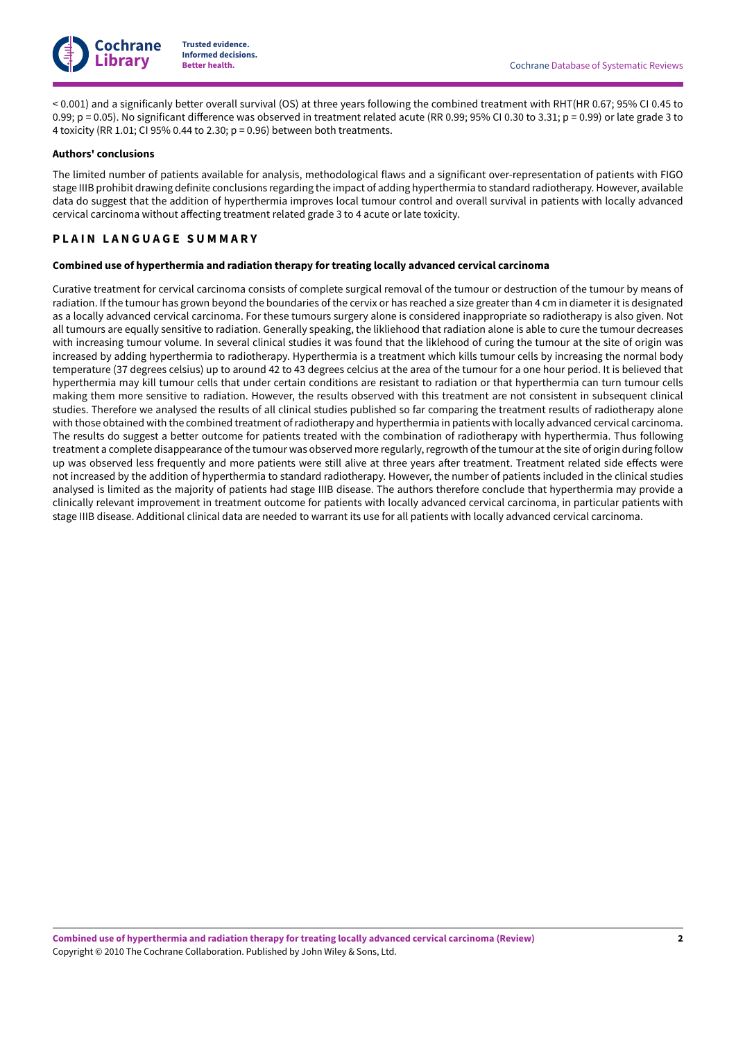

< 0.001) and a significanly better overall survival (OS) at three years following the combined treatment with RHT(HR 0.67; 95% CI 0.45 to 0.99;  $p = 0.05$ ). No significant difference was observed in treatment related acute (RR 0.99; 95% CI 0.30 to 3.31;  $p = 0.99$ ) or late grade 3 to 4 toxicity (RR 1.01; CI 95% 0.44 to 2.30; p = 0.96) between both treatments.

#### **Authors' conclusions**

The limited number of patients available for analysis, methodological flaws and a significant over-representation of patients with FIGO stage IIIB prohibit drawing definite conclusions regarding the impact of adding hyperthermia to standard radiotherapy. However, available data do suggest that the addition of hyperthermia improves local tumour control and overall survival in patients with locally advanced cervical carcinoma without affecting treatment related grade 3 to 4 acute or late toxicity.

# <span id="page-4-0"></span>**P L A I N L A N G U A G E S U M M A R Y**

### **Combined use of hyperthermia and radiation therapy for treating locally advanced cervical carcinoma**

Curative treatment for cervical carcinoma consists of complete surgical removal of the tumour or destruction of the tumour by means of radiation. If the tumour has grown beyond the boundaries of the cervix or has reached a size greater than 4 cm in diameter it is designated as a locally advanced cervical carcinoma. For these tumours surgery alone is considered inappropriate so radiotherapy is also given. Not all tumours are equally sensitive to radiation. Generally speaking, the likliehood that radiation alone is able to cure the tumour decreases with increasing tumour volume. In several clinical studies it was found that the liklehood of curing the tumour at the site of origin was increased by adding hyperthermia to radiotherapy. Hyperthermia is a treatment which kills tumour cells by increasing the normal body temperature (37 degrees celsius) up to around 42 to 43 degrees celcius at the area of the tumour for a one hour period. It is believed that hyperthermia may kill tumour cells that under certain conditions are resistant to radiation or that hyperthermia can turn tumour cells making them more sensitive to radiation. However, the results observed with this treatment are not consistent in subsequent clinical studies. Therefore we analysed the results of all clinical studies published so far comparing the treatment results of radiotherapy alone with those obtained with the combined treatment ofradiotherapy and hyperthermia in patients with locally advanced cervical carcinoma. The results do suggest a better outcome for patients treated with the combination of radiotherapy with hyperthermia. Thus following treatment a complete disappearance of the tumour was observed more regularly, regrowth of the tumour at the site of origin during follow up was observed less frequently and more patients were still alive at three years after treatment. Treatment related side effects were not increased by the addition of hyperthermia to standard radiotherapy. However, the number of patients included in the clinical studies analysed is limited as the majority of patients had stage IIIB disease. The authors therefore conclude that hyperthermia may provide a clinically relevant improvement in treatment outcome for patients with locally advanced cervical carcinoma, in particular patients with stage IIIB disease. Additional clinical data are needed to warrant its use for all patients with locally advanced cervical carcinoma.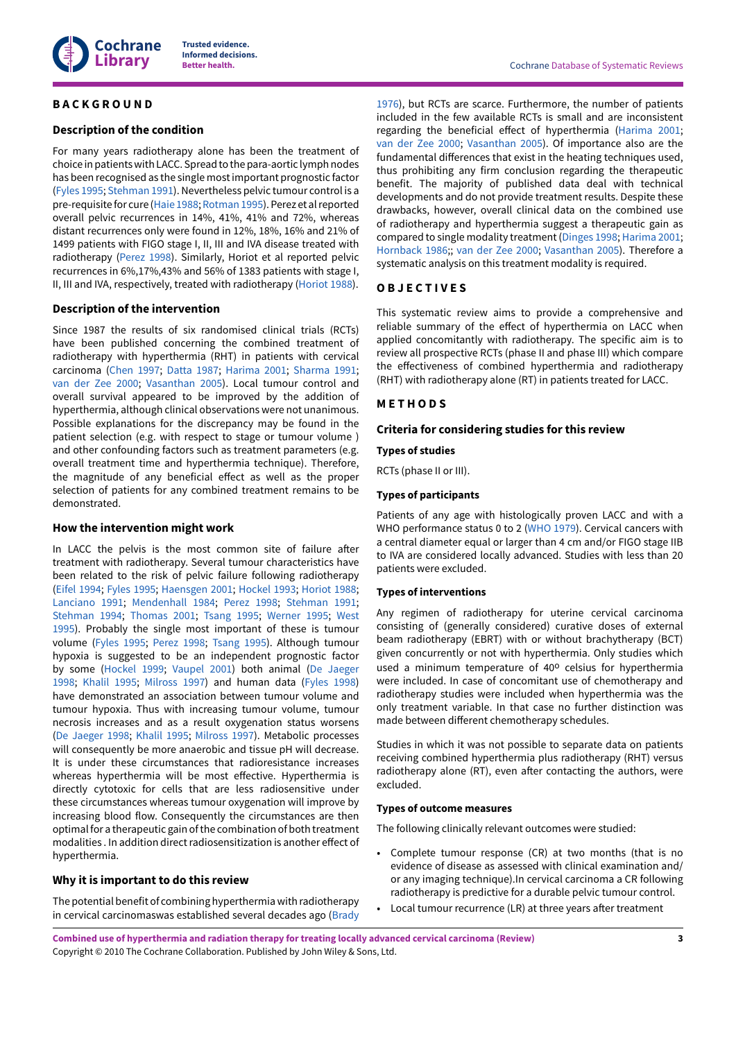

## <span id="page-5-0"></span>**B A C K G R O U N D**

### **Description of the condition**

For many years radiotherapy alone has been the treatment of choice in patients with LACC. Spread to the para-aortic lymph nodes has been recognised as the single mostimportant prognostic factor [\(Fyles](#page-16-0) 1995; [Stehman](#page-17-0) 1991). Nevertheless pelvic tumour control is a pre-requisite for cure [\(Haie 1988;](#page-16-1) [Rotman](#page-17-1) 1995).Perez et alreported overall pelvic recurrences in 14%, 41%, 41% and 72%, whereas distant recurrences only were found in 12%, 18%, 16% and 21% of 1499 patients with FIGO stage I, II, III and IVA disease treated with radiotherapy ([Perez](#page-17-2) 1998). Similarly, Horiot et al reported pelvic recurrences in 6%,17%,43% and 56% of 1383 patients with stage I, II, III and IVA, respectively, treated with radiotherapy ([Horiot](#page-16-2) 1988).

### **Description of the intervention**

Since 1987 the results of six randomised clinical trials (RCTs) have been published concerning the combined treatment of radiotherapy with hyperthermia (RHT) in patients with cervical carcinoma [\(Chen 1997](#page-15-1); [Datta](#page-15-2) 1987; [Harima 2001;](#page-15-3) [Sharma 1991](#page-15-4); van der Zee [2000](#page-15-5); [Vasanthan](#page-15-6) 2005). Local tumour control and overall survival appeared to be improved by the addition of hyperthermia, although clinical observations were not unanimous. Possible explanations for the discrepancy may be found in the patient selection (e.g. with respect to stage or tumour volume ) and other confounding factors such as treatment parameters (e.g. overall treatment time and hyperthermia technique). Therefore, the magnitude of any beneficial effect as well as the proper selection of patients for any combined treatment remains to be demonstrated.

### **How the intervention might work**

In LACC the pelvis is the most common site of failure after treatment with radiotherapy. Several tumour characteristics have been related to the risk of pelvic failure following radiotherapy (Eifel [1994;](#page-16-3) [Fyles](#page-16-0) 1995; [Haensgen](#page-16-4) 2001; [Hockel](#page-16-5) 1993; [Horiot](#page-16-2) 1988; [Lanciano 1991;](#page-17-3) [Mendenhall 1984](#page-17-4); [Perez](#page-17-2) 1998; [Stehman](#page-17-0) 1991; [Stehman](#page-17-5) 1994; [Thomas 2001](#page-17-6); [Tsang](#page-17-7) 1995; [Werner 1995;](#page-17-8) [West](#page-18-1) [1995](#page-18-1)). Probably the single most important of these is tumour volume [\(Fyles](#page-16-0) 1995; [Perez](#page-17-2) 1998; [Tsang](#page-17-7) 1995). Although tumour hypoxia is suggested to be an independent prognostic factor by some [\(Hockel](#page-16-6) 1999; [Vaupel](#page-17-9) 2001) both animal (De [Jaeger](#page-16-7) [1998](#page-16-7); [Khalil 1995;](#page-16-8) [Milross](#page-17-10) 1997) and human data ([Fyles](#page-16-9) 1998) have demonstrated an association between tumour volume and tumour hypoxia. Thus with increasing tumour volume, tumour necrosis increases and as a result oxygenation status worsens (De [Jaeger](#page-16-7) 1998; [Khalil 1995;](#page-16-8) [Milross](#page-17-10) 1997). Metabolic processes will consequently be more anaerobic and tissue pH will decrease. It is under these circumstances that radioresistance increases whereas hyperthermia will be most effective. Hyperthermia is directly cytotoxic for cells that are less radiosensitive under these circumstances whereas tumour oxygenation will improve by increasing blood flow. Consequently the circumstances are then optimal for a therapeutic gain ofthe combination of both treatment modalities . In addition direct radiosensitization is another effect of hyperthermia.

### **Why it is important to do this review**

The potential benefit of combining hyperthermia with radiotherapy in cervical carcinomaswas established several decades ago ([Brady](#page-16-10)

[1976\)](#page-16-10), but RCTs are scarce. Furthermore, the number of patients included in the few available RCTs is small and are inconsistent regarding the beneficial effect of hyperthermia [\(Harima 2001;](#page-15-3) van der Zee [2000](#page-15-5); [Vasanthan](#page-15-6) 2005). Of importance also are the fundamental differences that exist in the heating techniques used, thus prohibiting any firm conclusion regarding the therapeutic benefit. The majority of published data deal with technical developments and do not provide treatment results. Despite these drawbacks, however, overall clinical data on the combined use of radiotherapy and hyperthermia suggest a therapeutic gain as compared to single modality treatment ([Dinges](#page-16-11) 1998; [Harima 2001;](#page-15-3) [Hornback](#page-15-7) 1986;; van der Zee [2000;](#page-15-5) [Vasanthan](#page-15-6) 2005). Therefore a systematic analysis on this treatment modality is required.

### <span id="page-5-1"></span>**O B J E C T I V E S**

This systematic review aims to provide a comprehensive and reliable summary of the effect of hyperthermia on LACC when applied concomitantly with radiotherapy. The specific aim is to review all prospective RCTs (phase II and phase III) which compare the effectiveness of combined hyperthermia and radiotherapy (RHT) with radiotherapy alone (RT) in patients treated for LACC.

# <span id="page-5-2"></span>**M E T H O D S**

### **Criteria for considering studies for this review**

### **Types of studies**

RCTs (phase II or III).

### **Types of participants**

Patients of any age with histologically proven LACC and with a WHO performance status 0 to 2 ([WHO 1979\)](#page-18-2). Cervical cancers with a central diameter equal or larger than 4 cm and/or FIGO stage IIB to IVA are considered locally advanced. Studies with less than 20 patients were excluded.

### **Types of interventions**

Any regimen of radiotherapy for uterine cervical carcinoma consisting of (generally considered) curative doses of external beam radiotherapy (EBRT) with or without brachytherapy (BCT) given concurrently or not with hyperthermia. Only studies which used a minimum temperature of 40° celsius for hyperthermia were included. In case of concomitant use of chemotherapy and radiotherapy studies were included when hyperthermia was the only treatment variable. In that case no further distinction was made between different chemotherapy schedules.

Studies in which it was not possible to separate data on patients receiving combined hyperthermia plus radiotherapy (RHT) versus radiotherapy alone (RT), even after contacting the authors, were excluded.

### <span id="page-5-3"></span>**Types of outcome measures**

The following clinically relevant outcomes were studied:

- Complete tumour response (CR) at two months (that is no evidence of disease as assessed with clinical examination and/ or any imaging technique).In cervical carcinoma a CR following radiotherapy is predictive for a durable pelvic tumour control.
- Local tumour recurrence (LR) at three years after treatment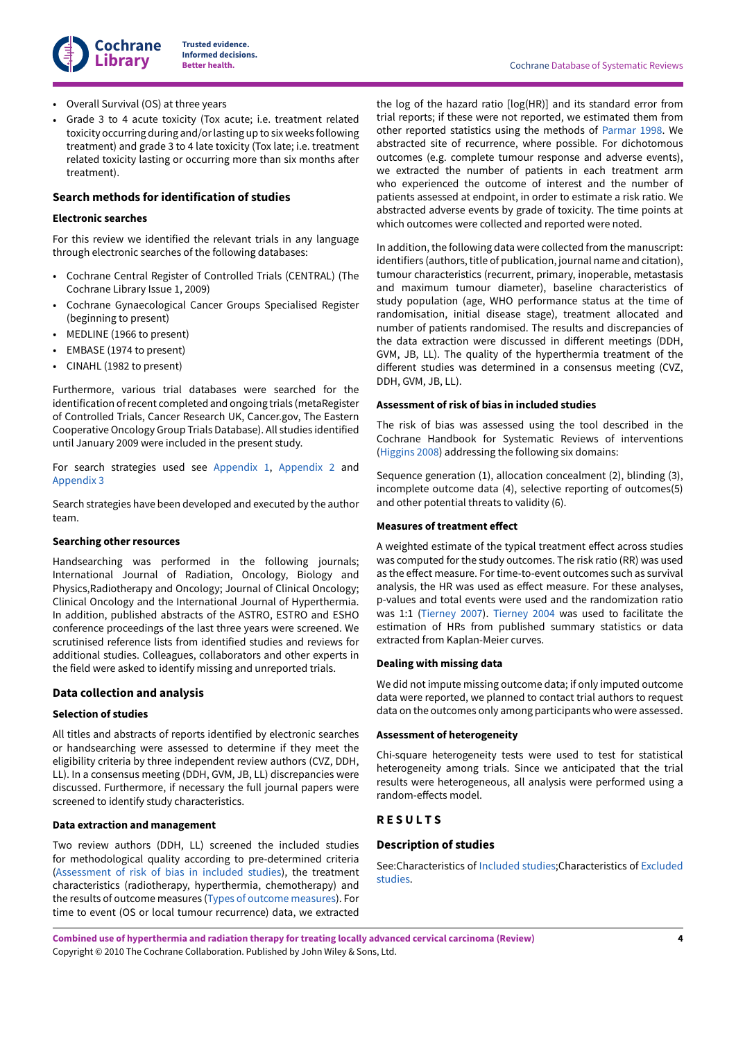

- Overall Survival (OS) at three years
- Grade 3 to 4 acute toxicity (Tox acute; i.e. treatment related toxicity occurring during and/orlasting up to six weeks following treatment) and grade 3 to 4 late toxicity (Tox late; i.e. treatment related toxicity lasting or occurring more than six months after treatment).

# **Search methods for identification of studies**

#### **Electronic searches**

For this review we identified the relevant trials in any language through electronic searches of the following databases:

- Cochrane Central Register of Controlled Trials (CENTRAL) (The Cochrane Library Issue 1, 2009)
- Cochrane Gynaecological Cancer Groups Specialised Register (beginning to present)
- MEDLINE (1966 to present)
- EMBASE (1974 to present)
- CINAHL (1982 to present)

Furthermore, various trial databases were searched for the identification of recent completed and ongoing trials (metaRegister of Controlled Trials, Cancer Research UK, Cancer.gov, The Eastern Cooperative Oncology Group Trials Database). All studies identified until January 2009 were included in the present study.

For search strategies used see [Appendix 1](#page-29-1), [Appendix 2](#page-30-0) and [Appendix 3](#page-30-1)

Search strategies have been developed and executed by the author team.

#### **Searching other resources**

Handsearching was performed in the following journals; International Journal of Radiation, Oncology, Biology and Physics,Radiotherapy and Oncology; Journal of Clinical Oncology; Clinical Oncology and the International Journal of Hyperthermia. In addition, published abstracts of the ASTRO, ESTRO and ESHO conference proceedings of the last three years were screened. We scrutinised reference lists from identified studies and reviews for additional studies. Colleagues, collaborators and other experts in the field were asked to identify missing and unreported trials.

### **Data collection and analysis**

### **Selection of studies**

All titles and abstracts of reports identified by electronic searches or handsearching were assessed to determine if they meet the eligibility criteria by three independent review authors (CVZ, DDH, LL). In a consensus meeting (DDH, GVM, JB, LL) discrepancies were discussed. Furthermore, if necessary the full journal papers were screened to identify study characteristics.

#### **Data extraction and management**

Two review authors (DDH, LL) screened the included studies for methodological quality according to pre-determined criteria [\(Assessment](#page-6-1) of risk of bias in included studies), the treatment characteristics (radiotherapy, hyperthermia, chemotherapy) and the results of outcome measures (Types of outcome [measures\)](#page-5-3). For time to event (OS or local tumour recurrence) data, we extracted

the log of the hazard ratio [log(HR)] and its standard error from trial reports; if these were not reported, we estimated them from other reported statistics using the methods of [Parmar](#page-17-11) 1998. We abstracted site of recurrence, where possible. For dichotomous outcomes (e.g. complete tumour response and adverse events), we extracted the number of patients in each treatment arm who experienced the outcome of interest and the number of patients assessed at endpoint, in order to estimate a risk ratio. We abstracted adverse events by grade of toxicity. The time points at which outcomes were collected and reported were noted.

In addition, the following data were collected from the manuscript: identifiers (authors, title of publication, journal name and citation), tumour characteristics (recurrent, primary, inoperable, metastasis and maximum tumour diameter), baseline characteristics of study population (age, WHO performance status at the time of randomisation, initial disease stage), treatment allocated and number of patients randomised. The results and discrepancies of the data extraction were discussed in different meetings (DDH, GVM, JB, LL). The quality of the hyperthermia treatment of the different studies was determined in a consensus meeting (CVZ, DDH, GVM, JB, LL).

#### <span id="page-6-1"></span>**Assessment of risk of bias in included studies**

The risk of bias was assessed using the tool described in the Cochrane Handbook for Systematic Reviews of interventions [\(Higgins 2008](#page-16-12)) addressing the following six domains:

Sequence generation (1), allocation concealment (2), blinding (3), incomplete outcome data (4), selective reporting of outcomes(5) and other potential threats to validity (6).

#### **Measures of treatment effect**

A weighted estimate of the typical treatment effect across studies was computed for the study outcomes. The risk ratio (RR) was used as the effect measure. For time-to-event outcomes such as survival analysis, the HR was used as effect measure. For these analyses, p-values and total events were used and the randomization ratio was 1:1 ([Tierney](#page-17-12) 2007). [Tierney](#page-17-13) 2004 was used to facilitate the estimation of HRs from published summary statistics or data extracted from Kaplan-Meier curves.

#### **Dealing with missing data**

We did not impute missing outcome data; if only imputed outcome data were reported, we planned to contact trial authors to request data on the outcomes only among participants who were assessed.

### **Assessment of heterogeneity**

Chi-square heterogeneity tests were used to test for statistical heterogeneity among trials. Since we anticipated that the trial results were heterogeneous, all analysis were performed using a random-effects model.

# <span id="page-6-0"></span>**R E S U L T S**

### **Description of studies**

See:Characteristics of [Included](#page-7-1) studies;Characteristics of [Excluded](#page-9-0) [studies.](#page-9-0)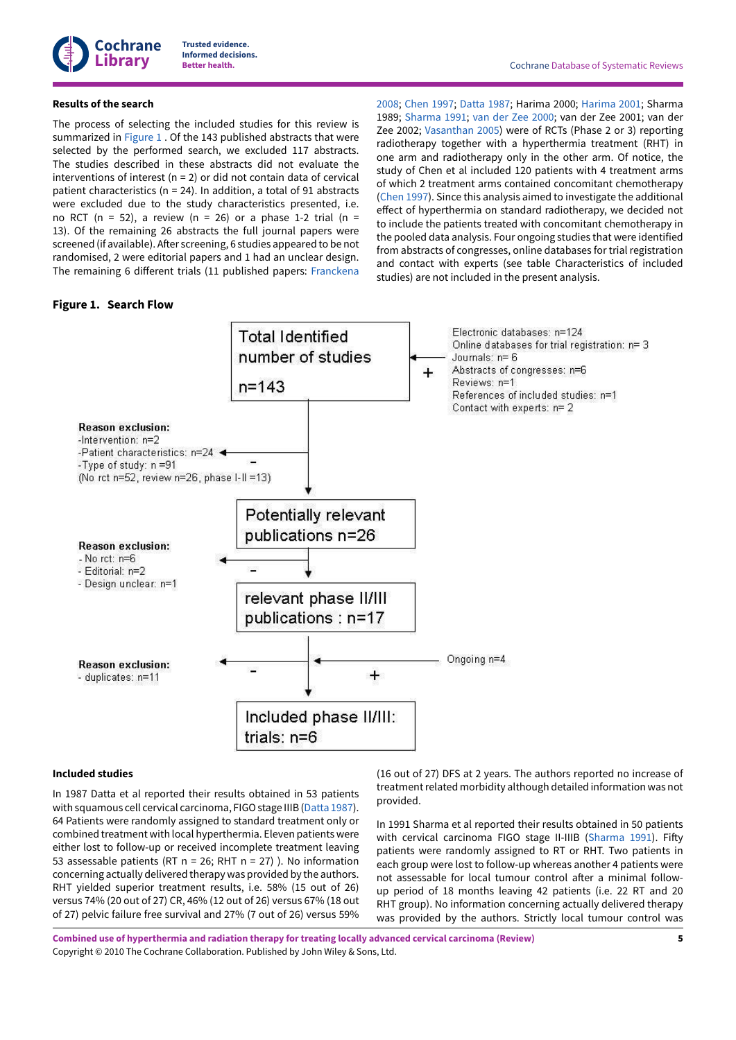

### **Results of the search**

The process of selecting the included studies for this review is summarized in [Figure](#page-7-0) 1 . Of the 143 published abstracts that were selected by the performed search, we excluded 117 abstracts. The studies described in these abstracts did not evaluate the interventions of interest ( $n = 2$ ) or did not contain data of cervical patient characteristics (n = 24). In addition, a total of 91 abstracts were excluded due to the study characteristics presented, i.e. no RCT (n = 52), a review (n = 26) or a phase 1-2 trial (n = 13). Of the remaining 26 abstracts the full journal papers were screened (if available). After screening, 6 studies appeared to be not randomised, 2 were editorial papers and 1 had an unclear design. The remaining 6 different trials (11 published papers: [Franckena](#page-16-13)

### <span id="page-7-0"></span>**Figure 1. Search Flow**

[2008;](#page-16-13) [Chen 1997](#page-15-1); [Datta](#page-15-2) 1987; Harima 2000; [Harima 2001;](#page-15-3) Sharma 1989; [Sharma 1991;](#page-15-4) van der Zee [2000](#page-15-5); van der Zee 2001; van der Zee 2002; [Vasanthan](#page-15-6) 2005) were of RCTs (Phase 2 or 3) reporting radiotherapy together with a hyperthermia treatment (RHT) in one arm and radiotherapy only in the other arm. Of notice, the study of Chen et al included 120 patients with 4 treatment arms of which 2 treatment arms contained concomitant chemotherapy [\(Chen 1997](#page-15-1)). Since this analysis aimed to investigate the additional effect of hyperthermia on standard radiotherapy, we decided not to include the patients treated with concomitant chemotherapy in the pooled data analysis. Four ongoing studies that were identified from abstracts of congresses, online databases for trial registration and contact with experts (see table Characteristics of included studies) are not included in the present analysis.



#### <span id="page-7-1"></span>**Included studies**

In 1987 Datta et al reported their results obtained in 53 patients with squamous cell cervical carcinoma, FIGO stage IIIB [\(Datta](#page-15-2) 1987). 64 Patients were randomly assigned to standard treatment only or combined treatment with local hyperthermia. Eleven patients were either lost to follow-up or received incomplete treatment leaving 53 assessable patients (RT n = 26; RHT n = 27) ). No information concerning actually delivered therapy was provided by the authors. RHT yielded superior treatment results, i.e. 58% (15 out of 26) versus 74% (20 out of 27) CR, 46% (12 out of 26) versus 67% (18 out of 27) pelvic failure free survival and 27% (7 out of 26) versus 59% (16 out of 27) DFS at 2 years. The authors reported no increase of treatment related morbidity although detailed information was not provided.

In 1991 Sharma et al reported their results obtained in 50 patients with cervical carcinoma FIGO stage II-IIIB ([Sharma 1991](#page-15-4)). Fifty patients were randomly assigned to RT or RHT. Two patients in each group were lost to follow-up whereas another 4 patients were not assessable for local tumour control after a minimal followup period of 18 months leaving 42 patients (i.e. 22 RT and 20 RHT group). No information concerning actually delivered therapy was provided by the authors. Strictly local tumour control was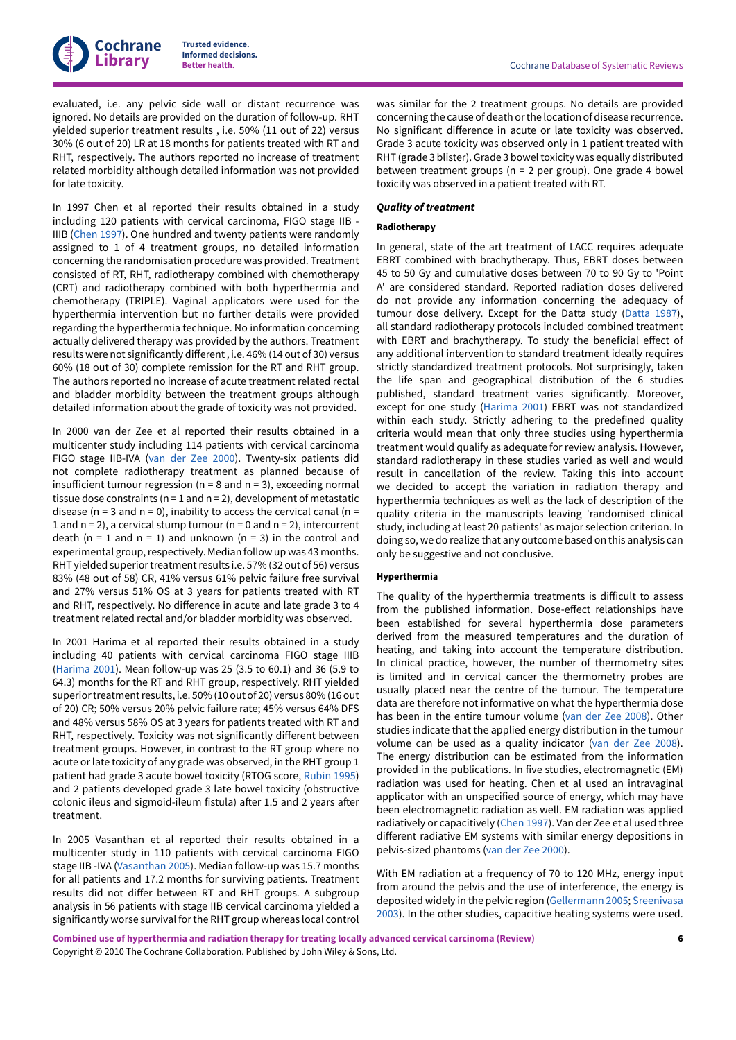evaluated, i.e. any pelvic side wall or distant recurrence was ignored. No details are provided on the duration of follow-up. RHT yielded superior treatment results , i.e. 50% (11 out of 22) versus 30% (6 out of 20) LR at 18 months for patients treated with RT and RHT, respectively. The authors reported no increase of treatment related morbidity although detailed information was not provided for late toxicity.

In 1997 Chen et al reported their results obtained in a study including 120 patients with cervical carcinoma, FIGO stage IIB - IIIB ([Chen 1997\)](#page-15-1). One hundred and twenty patients were randomly assigned to 1 of 4 treatment groups, no detailed information concerning the randomisation procedure was provided. Treatment consisted of RT, RHT, radiotherapy combined with chemotherapy (CRT) and radiotherapy combined with both hyperthermia and chemotherapy (TRIPLE). Vaginal applicators were used for the hyperthermia intervention but no further details were provided regarding the hyperthermia technique. No information concerning actually delivered therapy was provided by the authors. Treatment results were not significantly different, i.e. 46% (14 out of 30) versus 60% (18 out of 30) complete remission for the RT and RHT group. The authors reported no increase of acute treatment related rectal and bladder morbidity between the treatment groups although detailed information about the grade of toxicity was not provided.

In 2000 van der Zee et al reported their results obtained in a multicenter study including 114 patients with cervical carcinoma FIGO stage IIB-IVA (van der Zee [2000](#page-15-5)). Twenty-six patients did not complete radiotherapy treatment as planned because of insufficient tumour regression ( $n = 8$  and  $n = 3$ ), exceeding normal tissue dose constraints ( $n = 1$  and  $n = 2$ ), development of metastatic disease ( $n = 3$  and  $n = 0$ ), inability to access the cervical canal ( $n =$ 1 and  $n = 2$ ), a cervical stump tumour ( $n = 0$  and  $n = 2$ ), intercurrent death (n = 1 and n = 1) and unknown (n = 3) in the control and experimental group, respectively. Median follow up was 43 months. RHT yielded superior treatment results i.e. 57% (32 out of 56) versus 83% (48 out of 58) CR, 41% versus 61% pelvic failure free survival and 27% versus 51% OS at 3 years for patients treated with RT and RHT, respectively. No difference in acute and late grade 3 to 4 treatment related rectal and/or bladder morbidity was observed.

In 2001 Harima et al reported their results obtained in a study including 40 patients with cervical carcinoma FIGO stage IIIB [\(Harima 2001](#page-15-3)). Mean follow-up was 25 (3.5 to 60.1) and 36 (5.9 to 64.3) months for the RT and RHT group, respectively. RHT yielded superior treatment results, i.e. 50% (10 out of 20) versus 80% (16 out of 20) CR; 50% versus 20% pelvic failure rate; 45% versus 64% DFS and 48% versus 58% OS at 3 years for patients treated with RT and RHT, respectively. Toxicity was not significantly different between treatment groups. However, in contrast to the RT group where no acute or late toxicity of any grade was observed, in the RHT group 1 patient had grade 3 acute bowel toxicity (RTOG score, [Rubin 1995\)](#page-17-14) and 2 patients developed grade 3 late bowel toxicity (obstructive colonic ileus and sigmoid-ileum fistula) after 1.5 and 2 years after treatment.

In 2005 Vasanthan et al reported their results obtained in a multicenter study in 110 patients with cervical carcinoma FIGO stage IIB -IVA ([Vasanthan](#page-15-6) 2005). Median follow-up was 15.7 months for all patients and 17.2 months for surviving patients. Treatment results did not differ between RT and RHT groups. A subgroup analysis in 56 patients with stage IIB cervical carcinoma yielded a significantly worse survival forthe RHT group whereas local control

was similar for the 2 treatment groups. No details are provided concerning the cause of death or the location of disease recurrence. No significant difference in acute or late toxicity was observed. Grade 3 acute toxicity was observed only in 1 patient treated with RHT (grade 3 blister). Grade 3 bowel toxicity was equally distributed between treatment groups (n = 2 per group). One grade 4 bowel toxicity was observed in a patient treated with RT.

### *Quality of treatment*

#### **Radiotherapy**

In general, state of the art treatment of LACC requires adequate EBRT combined with brachytherapy. Thus, EBRT doses between 45 to 50 Gy and cumulative doses between 70 to 90 Gy to 'Point A' are considered standard. Reported radiation doses delivered do not provide any information concerning the adequacy of tumour dose delivery. Except for the Datta study ([Datta](#page-15-2) 1987), all standard radiotherapy protocols included combined treatment with EBRT and brachytherapy. To study the beneficial effect of any additional intervention to standard treatment ideally requires strictly standardized treatment protocols. Not surprisingly, taken the life span and geographical distribution of the 6 studies published, standard treatment varies significantly. Moreover, except for one study [\(Harima 2001](#page-15-3)) EBRT was not standardized within each study. Strictly adhering to the predefined quality criteria would mean that only three studies using hyperthermia treatment would qualify as adequate for review analysis. However, standard radiotherapy in these studies varied as well and would result in cancellation of the review. Taking this into account we decided to accept the variation in radiation therapy and hyperthermia techniques as well as the lack of description of the quality criteria in the manuscripts leaving 'randomised clinical study, including at least 20 patients' as major selection criterion. In doing so, we do realize that any outcome based on this analysis can only be suggestive and not conclusive.

#### **Hyperthermia**

The quality of the hyperthermia treatments is difficult to assess from the published information. Dose-effect relationships have been established for several hyperthermia dose parameters derived from the measured temperatures and the duration of heating, and taking into account the temperature distribution. In clinical practice, however, the number of thermometry sites is limited and in cervical cancer the thermometry probes are usually placed near the centre of the tumour. The temperature data are therefore not informative on what the hyperthermia dose has been in the entire tumour volume (van der Zee [2008](#page-17-15)). Other studies indicate that the applied energy distribution in the tumour volume can be used as a quality indicator (van der Zee [2008\)](#page-17-15). The energy distribution can be estimated from the information provided in the publications. In five studies, electromagnetic (EM) radiation was used for heating. Chen et al used an intravaginal applicator with an unspecified source of energy, which may have been electromagnetic radiation as well. EM radiation was applied radiatively or capacitively ([Chen 1997\)](#page-15-1). Van der Zee et al used three different radiative EM systems with similar energy depositions in pelvis-sized phantoms (van der Zee [2000](#page-15-5)).

With EM radiation at a frequency of 70 to 120 MHz, energy input from around the pelvis and the use of interference, the energy is deposited widely in the pelvic region ([Gellermann 2005](#page-16-14); [Sreenivasa](#page-17-16) [2003\)](#page-17-16). In the other studies, capacitive heating systems were used.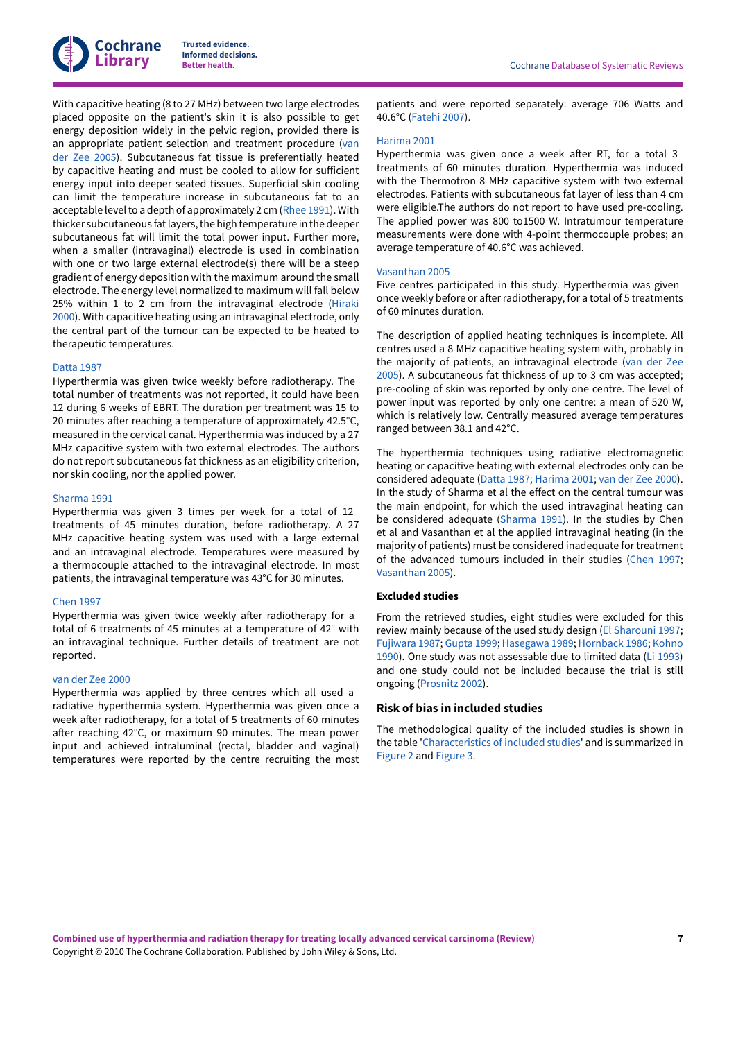

With capacitive heating (8 to 27 MHz) between two large electrodes placed opposite on the patient's skin it is also possible to get energy deposition widely in the pelvic region, provided there is an appropriate patient selection and treatment procedure [\(van](#page-17-17) der Zee [2005](#page-17-17)). Subcutaneous fat tissue is preferentially heated by capacitive heating and must be cooled to allow for sufficient energy input into deeper seated tissues. Superficial skin cooling can limit the temperature increase in subcutaneous fat to an acceptable level to a depth of approximately 2 cm ([Rhee 1991\)](#page-17-18). With thicker subcutaneous fat layers, the high temperature in the deeper subcutaneous fat will limit the total power input. Further more, when a smaller (intravaginal) electrode is used in combination with one or two large external electrode(s) there will be a steep gradient of energy deposition with the maximum around the small electrode. The energy level normalized to maximum will fall below 25% within 1 to 2 cm from the intravaginal electrode [\(Hiraki](#page-16-15) [2000](#page-16-15)). With capacitive heating using an intravaginal electrode, only the central part of the tumour can be expected to be heated to therapeutic temperatures.

#### [Datta](#page-15-2) 1987

Hyperthermia was given twice weekly before radiotherapy. The total number of treatments was not reported, it could have been 12 during 6 weeks of EBRT. The duration per treatment was 15 to 20 minutes after reaching a temperature of approximately 42.5°C, measured in the cervical canal. Hyperthermia was induced by a 27 MHz capacitive system with two external electrodes. The authors do not report subcutaneous fat thickness as an eligibility criterion, nor skin cooling, nor the applied power.

#### [Sharma 1991](#page-15-4)

Hyperthermia was given 3 times per week for a total of 12 treatments of 45 minutes duration, before radiotherapy. A 27 MHz capacitive heating system was used with a large external and an intravaginal electrode. Temperatures were measured by a thermocouple attached to the intravaginal electrode. In most patients, the intravaginal temperature was 43°C for 30 minutes.

#### [Chen 1997](#page-15-1)

Hyperthermia was given twice weekly after radiotherapy for a total of 6 treatments of 45 minutes at a temperature of 42° with an intravaginal technique. Further details of treatment are not reported.

#### van der Zee [2000](#page-15-5)

Hyperthermia was applied by three centres which all used a radiative hyperthermia system. Hyperthermia was given once a week after radiotherapy, for a total of 5 treatments of 60 minutes after reaching 42°C, or maximum 90 minutes. The mean power input and achieved intraluminal (rectal, bladder and vaginal) temperatures were reported by the centre recruiting the most

patients and were reported separately: average 706 Watts and 40.6°C [\(Fatehi](#page-16-16) 2007).

#### [Harima 2001](#page-15-3)

Hyperthermia was given once a week after RT, for a total 3 treatments of 60 minutes duration. Hyperthermia was induced with the Thermotron 8 MHz capacitive system with two external electrodes. Patients with subcutaneous fat layer of less than 4 cm were eligible.The authors do not report to have used pre-cooling. The applied power was 800 to1500 W. Intratumour temperature measurements were done with 4-point thermocouple probes; an average temperature of 40.6°C was achieved.

#### [Vasanthan](#page-15-6) 2005

Five centres participated in this study. Hyperthermia was given once weekly before or after radiotherapy, for a total of 5 treatments of 60 minutes duration.

The description of applied heating techniques is incomplete. All centres used a 8 MHz capacitive heating system with, probably in the majority of patients, an intravaginal electrode [\(van](#page-17-17) der Zee [2005\)](#page-17-17). A subcutaneous fat thickness of up to 3 cm was accepted; pre-cooling of skin was reported by only one centre. The level of power input was reported by only one centre: a mean of 520 W, which is relatively low. Centrally measured average temperatures ranged between 38.1 and 42°C.

The hyperthermia techniques using radiative electromagnetic heating or capacitive heating with external electrodes only can be considered adequate ([Datta](#page-15-2) 1987; [Harima 2001](#page-15-3); van der Zee [2000\)](#page-15-5). In the study of Sharma et al the effect on the central tumour was the main endpoint, for which the used intravaginal heating can be considered adequate ([Sharma 1991](#page-15-4)). In the studies by Chen et al and Vasanthan et al the applied intravaginal heating (in the majority of patients) must be considered inadequate for treatment of the advanced tumours included in their studies ([Chen 1997;](#page-15-1) [Vasanthan](#page-15-6) 2005).

#### <span id="page-9-0"></span>**Excluded studies**

From the retrieved studies, eight studies were excluded for this review mainly because of the used study design (El [Sharouni](#page-15-8) 1997; [Fujiwara](#page-15-9) 1987; [Gupta](#page-15-10) 1999; [Hasegawa](#page-15-11) 1989; [Hornback](#page-15-7) 1986; [Kohno](#page-15-12) [1990\)](#page-15-12). One study was not assessable due to limited data [\(Li 1993](#page-15-13)) and one study could not be included because the trial is still ongoing [\(Prosnitz](#page-15-14) 2002).

### **Risk of bias in included studies**

The methodological quality of the included studies is shown in the table '[Characteristics](#page-18-3) of included studies' and is summarized in [Figure](#page-10-0) 2 and [Figure](#page-11-0) 3.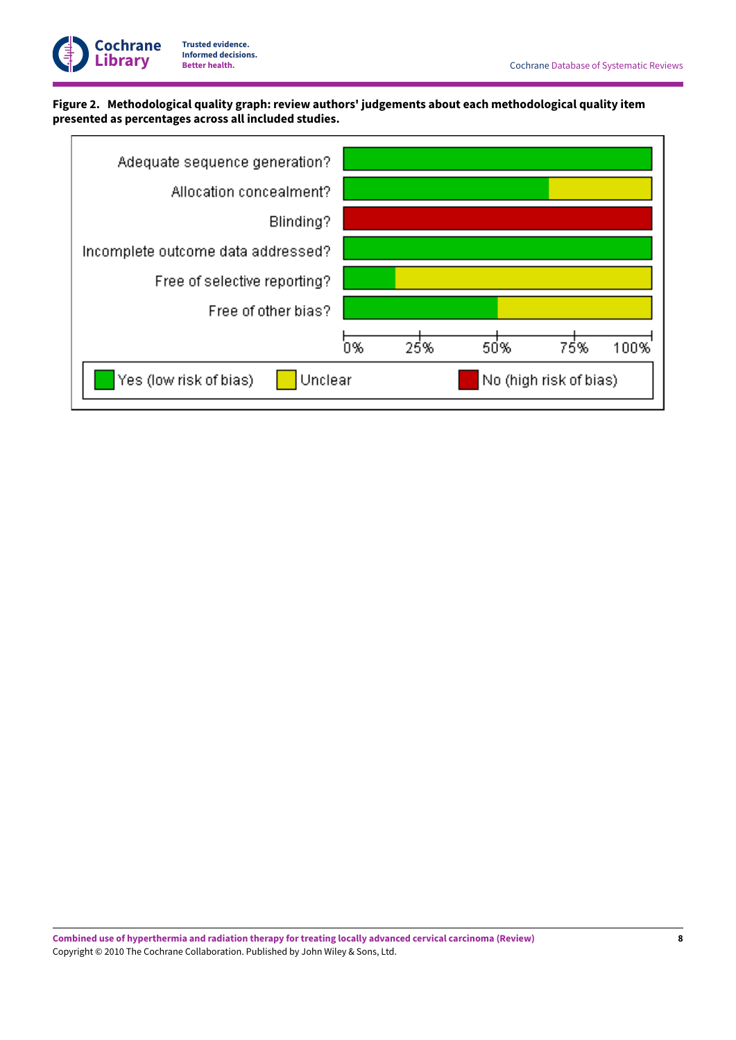

# <span id="page-10-0"></span>**Figure 2. Methodological quality graph: review authors' judgements about each methodological quality item presented as percentages across all included studies.**

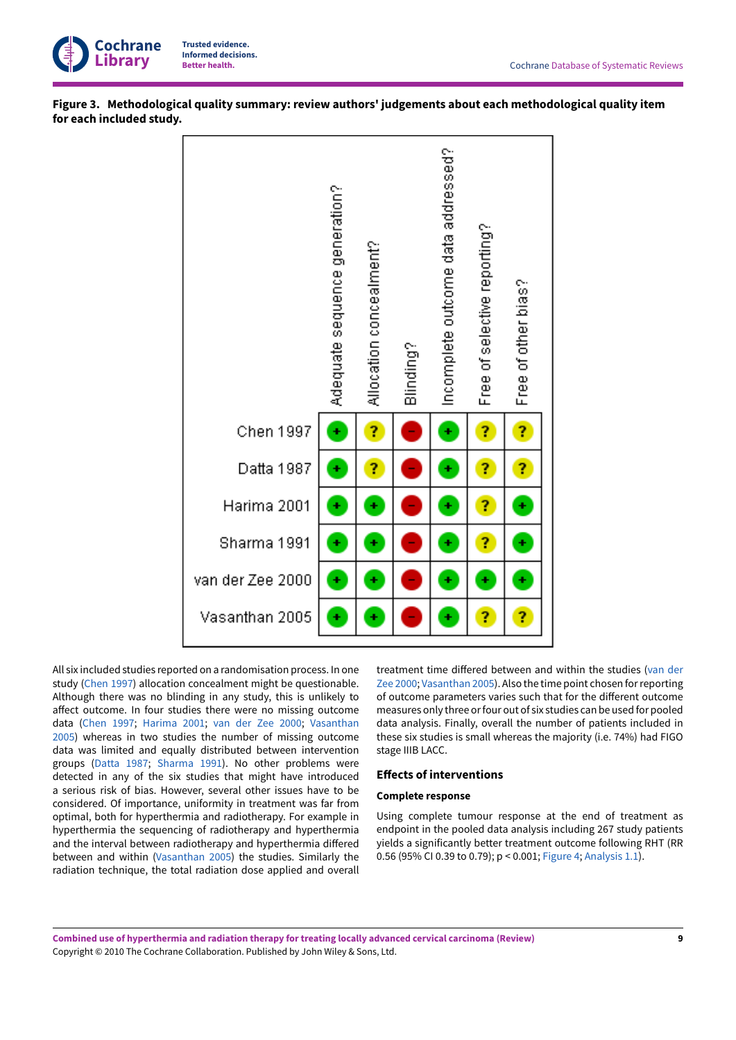

<span id="page-11-0"></span>



All six included studies reported on a randomisation process. In one study [\(Chen 1997\)](#page-15-1) allocation concealment might be questionable. Although there was no blinding in any study, this is unlikely to affect outcome. In four studies there were no missing outcome data ([Chen 1997;](#page-15-1) [Harima 2001;](#page-15-3) van der Zee [2000](#page-15-5); [Vasanthan](#page-15-6) [2005](#page-15-6)) whereas in two studies the number of missing outcome data was limited and equally distributed between intervention groups ([Datta](#page-15-2) 1987; [Sharma 1991\)](#page-15-4). No other problems were detected in any of the six studies that might have introduced a serious risk of bias. However, several other issues have to be considered. Of importance, uniformity in treatment was far from optimal, both for hyperthermia and radiotherapy. For example in hyperthermia the sequencing of radiotherapy and hyperthermia and the interval between radiotherapy and hyperthermia differed between and within [\(Vasanthan](#page-15-6) 2005) the studies. Similarly the radiation technique, the total radiation dose applied and overall treatment time differed between and within the studies ([van](#page-15-5) der Zee [2000;](#page-15-5) [Vasanthan](#page-15-6) 2005). Also the time point chosen forreporting of outcome parameters varies such that for the different outcome measures only three orfour out of six studies can be used for pooled data analysis. Finally, overall the number of patients included in these six studies is small whereas the majority (i.e. 74%) had FIGO stage IIIB LACC.

### **Effects of interventions**

#### **Complete response**

Using complete tumour response at the end of treatment as endpoint in the pooled data analysis including 267 study patients yields a significantly better treatment outcome following RHT (RR 0.56 (95% CI 0.39 to 0.79); p < 0.001; [Figure](#page-12-0) 4; [Analysis 1.1\)](#page-27-1).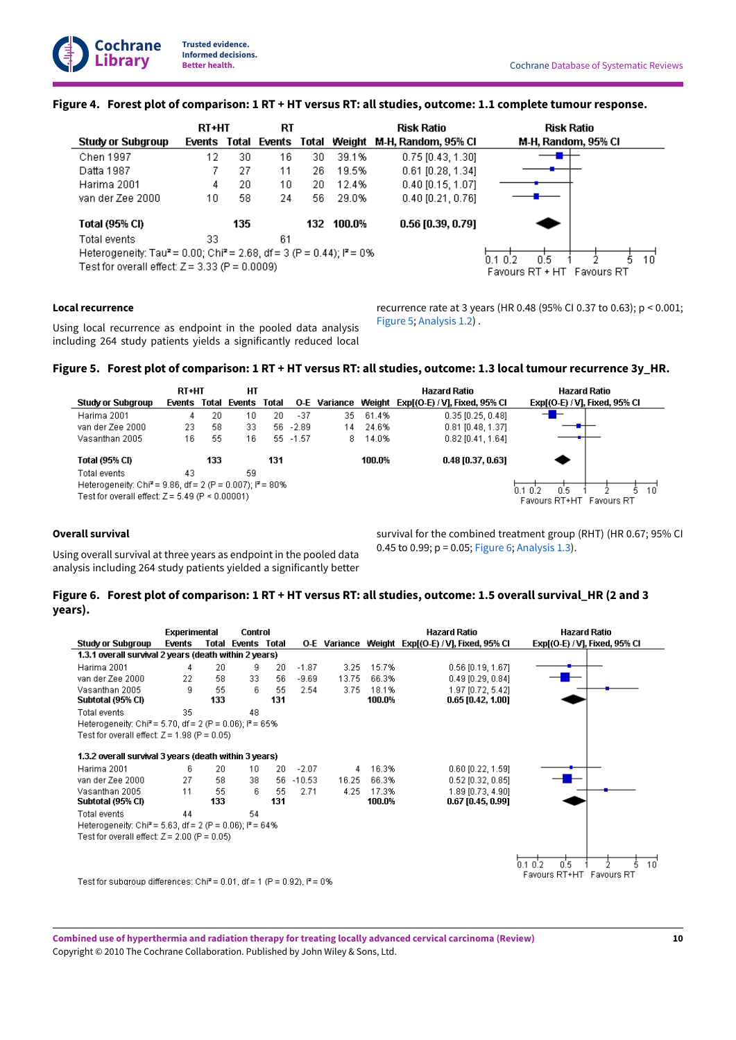### <span id="page-12-0"></span>Figure 4. Forest plot of comparison: 1 RT + HT versus RT: all studies, outcome: 1.1 complete tumour response.

|                                                                                                | <b>RT+HT</b> |       | RT     |     |            | <b>Risk Ratio</b>                | <b>Risk Ratio</b>          |    |
|------------------------------------------------------------------------------------------------|--------------|-------|--------|-----|------------|----------------------------------|----------------------------|----|
| Study or Subgroup                                                                              | Events       | Total | Events |     |            | Total Weight M-H, Random, 95% CI | M-H, Random, 95% CI        |    |
| Chen 1997                                                                                      | 12           | 30    | 16     | 30  | 39.1%      | $0.75$ [0.43, 1.30]              |                            |    |
| Datta 1987                                                                                     |              | 27    | 11     | 26. | 19.5%      | $0.61$ [0.28, 1.34]              |                            |    |
| Harima 2001                                                                                    | 4            | 20    | 10     | 20. | 12.4%      | $0.40$ [0.15, 1.07]              |                            |    |
| van der Zee 2000                                                                               | 10           | 58    | 24     | 56. | 29.0%      | $0.40$ $[0.21, 0.76]$            |                            |    |
| Total (95% CI)                                                                                 |              | 135   |        |     | 132 100.0% | 0.56 [0.39, 0.79]                |                            |    |
| Total events                                                                                   | 33           |       | 61     |     |            |                                  |                            |    |
| Heterogeneity: Tau <sup>2</sup> = 0.00; Chi <sup>2</sup> = 2.68, df = 3 (P = 0.44); $I^2$ = 0% |              |       |        |     |            |                                  | 0.5<br>በ1 በ 2              | 10 |
| Test for overall effect: $Z = 3.33$ (P = 0.0009)                                               |              |       |        |     |            |                                  | Favours RT + HT Favours RT |    |

### **Local recurrence**

Using local recurrence as endpoint in the pooled data analysis including 264 study patients yields a significantly reduced local recurrence rate at 3 years (HR 0.48 (95% CI 0.37 to 0.63); p < 0.001; [Figure](#page-12-1) 5; [Analysis 1.2](#page-28-0)) .

### <span id="page-12-1"></span>Figure 5. Forest plot of comparison: 1 RT + HT versus RT: all studies, outcome: 1.3 local tumour recurrence 3y\_HR.

|                                                                        | <b>RT+HT</b> |       | HТ     |       |             |              |        | Hazard Ratio                  | Hazard Ratio                  |
|------------------------------------------------------------------------|--------------|-------|--------|-------|-------------|--------------|--------|-------------------------------|-------------------------------|
| Study or Subgroup                                                      | Events       | Total | Events | Total |             | O-E Variance | Weiaht | Exp[(O-E) / V], Fixed, 95% Cl | Exp[(O-E) / V], Fixed, 95% Cl |
| Harima 2001                                                            |              | 20    | 10     | 20    | $-37$       | 35           | 61.4%  | $0.35$ [0.25, 0.48]           | -1                            |
| van der Zee 2000                                                       | 23           | 58    | 33     |       | $56 - 2.89$ | 14           | 24.6%  | 0.81 [0.48, 1.37]             |                               |
| Vasanthan 2005                                                         | 16.          | 55    | 16     | 55.   | $-1.57$     | 8            | 14.0%  | $0.82$ [0.41, 1.64]           |                               |
| Total (95% CI)                                                         |              | 133   |        | 131   |             |              | 100.0% | $0.48$ [0.37, 0.63]           |                               |
| Total events                                                           | 43           |       | 59     |       |             |              |        |                               |                               |
| Heterogeneity: Chi <sup>2</sup> = 9.86, df = 2 (P = 0.007); $P = 80\%$ |              |       |        |       |             |              |        |                               | ກາກລ<br>0.5<br>10             |
| Test for overall effect: $Z = 5.49$ (P $\leq 0.00001$ ).               |              |       |        |       |             |              |        |                               | Favours RT+HT<br>Favours RT   |

### **Overall survival**

Using overall survival at three years as endpoint in the pooled data analysis including 264 study patients yielded a significantly better

survival for the combined treatment group (RHT) (HR 0.67; 95% CI 0.45 to 0.99; p = 0.05; [Figure](#page-12-2) 6; [Analysis 1.3\)](#page-28-1).

### <span id="page-12-2"></span>Figure 6. Forest plot of comparison: 1 RT + HT versus RT: all studies, outcome: 1.5 overall survival\_HR (2 and 3 **years).**

|                                                                                      | Experimental |     | Control                   |     |          |       |        | <b>Hazard Ratio</b>                               | <b>Hazard Ratio</b>           |
|--------------------------------------------------------------------------------------|--------------|-----|---------------------------|-----|----------|-------|--------|---------------------------------------------------|-------------------------------|
| <b>Study or Subgroup</b>                                                             | Events       |     | <b>Total Events Total</b> |     |          |       |        | O-E Variance Weight Exp[(O-E) / V], Fixed, 95% CI | Exp[(O-E) / V], Fixed, 95% Cl |
| 1.3.1 overall survival 2 years (death within 2 years)                                |              |     |                           |     |          |       |        |                                                   |                               |
| Harima 2001                                                                          | 4            | 20  | 9                         | 20  | $-1.87$  | 3.25  | 15.7%  | $0.56$ [0.19, 1.67]                               |                               |
| van der Zee 2000                                                                     | 22           | 58  | 33                        | 56  | $-9.69$  | 13.75 | 66.3%  | $0.49$ [0.29, 0.84]                               |                               |
| Vasanthan 2005                                                                       | 9            | 55  | ĥ                         | 55  | 2.54     | 3.75  | 18.1%  | 1.97 [0.72, 5.42]                                 |                               |
| Subtotal (95% CI)                                                                    |              | 133 |                           | 131 |          |       | 100.0% | 0.65 [0.42, 1.00]                                 |                               |
| Total events                                                                         | 35           |     | 48                        |     |          |       |        |                                                   |                               |
| Heterogeneity: Chi <sup>2</sup> = 5.70, df = 2 (P = 0.06); $P = 65\%$                |              |     |                           |     |          |       |        |                                                   |                               |
| Test for overall effect: $Z = 1.98$ (P = 0.05)                                       |              |     |                           |     |          |       |        |                                                   |                               |
|                                                                                      |              |     |                           |     |          |       |        |                                                   |                               |
| 1.3.2 overall survival 3 years (death within 3 years)                                |              |     |                           |     |          |       |        |                                                   |                               |
| Harima 2001                                                                          | 6            | 20  | 10                        | 20  | $-2.07$  | 4     | 16.3%  | $0.60$ [0.22, 1.59]                               |                               |
| van der Zee 2000                                                                     | 27           | 58  | 38                        | 56. | $-10.53$ | 16.25 | 66.3%  | $0.52$ [0.32, 0.85]                               |                               |
| Vasanthan 2005                                                                       | 11           | 55  | 6                         | 55  | 2.71     | 4.25  | 17.3%  | 1.89 [0.73, 4.90]                                 |                               |
| Subtotal (95% CI)                                                                    |              | 133 |                           | 131 |          |       | 100.0% | $0.67$ [0.45, 0.99]                               |                               |
| Total events                                                                         | 44           |     | 54                        |     |          |       |        |                                                   |                               |
| Heterogeneity: Chi <sup>2</sup> = 5.63, df = 2 (P = 0.06); $P = 64\%$                |              |     |                           |     |          |       |        |                                                   |                               |
| Test for overall effect: $Z = 2.00$ (P = 0.05)                                       |              |     |                           |     |          |       |        |                                                   |                               |
|                                                                                      |              |     |                           |     |          |       |        |                                                   |                               |
|                                                                                      |              |     |                           |     |          |       |        |                                                   | 10<br>0.5<br>$0.1\,0.2$       |
|                                                                                      |              |     |                           |     |          |       |        |                                                   | Favours RT+HT Favours RT      |
| Test for subgroup differences: Chi <sup>2</sup> = 0.01, df = 1 (P = 0.92), $P = 0\%$ |              |     |                           |     |          |       |        |                                                   |                               |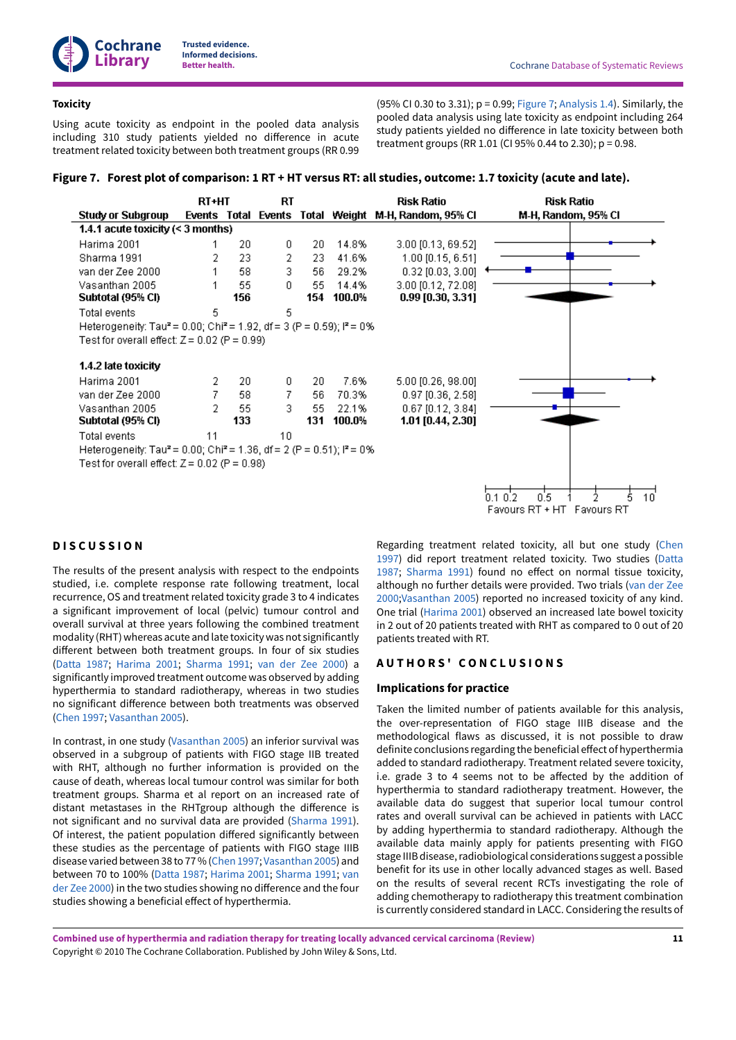### **Toxicity**

Using acute toxicity as endpoint in the pooled data analysis including 310 study patients yielded no difference in acute treatment related toxicity between both treatment groups (RR 0.99

(95% CI 0.30 to 3.31);  $p = 0.99$ ; [Figure](#page-13-0) 7; [Analysis 1.4](#page-28-2)). Similarly, the pooled data analysis using late toxicity as endpoint including 264 study patients yielded no difference in late toxicity between both treatment groups (RR 1.01 (CI 95% 0.44 to 2.30); p = 0.98.

<span id="page-13-0"></span>Figure 7. Forest plot of comparison: 1 RT + HT versus RT: all studies, outcome: 1.7 toxicity (acute and late).

|                                                                                                         | <b>RT+HT</b> |           | RT |           |                 | <b>Risk Ratio</b>                                    | <b>Risk Ratio</b>                               |                      |
|---------------------------------------------------------------------------------------------------------|--------------|-----------|----|-----------|-----------------|------------------------------------------------------|-------------------------------------------------|----------------------|
| <b>Study or Subgroup</b>                                                                                |              |           |    |           |                 | Events Total Events Total Weight M-H, Random, 95% CI | M-H, Random, 95% CI                             |                      |
| 1.4.1 acute toxicity $($ < 3 months)                                                                    |              |           |    |           |                 |                                                      |                                                 |                      |
| Harima 2001                                                                                             |              | 20        | 0  | 20        | 14.8%           | $3.00$ [0.13, 69.52]                                 |                                                 |                      |
| Sharma 1991                                                                                             | 2            | 23        | 2  | 23        | 41.6%           | 1.00 [0.15, 6.51]                                    |                                                 |                      |
| van der Zee 2000                                                                                        |              | 58        | 3  | 56        | 29.2%           | $0.32$ [0.03, 3.00]                                  |                                                 |                      |
| Vasanthan 2005<br>Subtotal (95% CI)                                                                     |              | 55<br>156 | 0  | 55<br>154 | 14.4%<br>100.0% | 3.00 [0.12, 72.08]<br>$0.99$ [0.30, 3.31]            |                                                 |                      |
| Total events                                                                                            | 5            |           | 5  |           |                 |                                                      |                                                 |                      |
| Heterogeneity: Tau <sup>2</sup> = 0.00; Chi <sup>2</sup> = 1.92, df = 3 (P = 0.59); l <sup>2</sup> = 0% |              |           |    |           |                 |                                                      |                                                 |                      |
| Test for overall effect: $Z = 0.02$ (P = 0.99)                                                          |              |           |    |           |                 |                                                      |                                                 |                      |
| 1.4.2 late toxicity                                                                                     |              |           |    |           |                 |                                                      |                                                 |                      |
| Harima 2001                                                                                             | 2            | 20        | 0  | 20        | 7.6%            | 5.00 [0.26, 98.00]                                   |                                                 |                      |
| van der Zee 2000                                                                                        | 7            | 58        | 7  | 56        | 70.3%           | $0.97$ [0.36, 2.58]                                  |                                                 |                      |
| Vasanthan 2005                                                                                          | 2            | 55        | 3  | 55        | 22.1%           | 0.67 [0.12, 3.84]                                    |                                                 |                      |
| Subtotal (95% CI)                                                                                       |              | 133       |    | 131       | 100.0%          | 1.01 [0.44, 2.30]                                    |                                                 |                      |
| Total events                                                                                            | 11           |           | 10 |           |                 |                                                      |                                                 |                      |
| Heterogeneity: Tau <sup>2</sup> = 0.00; Chi <sup>2</sup> = 1.36, df = 2 (P = 0.51); i <sup>2</sup> = 0% |              |           |    |           |                 |                                                      |                                                 |                      |
| Test for overall effect: $Z = 0.02$ (P = 0.98)                                                          |              |           |    |           |                 |                                                      |                                                 |                      |
|                                                                                                         |              |           |    |           |                 |                                                      | 0.5<br>$0.1\,0.2$<br>Favours RT + HT Favours RT | $10^{\degree}$<br>6. |

# <span id="page-13-1"></span>**D I S C U S S I O N**

The results of the present analysis with respect to the endpoints studied, i.e. complete response rate following treatment, local recurrence, OS and treatment related toxicity grade 3 to 4 indicates a significant improvement of local (pelvic) tumour control and overall survival at three years following the combined treatment modality (RHT) whereas acute and late toxicity was not significantly different between both treatment groups. In four of six studies [\(Datta](#page-15-2) 1987; [Harima 2001](#page-15-3); [Sharma 1991](#page-15-4); van der Zee [2000](#page-15-5)) a significantly improved treatment outcome was observed by adding hyperthermia to standard radiotherapy, whereas in two studies no significant difference between both treatments was observed [\(Chen 1997](#page-15-1); [Vasanthan](#page-15-6) 2005).

In contrast, in one study ([Vasanthan](#page-15-6) 2005) an inferior survival was observed in a subgroup of patients with FIGO stage IIB treated with RHT, although no further information is provided on the cause of death, whereas local tumour control was similar for both treatment groups. Sharma et al report on an increased rate of distant metastases in the RHTgroup although the difference is not significant and no survival data are provided ([Sharma 1991\)](#page-15-4). Of interest, the patient population differed significantly between these studies as the percentage of patients with FIGO stage IIIB disease varied between 38 to 77 % [\(Chen 1997;](#page-15-1) [Vasanthan](#page-15-6) 2005) and between 70 to 100% ([Datta](#page-15-2) 1987; [Harima 2001](#page-15-3); [Sharma 1991](#page-15-4); [van](#page-15-5) der Zee [2000\)](#page-15-5) in the two studies showing no difference and the four studies showing a beneficial effect of hyperthermia.

Regarding treatment related toxicity, all but one study [\(Chen](#page-15-1) [1997\)](#page-15-1) did report treatment related toxicity. Two studies [\(Datta](#page-15-2) [1987;](#page-15-2) [Sharma 1991](#page-15-4)) found no effect on normal tissue toxicity, although no further details were provided. Two trials (van der [Zee](#page-15-5) [2000;](#page-15-5)[Vasanthan](#page-15-6) 2005) reported no increased toxicity of any kind. One trial ([Harima 2001\)](#page-15-3) observed an increased late bowel toxicity in 2 out of 20 patients treated with RHT as compared to 0 out of 20 patients treated with RT.

### <span id="page-13-2"></span>**A U T H O R S ' C O N C L U S I O N S**

### **Implications for practice**

Taken the limited number of patients available for this analysis, the over-representation of FIGO stage IIIB disease and the methodological flaws as discussed, it is not possible to draw definite conclusions regarding the beneficial effect of hyperthermia added to standard radiotherapy. Treatment related severe toxicity, i.e. grade 3 to 4 seems not to be affected by the addition of hyperthermia to standard radiotherapy treatment. However, the available data do suggest that superior local tumour control rates and overall survival can be achieved in patients with LACC by adding hyperthermia to standard radiotherapy. Although the available data mainly apply for patients presenting with FIGO stage IIIB disease, radiobiological considerations suggest a possible benefit for its use in other locally advanced stages as well. Based on the results of several recent RCTs investigating the role of adding chemotherapy to radiotherapy this treatment combination is currently considered standard in LACC. Considering the results of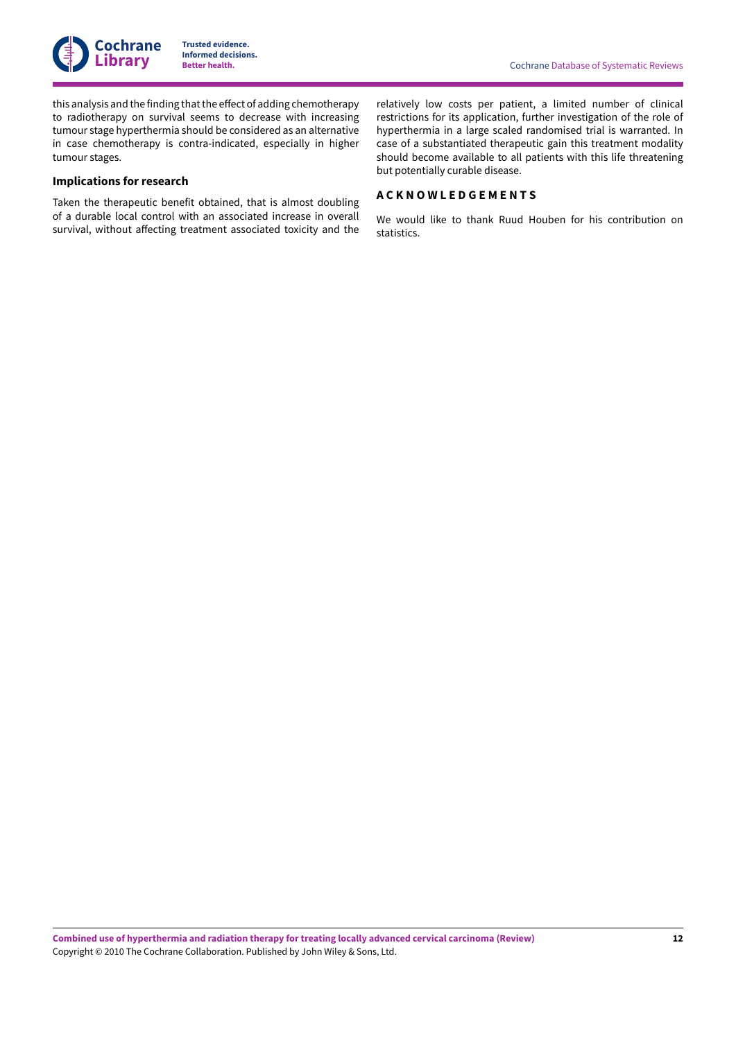

this analysis and the finding that the effect of adding chemotherapy to radiotherapy on survival seems to decrease with increasing tumour stage hyperthermia should be considered as an alternative in case chemotherapy is contra-indicated, especially in higher tumour stages.

### **Implications for research**

Taken the therapeutic benefit obtained, that is almost doubling of a durable local control with an associated increase in overall survival, without affecting treatment associated toxicity and the

relatively low costs per patient, a limited number of clinical restrictions for its application, further investigation of the role of hyperthermia in a large scaled randomised trial is warranted. In case of a substantiated therapeutic gain this treatment modality should become available to all patients with this life threatening but potentially curable disease.

# <span id="page-14-0"></span>**A C K N O W L E D G E M E N T S**

We would like to thank Ruud Houben for his contribution on statistics.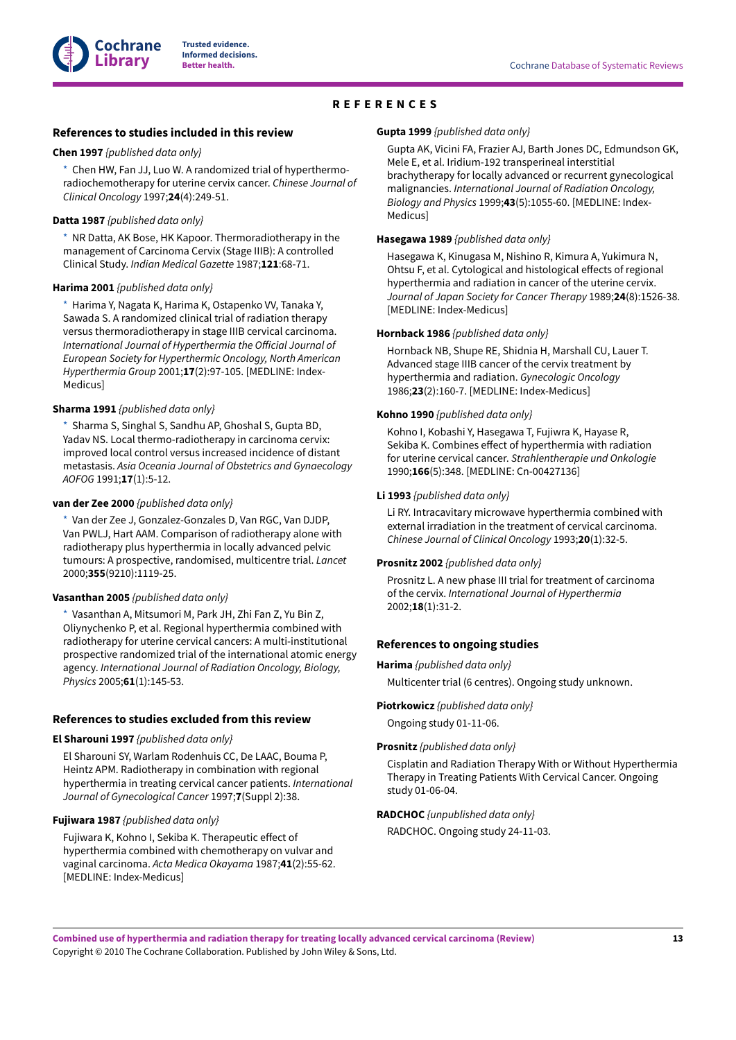

# **REFERENCES**

#### <span id="page-15-0"></span>**References to studies included in this review**

#### <span id="page-15-1"></span>**Chen 1997** *{published data only}*

[\\*](#page-18-4)  Chen HW, Fan JJ, Luo W. A randomized trial of hyperthermoradiochemotherapy for uterine cervix cancer. *Chinese Journal of Clinical Oncology* 1997;**24**(4):249-51.

#### <span id="page-15-2"></span>**Datta 1987** *{published data only}*

[\\*](#page-18-4)  NR Datta, AK Bose, HK Kapoor. Thermoradiotherapy in the management of Carcinoma Cervix (Stage IIIB): A controlled Clinical Study. *Indian Medical Gazette* 1987;**121**:68-71.

#### <span id="page-15-3"></span>**Harima 2001** *{published data only}*

Harima Y, Nagata K, Harima K, Ostapenko VV, Tanaka Y, Sawada S. A randomized clinical trial of radiation therapy versus thermoradiotherapy in stage IIIB cervical carcinoma. *International Journal of Hyperthermia the O%icial Journal of European Society for Hyperthermic Oncology, North American Hyperthermia Group* 2001;**17**(2):97-105. [MEDLINE: Index-Medicus]

#### <span id="page-15-4"></span>**Sharma 1991** *{published data only}*

[\\*](#page-18-4)  Sharma S, Singhal S, Sandhu AP, Ghoshal S, Gupta BD, Yadav NS. Local thermo-radiotherapy in carcinoma cervix: improved local control versus increased incidence of distant metastasis. *Asia Oceania Journal of Obstetrics and Gynaecology AOFOG* 1991;**17**(1):5-12.

#### <span id="page-15-5"></span>**van der Zee 2000** *{published data only}*

[\\*](#page-18-4)  Van der Zee J, Gonzalez-Gonzales D, Van RGC, Van DJDP, Van PWLJ, Hart AAM. Comparison of radiotherapy alone with radiotherapy plus hyperthermia in locally advanced pelvic tumours: A prospective, randomised, multicentre trial. *Lancet* 2000;**355**(9210):1119-25.

#### <span id="page-15-6"></span>**Vasanthan 2005** *{published data only}*

[\\*](#page-18-4)  Vasanthan A, Mitsumori M, Park JH, Zhi Fan Z, Yu Bin Z, Oliynychenko P, et al. Regional hyperthermia combined with radiotherapy for uterine cervical cancers: A multi-institutional prospective randomized trial of the international atomic energy agency. *International Journal of Radiation Oncology, Biology, Physics* 2005;**61**(1):145-53.

#### **References to studies excluded from this review**

#### <span id="page-15-8"></span>**El Sharouni 1997** *{published data only}*

El Sharouni SY, Warlam Rodenhuis CC, De LAAC, Bouma P, Heintz APM. Radiotherapy in combination with regional hyperthermia in treating cervical cancer patients. *International Journal of Gynecological Cancer* 1997;**7**(Suppl 2):38.

#### <span id="page-15-9"></span>**Fujiwara 1987** *{published data only}*

Fujiwara K, Kohno I, Sekiba K. Therapeutic effect of hyperthermia combined with chemotherapy on vulvar and vaginal carcinoma. *Acta Medica Okayama* 1987;**41**(2):55-62. [MEDLINE: Index-Medicus]

#### <span id="page-15-10"></span>**Gupta 1999** *{published data only}*

Gupta AK, Vicini FA, Frazier AJ, Barth Jones DC, Edmundson GK, Mele E, et al. Iridium-192 transperineal interstitial brachytherapy for locally advanced or recurrent gynecological malignancies. *International Journal of Radiation Oncology, Biology and Physics* 1999;**43**(5):1055-60. [MEDLINE: Index-Medicus]

### <span id="page-15-11"></span>**Hasegawa 1989** *{published data only}*

Hasegawa K, Kinugasa M, Nishino R, Kimura A, Yukimura N, Ohtsu F, et al. Cytological and histological effects of regional hyperthermia and radiation in cancer of the uterine cervix. *Journal of Japan Society for Cancer Therapy* 1989;**24**(8):1526-38. [MEDLINE: Index-Medicus]

#### <span id="page-15-7"></span>**Hornback 1986** *{published data only}*

Hornback NB, Shupe RE, Shidnia H, Marshall CU, Lauer T. Advanced stage IIIB cancer of the cervix treatment by hyperthermia and radiation. *Gynecologic Oncology* 1986;**23**(2):160-7. [MEDLINE: Index-Medicus]

#### <span id="page-15-12"></span>**Kohno 1990** *{published data only}*

Kohno I, Kobashi Y, Hasegawa T, Fujiwra K, Hayase R, Sekiba K. Combines effect of hyperthermia with radiation for uterine cervical cancer. *Strahlentherapie und Onkologie* 1990;**166**(5):348. [MEDLINE: Cn-00427136]

#### <span id="page-15-13"></span>**Li 1993** *{published data only}*

Li RY. Intracavitary microwave hyperthermia combined with external irradiation in the treatment of cervical carcinoma. *Chinese Journal of Clinical Oncology* 1993;**20**(1):32-5.

#### <span id="page-15-14"></span>**Prosnitz 2002** *{published data only}*

Prosnitz L. A new phase III trial for treatment of carcinoma of the cervix. *International Journal of Hyperthermia* 2002;**18**(1):31-2.

### **References to ongoing studies**

#### <span id="page-15-15"></span>**Harima** *{published data only}*

Multicenter trial (6 centres). Ongoing study unknown.

#### <span id="page-15-16"></span>**Piotrkowicz** *{published data only}*

Ongoing study 01-11-06.

#### <span id="page-15-17"></span>**Prosnitz** *{published data only}*

Cisplatin and Radiation Therapy With or Without Hyperthermia Therapy in Treating Patients With Cervical Cancer. Ongoing study 01-06-04.

#### <span id="page-15-18"></span>**RADCHOC** *{unpublished data only}*

RADCHOC. Ongoing study 24-11-03.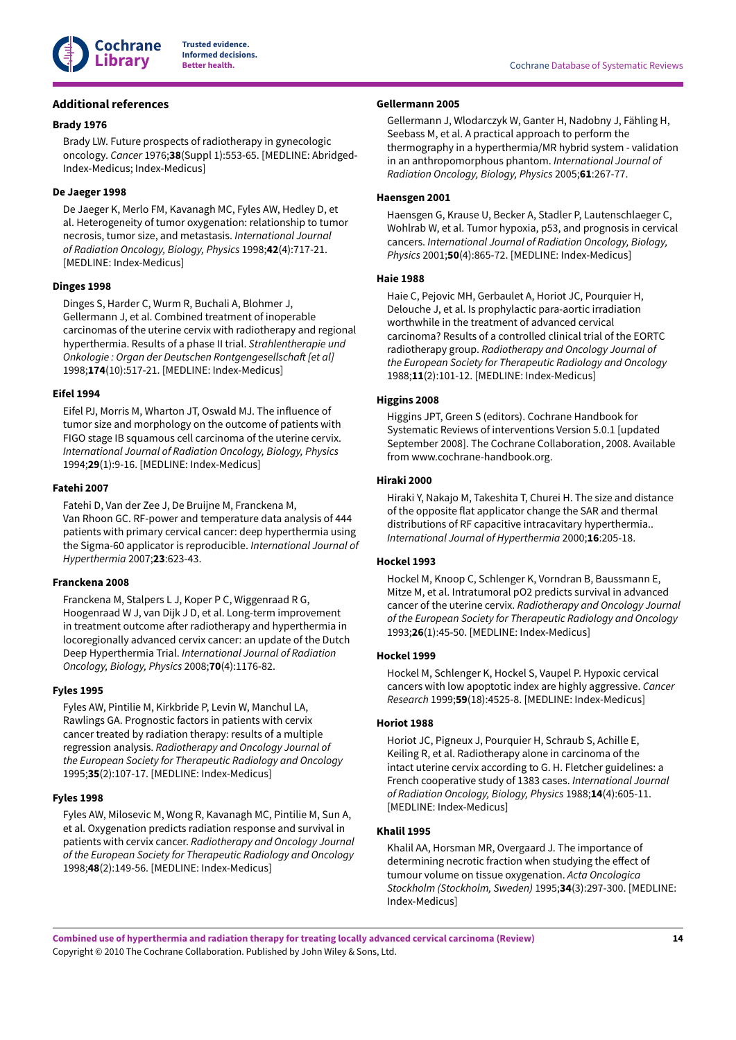

### **Additional references**

### <span id="page-16-10"></span>**Brady 1976**

Brady LW. Future prospects of radiotherapy in gynecologic oncology. *Cancer* 1976;**38**(Suppl 1):553-65. [MEDLINE: Abridged-Index-Medicus; Index-Medicus]

### <span id="page-16-7"></span>**De Jaeger 1998**

De Jaeger K, Merlo FM, Kavanagh MC, Fyles AW, Hedley D, et al. Heterogeneity of tumor oxygenation: relationship to tumor necrosis, tumor size, and metastasis. *International Journal of Radiation Oncology, Biology, Physics* 1998;**42**(4):717-21. [MEDLINE: Index-Medicus]

### <span id="page-16-11"></span>**Dinges 1998**

Dinges S, Harder C, Wurm R, Buchali A, Blohmer J, Gellermann J, et al. Combined treatment of inoperable carcinomas of the uterine cervix with radiotherapy and regional hyperthermia. Results of a phase II trial. *Strahlentherapie und Onkologie : Organ der Deutschen Rontgengesellscha1 [et al]* 1998;**174**(10):517-21. [MEDLINE: Index-Medicus]

### <span id="page-16-3"></span>**Eifel 1994**

Eifel PJ, Morris M, Wharton JT, Oswald MJ. The influence of tumor size and morphology on the outcome of patients with FIGO stage IB squamous cell carcinoma of the uterine cervix. *International Journal of Radiation Oncology, Biology, Physics* 1994;**29**(1):9-16. [MEDLINE: Index-Medicus]

### <span id="page-16-16"></span>**Fatehi 2007**

Fatehi D, Van der Zee J, De Bruijne M, Franckena M, Van Rhoon GC. RF-power and temperature data analysis of 444 patients with primary cervical cancer: deep hyperthermia using the Sigma-60 applicator is reproducible. *International Journal of Hyperthermia* 2007;**23**:623-43.

### <span id="page-16-13"></span>**Franckena 2008**

Franckena M, Stalpers L J, Koper P C, Wiggenraad R G, Hoogenraad W J, van Dijk J D, et al. Long-term improvement in treatment outcome after radiotherapy and hyperthermia in locoregionally advanced cervix cancer: an update of the Dutch Deep Hyperthermia Trial. *International Journal of Radiation Oncology, Biology, Physics* 2008;**70**(4):1176-82.

### <span id="page-16-0"></span>**Fyles 1995**

Fyles AW, Pintilie M, Kirkbride P, Levin W, Manchul LA, Rawlings GA. Prognostic factors in patients with cervix cancer treated by radiation therapy: results of a multiple regression analysis. *Radiotherapy and Oncology Journal of the European Society for Therapeutic Radiology and Oncology* 1995;**35**(2):107-17. [MEDLINE: Index-Medicus]

### <span id="page-16-9"></span>**Fyles 1998**

Fyles AW, Milosevic M, Wong R, Kavanagh MC, Pintilie M, Sun A, et al. Oxygenation predicts radiation response and survival in patients with cervix cancer. *Radiotherapy and Oncology Journal of the European Society for Therapeutic Radiology and Oncology* 1998;**48**(2):149-56. [MEDLINE: Index-Medicus]

### <span id="page-16-14"></span>**Gellermann 2005**

Gellermann J, Wlodarczyk W, Ganter H, Nadobny J, Fähling H, Seebass M, et al. A practical approach to perform the thermography in a hyperthermia/MR hybrid system - validation in an anthropomorphous phantom. *International Journal of Radiation Oncology, Biology, Physics* 2005;**61**:267-77.

### <span id="page-16-4"></span>**Haensgen 2001**

Haensgen G, Krause U, Becker A, Stadler P, Lautenschlaeger C, Wohlrab W, et al. Tumor hypoxia, p53, and prognosis in cervical cancers. *International Journal of Radiation Oncology, Biology, Physics* 2001;**50**(4):865-72. [MEDLINE: Index-Medicus]

### <span id="page-16-1"></span>**Haie 1988**

Haie C, Pejovic MH, Gerbaulet A, Horiot JC, Pourquier H, Delouche J, et al. Is prophylactic para-aortic irradiation worthwhile in the treatment of advanced cervical carcinoma? Results of a controlled clinical trial of the EORTC radiotherapy group. *Radiotherapy and Oncology Journal of the European Society for Therapeutic Radiology and Oncology* 1988;**11**(2):101-12. [MEDLINE: Index-Medicus]

### <span id="page-16-12"></span>**Higgins 2008**

Higgins JPT, Green S (editors). Cochrane Handbook for Systematic Reviews of interventions Version 5.0.1 [updated September 2008]. The Cochrane Collaboration, 2008. Available from www.cochrane-handbook.org.

# <span id="page-16-15"></span>**Hiraki 2000**

Hiraki Y, Nakajo M, Takeshita T, Churei H. The size and distance of the opposite flat applicator change the SAR and thermal distributions of RF capacitive intracavitary hyperthermia.. *International Journal of Hyperthermia* 2000;**16**:205-18.

### <span id="page-16-5"></span>**Hockel 1993**

Hockel M, Knoop C, Schlenger K, Vorndran B, Baussmann E, Mitze M, et al. Intratumoral pO2 predicts survival in advanced cancer of the uterine cervix. *Radiotherapy and Oncology Journal of the European Society for Therapeutic Radiology and Oncology* 1993;**26**(1):45-50. [MEDLINE: Index-Medicus]

### <span id="page-16-6"></span>**Hockel 1999**

Hockel M, Schlenger K, Hockel S, Vaupel P. Hypoxic cervical cancers with low apoptotic index are highly aggressive. *Cancer Research* 1999;**59**(18):4525-8. [MEDLINE: Index-Medicus]

### <span id="page-16-2"></span>**Horiot 1988**

Horiot JC, Pigneux J, Pourquier H, Schraub S, Achille E, Keiling R, et al. Radiotherapy alone in carcinoma of the intact uterine cervix according to G. H. Fletcher guidelines: a French cooperative study of 1383 cases. *International Journal of Radiation Oncology, Biology, Physics* 1988;**14**(4):605-11. [MEDLINE: Index-Medicus]

### <span id="page-16-8"></span>**Khalil 1995**

Khalil AA, Horsman MR, Overgaard J. The importance of determining necrotic fraction when studying the effect of tumour volume on tissue oxygenation. *Acta Oncologica Stockholm (Stockholm, Sweden)* 1995;**34**(3):297-300. [MEDLINE: Index-Medicus]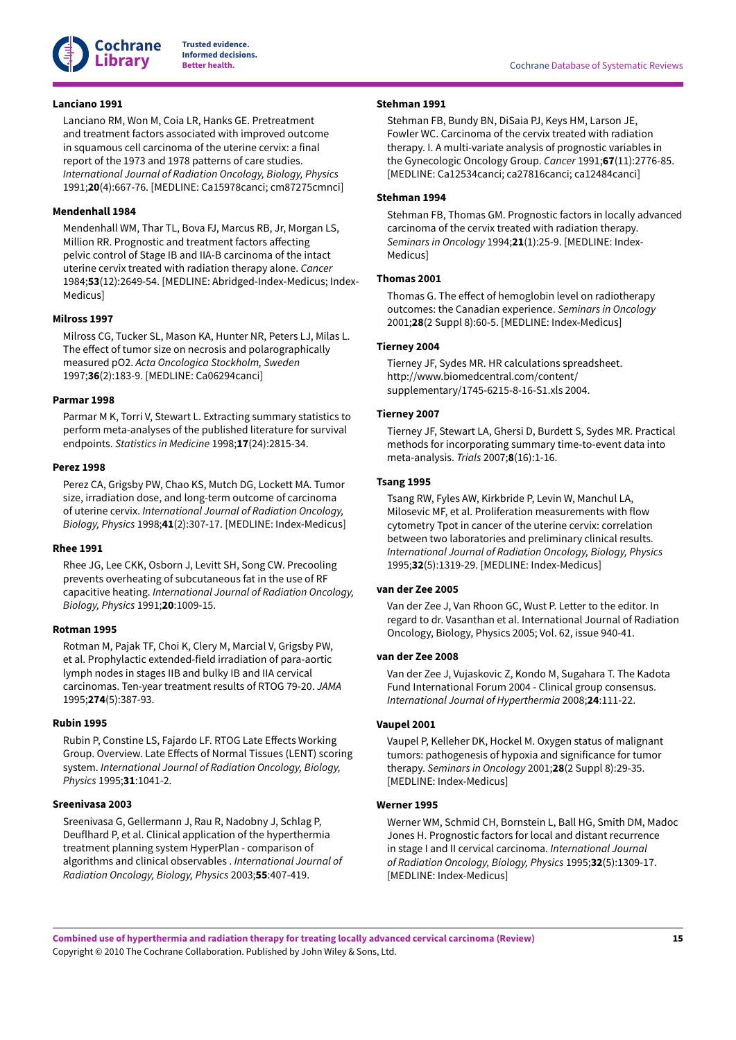

### <span id="page-17-3"></span>**Lanciano 1991**

Lanciano RM, Won M, Coia LR, Hanks GE. Pretreatment and treatment factors associated with improved outcome in squamous cell carcinoma of the uterine cervix: a final report of the 1973 and 1978 patterns of care studies. *International Journal of Radiation Oncology, Biology, Physics* 1991;**20**(4):667-76. [MEDLINE: Ca15978canci; cm87275cmnci]

### <span id="page-17-4"></span>**Mendenhall 1984**

Mendenhall WM, Thar TL, Bova FJ, Marcus RB, Jr, Morgan LS, Million RR. Prognostic and treatment factors affecting pelvic control of Stage IB and IIA-B carcinoma of the intact uterine cervix treated with radiation therapy alone. *Cancer* 1984;**53**(12):2649-54. [MEDLINE: Abridged-Index-Medicus; Index-Medicus]

### <span id="page-17-10"></span>**Milross 1997**

Milross CG, Tucker SL, Mason KA, Hunter NR, Peters LJ, Milas L. The effect of tumor size on necrosis and polarographically measured pO2. *Acta Oncologica Stockholm, Sweden* 1997;**36**(2):183-9. [MEDLINE: Ca06294canci]

### <span id="page-17-11"></span>**Parmar 1998**

Parmar M K, Torri V, Stewart L. Extracting summary statistics to perform meta-analyses of the published literature for survival endpoints. *Statistics in Medicine* 1998;**17**(24):2815-34.

#### <span id="page-17-2"></span>**Perez 1998**

Perez CA, Grigsby PW, Chao KS, Mutch DG, Lockett MA. Tumor size, irradiation dose, and long-term outcome of carcinoma of uterine cervix. *International Journal of Radiation Oncology, Biology, Physics* 1998;**41**(2):307-17. [MEDLINE: Index-Medicus]

#### <span id="page-17-18"></span>**Rhee 1991**

Rhee JG, Lee CKK, Osborn J, Levitt SH, Song CW. Precooling prevents overheating of subcutaneous fat in the use of RF capacitive heating. *International Journal of Radiation Oncology, Biology, Physics* 1991;**20**:1009-15.

### <span id="page-17-1"></span>**Rotman 1995**

Rotman M, Pajak TF, Choi K, Clery M, Marcial V, Grigsby PW, et al. Prophylactic extended-field irradiation of para-aortic lymph nodes in stages IIB and bulky IB and IIA cervical carcinomas. Ten-year treatment results of RTOG 79-20. *JAMA* 1995;**274**(5):387-93.

#### <span id="page-17-14"></span>**Rubin 1995**

Rubin P, Constine LS, Fajardo LF. RTOG Late Effects Working Group. Overview. Late Effects of Normal Tissues (LENT) scoring system. *International Journal of Radiation Oncology, Biology, Physics* 1995;**31**:1041-2.

### <span id="page-17-16"></span>**Sreenivasa 2003**

Sreenivasa G, Gellermann J, Rau R, Nadobny J, Schlag P, Deuflhard P, et al. Clinical application of the hyperthermia treatment planning system HyperPlan - comparison of algorithms and clinical observables . *International Journal of Radiation Oncology, Biology, Physics* 2003;**55**:407-419.

### <span id="page-17-0"></span>**Stehman 1991**

Stehman FB, Bundy BN, DiSaia PJ, Keys HM, Larson JE, Fowler WC. Carcinoma of the cervix treated with radiation therapy. I. A multi-variate analysis of prognostic variables in the Gynecologic Oncology Group. *Cancer* 1991;**67**(11):2776-85. [MEDLINE: Ca12534canci; ca27816canci; ca12484canci]

### <span id="page-17-5"></span>**Stehman 1994**

Stehman FB, Thomas GM. Prognostic factors in locally advanced carcinoma of the cervix treated with radiation therapy. *Seminars in Oncology* 1994;**21**(1):25-9. [MEDLINE: Index-Medicus]

#### <span id="page-17-6"></span>**Thomas 2001**

Thomas G. The effect of hemoglobin level on radiotherapy outcomes: the Canadian experience. *Seminars in Oncology* 2001;**28**(2 Suppl 8):60-5. [MEDLINE: Index-Medicus]

### <span id="page-17-13"></span>**Tierney 2004**

Tierney JF, Sydes MR. HR calculations spreadsheet. http://www.biomedcentral.com/content/ supplementary/1745-6215-8-16-S1.xls 2004.

#### <span id="page-17-12"></span>**Tierney 2007**

Tierney JF, Stewart LA, Ghersi D, Burdett S, Sydes MR. Practical methods for incorporating summary time-to-event data into meta-analysis. *Trials* 2007;**8**(16):1-16.

### <span id="page-17-7"></span>**Tsang 1995**

Tsang RW, Fyles AW, Kirkbride P, Levin W, Manchul LA, Milosevic MF, et al. Proliferation measurements with flow cytometry Tpot in cancer of the uterine cervix: correlation between two laboratories and preliminary clinical results. *International Journal of Radiation Oncology, Biology, Physics* 1995;**32**(5):1319-29. [MEDLINE: Index-Medicus]

### <span id="page-17-17"></span>**van der Zee 2005**

Van der Zee J, Van Rhoon GC, Wust P. Letter to the editor. In regard to dr. Vasanthan et al. International Journal of Radiation Oncology, Biology, Physics 2005; Vol. 62, issue 940-41.

#### <span id="page-17-15"></span>**van der Zee 2008**

Van der Zee J, Vujaskovic Z, Kondo M, Sugahara T. The Kadota Fund International Forum 2004 - Clinical group consensus. *International Journal of Hyperthermia* 2008;**24**:111-22.

### <span id="page-17-9"></span>**Vaupel 2001**

Vaupel P, Kelleher DK, Hockel M. Oxygen status of malignant tumors: pathogenesis of hypoxia and significance for tumor therapy. *Seminars in Oncology* 2001;**28**(2 Suppl 8):29-35. [MEDLINE: Index-Medicus]

#### <span id="page-17-8"></span>**Werner 1995**

Werner WM, Schmid CH, Bornstein L, Ball HG, Smith DM, Madoc Jones H. Prognostic factors for local and distant recurrence in stage I and II cervical carcinoma. *International Journal of Radiation Oncology, Biology, Physics* 1995;**32**(5):1309-17. [MEDLINE: Index-Medicus]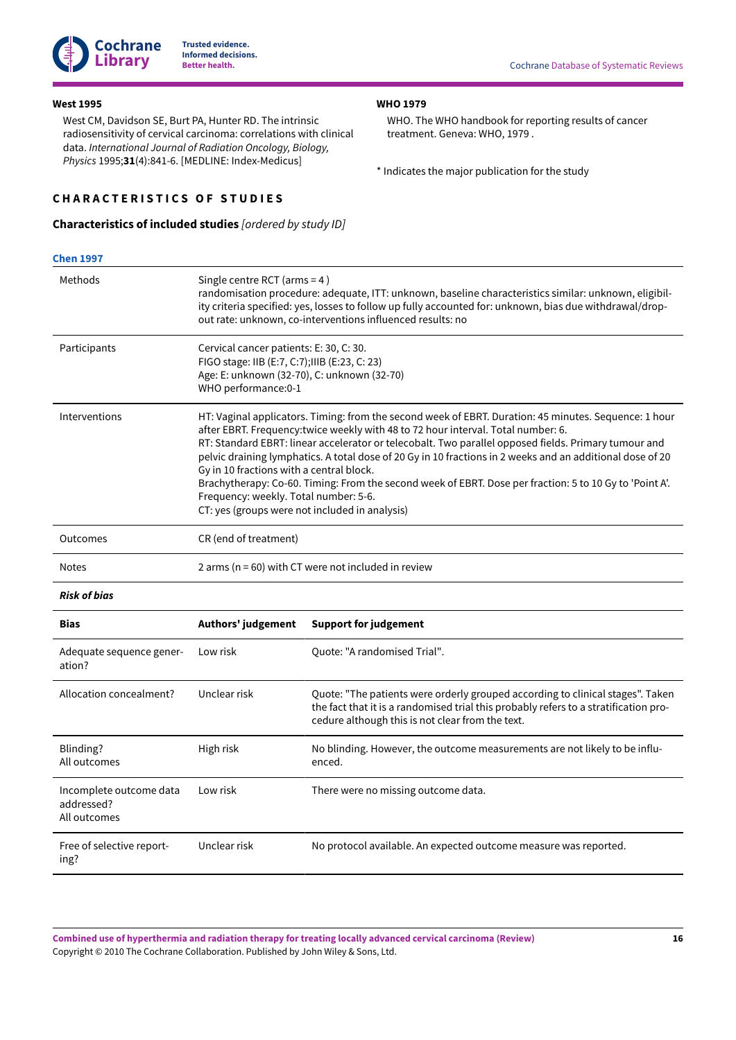

### <span id="page-18-1"></span>**West 1995**

West CM, Davidson SE, Burt PA, Hunter RD. The intrinsic radiosensitivity of cervical carcinoma: correlations with clinical data. *International Journal of Radiation Oncology, Biology, Physics* 1995;**31**(4):841-6. [MEDLINE: Index-Medicus]

### <span id="page-18-0"></span>**C H A R A C T E R I S T I C S O F S T U D I E S**

### <span id="page-18-3"></span>**Characteristics of included studies** *[ordered by study ID]*

WHO. The WHO handbook for reporting results of cancer treatment. Geneva: WHO, 1979 .

<span id="page-18-4"></span>\* Indicates the major publication for the study

<span id="page-18-2"></span>**WHO 1979**

| <b>Chen 1997</b>                                      |                                                                                   |                                                                                                                                                                                                                                                                                                                                                                                                                                                                                                                                                                             |  |  |  |  |  |  |
|-------------------------------------------------------|-----------------------------------------------------------------------------------|-----------------------------------------------------------------------------------------------------------------------------------------------------------------------------------------------------------------------------------------------------------------------------------------------------------------------------------------------------------------------------------------------------------------------------------------------------------------------------------------------------------------------------------------------------------------------------|--|--|--|--|--|--|
| Methods                                               |                                                                                   | Single centre RCT (arms = 4)<br>randomisation procedure: adequate, ITT: unknown, baseline characteristics similar: unknown, eligibil-<br>ity criteria specified: yes, losses to follow up fully accounted for: unknown, bias due withdrawal/drop-<br>out rate: unknown, co-interventions influenced results: no                                                                                                                                                                                                                                                             |  |  |  |  |  |  |
| Participants                                          | WHO performance:0-1                                                               | Cervical cancer patients: E: 30, C: 30.<br>FIGO stage: IIB (E:7, C:7);IIIB (E:23, C: 23)<br>Age: E: unknown (32-70), C: unknown (32-70)                                                                                                                                                                                                                                                                                                                                                                                                                                     |  |  |  |  |  |  |
| Interventions                                         | Gy in 10 fractions with a central block.<br>Frequency: weekly. Total number: 5-6. | HT: Vaginal applicators. Timing: from the second week of EBRT. Duration: 45 minutes. Sequence: 1 hour<br>after EBRT. Frequency:twice weekly with 48 to 72 hour interval. Total number: 6.<br>RT: Standard EBRT: linear accelerator or telecobalt. Two parallel opposed fields. Primary tumour and<br>pelvic draining lymphatics. A total dose of 20 Gy in 10 fractions in 2 weeks and an additional dose of 20<br>Brachytherapy: Co-60. Timing: From the second week of EBRT. Dose per fraction: 5 to 10 Gy to 'Point A'.<br>CT: yes (groups were not included in analysis) |  |  |  |  |  |  |
| Outcomes                                              | CR (end of treatment)                                                             |                                                                                                                                                                                                                                                                                                                                                                                                                                                                                                                                                                             |  |  |  |  |  |  |
| <b>Notes</b>                                          | 2 arms ( $n = 60$ ) with CT were not included in review                           |                                                                                                                                                                                                                                                                                                                                                                                                                                                                                                                                                                             |  |  |  |  |  |  |
| <b>Risk of bias</b>                                   |                                                                                   |                                                                                                                                                                                                                                                                                                                                                                                                                                                                                                                                                                             |  |  |  |  |  |  |
| <b>Bias</b>                                           | Authors' judgement                                                                | <b>Support for judgement</b>                                                                                                                                                                                                                                                                                                                                                                                                                                                                                                                                                |  |  |  |  |  |  |
| Adequate sequence gener-<br>ation?                    | Low risk                                                                          | Quote: "A randomised Trial".                                                                                                                                                                                                                                                                                                                                                                                                                                                                                                                                                |  |  |  |  |  |  |
| Allocation concealment?                               | Unclear risk                                                                      | Quote: "The patients were orderly grouped according to clinical stages". Taken<br>the fact that it is a randomised trial this probably refers to a stratification pro-<br>cedure although this is not clear from the text.                                                                                                                                                                                                                                                                                                                                                  |  |  |  |  |  |  |
| Blinding?<br>All outcomes                             | High risk                                                                         | No blinding. However, the outcome measurements are not likely to be influ-<br>enced.                                                                                                                                                                                                                                                                                                                                                                                                                                                                                        |  |  |  |  |  |  |
| Incomplete outcome data<br>addressed?<br>All outcomes | Low risk                                                                          | There were no missing outcome data.                                                                                                                                                                                                                                                                                                                                                                                                                                                                                                                                         |  |  |  |  |  |  |
| Free of selective report-<br>ing?                     | Unclear risk                                                                      | No protocol available. An expected outcome measure was reported.                                                                                                                                                                                                                                                                                                                                                                                                                                                                                                            |  |  |  |  |  |  |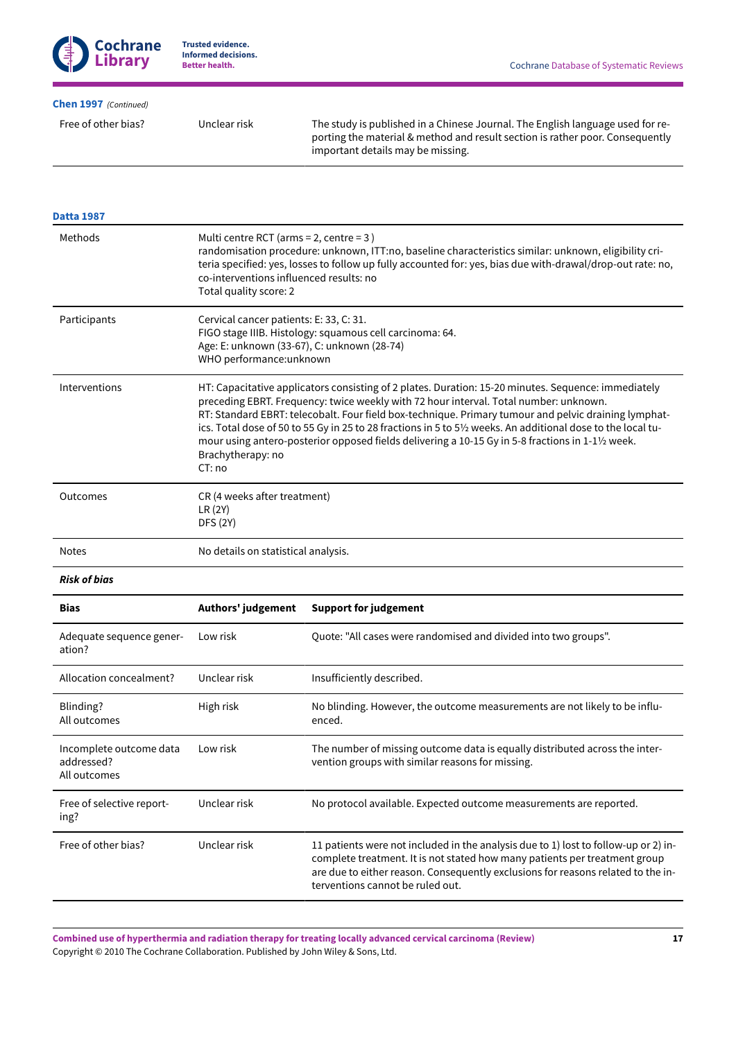### **[Chen 1997](#page-15-1)**  *(Continued)*

Free of other bias? Unclear risk The study is published in a Chinese Journal. The English language used for reporting the material & method and result section is rather poor. Consequently important details may be missing.

| <b>Datta 1987</b>                                     |                                                            |                                                                                                                                                                                                                                                                                                                                                                                                                                                                                                                           |  |  |  |  |  |  |
|-------------------------------------------------------|------------------------------------------------------------|---------------------------------------------------------------------------------------------------------------------------------------------------------------------------------------------------------------------------------------------------------------------------------------------------------------------------------------------------------------------------------------------------------------------------------------------------------------------------------------------------------------------------|--|--|--|--|--|--|
| Methods                                               | Total quality score: 2                                     | Multi centre RCT (arms = 2, centre = $3$ )<br>randomisation procedure: unknown, ITT:no, baseline characteristics similar: unknown, eligibility cri-<br>teria specified: yes, losses to follow up fully accounted for: yes, bias due with-drawal/drop-out rate: no,<br>co-interventions influenced results: no                                                                                                                                                                                                             |  |  |  |  |  |  |
| Participants                                          |                                                            | Cervical cancer patients: E: 33, C: 31.<br>FIGO stage IIIB. Histology: squamous cell carcinoma: 64.<br>Age: E: unknown (33-67), C: unknown (28-74)<br>WHO performance:unknown                                                                                                                                                                                                                                                                                                                                             |  |  |  |  |  |  |
| Interventions                                         | Brachytherapy: no<br>CT: no                                | HT: Capacitative applicators consisting of 2 plates. Duration: 15-20 minutes. Sequence: immediately<br>preceding EBRT. Frequency: twice weekly with 72 hour interval. Total number: unknown.<br>RT: Standard EBRT: telecobalt. Four field box-technique. Primary tumour and pelvic draining lymphat-<br>ics. Total dose of 50 to 55 Gy in 25 to 28 fractions in 5 to 51/2 weeks. An additional dose to the local tu-<br>mour using antero-posterior opposed fields delivering a 10-15 Gy in 5-8 fractions in 1-11/2 week. |  |  |  |  |  |  |
| Outcomes                                              | CR (4 weeks after treatment)<br>LR (2Y)<br><b>DFS (2Y)</b> |                                                                                                                                                                                                                                                                                                                                                                                                                                                                                                                           |  |  |  |  |  |  |
| <b>Notes</b>                                          | No details on statistical analysis.                        |                                                                                                                                                                                                                                                                                                                                                                                                                                                                                                                           |  |  |  |  |  |  |
| <b>Risk of bias</b>                                   |                                                            |                                                                                                                                                                                                                                                                                                                                                                                                                                                                                                                           |  |  |  |  |  |  |
| <b>Bias</b>                                           | Authors' judgement                                         | <b>Support for judgement</b>                                                                                                                                                                                                                                                                                                                                                                                                                                                                                              |  |  |  |  |  |  |
| Adequate sequence gener-<br>ation?                    | Low risk                                                   | Quote: "All cases were randomised and divided into two groups".                                                                                                                                                                                                                                                                                                                                                                                                                                                           |  |  |  |  |  |  |
| Allocation concealment?                               | Unclear risk                                               | Insufficiently described.                                                                                                                                                                                                                                                                                                                                                                                                                                                                                                 |  |  |  |  |  |  |
| Blinding?<br>All outcomes                             | High risk                                                  | No blinding. However, the outcome measurements are not likely to be influ-<br>enced.                                                                                                                                                                                                                                                                                                                                                                                                                                      |  |  |  |  |  |  |
| Incomplete outcome data<br>addressed?<br>All outcomes | Low risk                                                   | The number of missing outcome data is equally distributed across the inter-<br>vention groups with similar reasons for missing.                                                                                                                                                                                                                                                                                                                                                                                           |  |  |  |  |  |  |
| Free of selective report-<br>ing?                     | Unclear risk                                               | No protocol available. Expected outcome measurements are reported.                                                                                                                                                                                                                                                                                                                                                                                                                                                        |  |  |  |  |  |  |
| Free of other bias?                                   | Unclear risk                                               | 11 patients were not included in the analysis due to 1) lost to follow-up or 2) in-<br>complete treatment. It is not stated how many patients per treatment group<br>are due to either reason. Consequently exclusions for reasons related to the in-<br>terventions cannot be ruled out.                                                                                                                                                                                                                                 |  |  |  |  |  |  |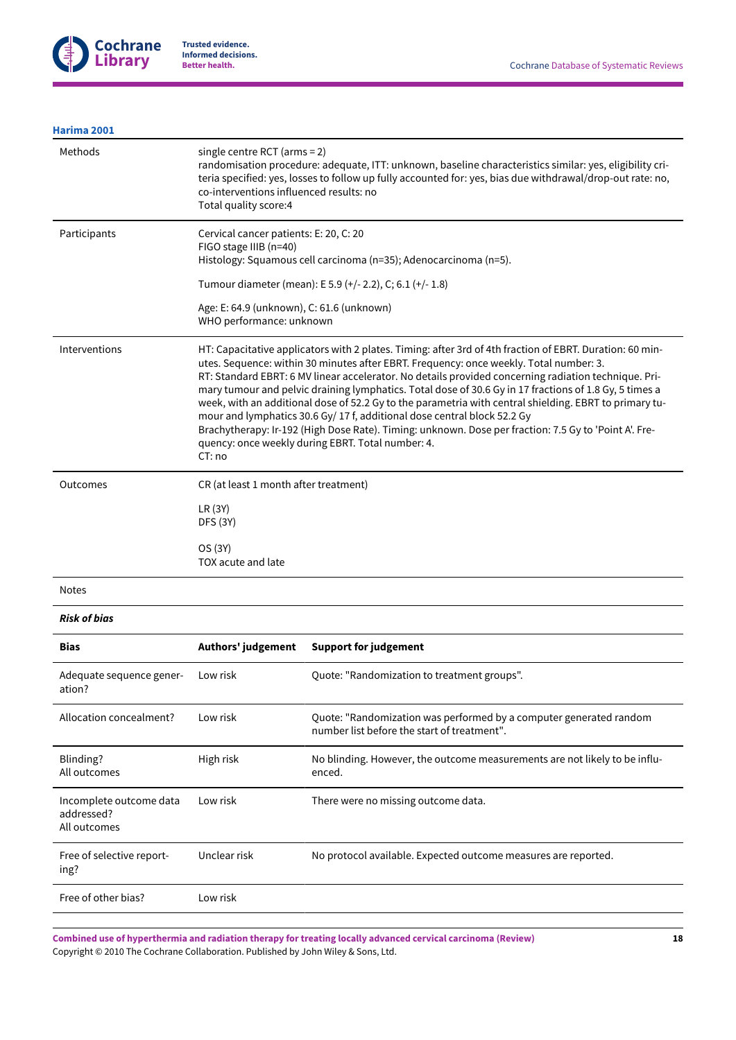

## **[Harima 2001](#page-15-3)**

| Methods                            | single centre RCT ( $arms = 2$ )<br>co-interventions influenced results: no<br>Total quality score:4                                                                                                                                                                                                                                                                                                                                                                                                                                                                                                                                                                                                                                                                              | randomisation procedure: adequate, ITT: unknown, baseline characteristics similar: yes, eligibility cri-<br>teria specified: yes, losses to follow up fully accounted for: yes, bias due withdrawal/drop-out rate: no, |  |  |  |  |  |
|------------------------------------|-----------------------------------------------------------------------------------------------------------------------------------------------------------------------------------------------------------------------------------------------------------------------------------------------------------------------------------------------------------------------------------------------------------------------------------------------------------------------------------------------------------------------------------------------------------------------------------------------------------------------------------------------------------------------------------------------------------------------------------------------------------------------------------|------------------------------------------------------------------------------------------------------------------------------------------------------------------------------------------------------------------------|--|--|--|--|--|
| Participants                       | Cervical cancer patients: E: 20, C: 20<br>FIGO stage IIIB (n=40)                                                                                                                                                                                                                                                                                                                                                                                                                                                                                                                                                                                                                                                                                                                  | Histology: Squamous cell carcinoma (n=35); Adenocarcinoma (n=5).                                                                                                                                                       |  |  |  |  |  |
|                                    |                                                                                                                                                                                                                                                                                                                                                                                                                                                                                                                                                                                                                                                                                                                                                                                   | Tumour diameter (mean): E 5.9 (+/- 2.2), C; 6.1 (+/- 1.8)                                                                                                                                                              |  |  |  |  |  |
|                                    | Age: E: 64.9 (unknown), C: 61.6 (unknown)<br>WHO performance: unknown                                                                                                                                                                                                                                                                                                                                                                                                                                                                                                                                                                                                                                                                                                             |                                                                                                                                                                                                                        |  |  |  |  |  |
| Interventions                      | HT: Capacitative applicators with 2 plates. Timing: after 3rd of 4th fraction of EBRT. Duration: 60 min-<br>utes. Sequence: within 30 minutes after EBRT. Frequency: once weekly. Total number: 3.<br>RT: Standard EBRT: 6 MV linear accelerator. No details provided concerning radiation technique. Pri-<br>mary tumour and pelvic draining lymphatics. Total dose of 30.6 Gy in 17 fractions of 1.8 Gy, 5 times a<br>week, with an additional dose of 52.2 Gy to the parametria with central shielding. EBRT to primary tu-<br>mour and lymphatics 30.6 Gy/ 17 f, additional dose central block 52.2 Gy<br>Brachytherapy: Ir-192 (High Dose Rate). Timing: unknown. Dose per fraction: 7.5 Gy to 'Point A'. Fre-<br>quency: once weekly during EBRT. Total number: 4.<br>CT:no |                                                                                                                                                                                                                        |  |  |  |  |  |
| Outcomes                           | CR (at least 1 month after treatment)                                                                                                                                                                                                                                                                                                                                                                                                                                                                                                                                                                                                                                                                                                                                             |                                                                                                                                                                                                                        |  |  |  |  |  |
|                                    | LR(3Y)<br><b>DFS (3Y)</b>                                                                                                                                                                                                                                                                                                                                                                                                                                                                                                                                                                                                                                                                                                                                                         |                                                                                                                                                                                                                        |  |  |  |  |  |
|                                    | OS (3Y)<br>TOX acute and late                                                                                                                                                                                                                                                                                                                                                                                                                                                                                                                                                                                                                                                                                                                                                     |                                                                                                                                                                                                                        |  |  |  |  |  |
| <b>Notes</b>                       |                                                                                                                                                                                                                                                                                                                                                                                                                                                                                                                                                                                                                                                                                                                                                                                   |                                                                                                                                                                                                                        |  |  |  |  |  |
| <b>Risk of bias</b>                |                                                                                                                                                                                                                                                                                                                                                                                                                                                                                                                                                                                                                                                                                                                                                                                   |                                                                                                                                                                                                                        |  |  |  |  |  |
| <b>Bias</b>                        | Authors' judgement                                                                                                                                                                                                                                                                                                                                                                                                                                                                                                                                                                                                                                                                                                                                                                | <b>Support for judgement</b>                                                                                                                                                                                           |  |  |  |  |  |
| Adequate sequence gener-<br>ation? | Low risk                                                                                                                                                                                                                                                                                                                                                                                                                                                                                                                                                                                                                                                                                                                                                                          | Quote: "Randomization to treatment groups".                                                                                                                                                                            |  |  |  |  |  |
| Allocation concealment?            | Low risk                                                                                                                                                                                                                                                                                                                                                                                                                                                                                                                                                                                                                                                                                                                                                                          | Quote: "Randomization was performed by a computer generated random<br>number list before the start of treatment".                                                                                                      |  |  |  |  |  |

| Blinding?<br>All outcomes                             | High risk    | No blinding. However, the outcome measurements are not likely to be influ-<br>enced. |
|-------------------------------------------------------|--------------|--------------------------------------------------------------------------------------|
| Incomplete outcome data<br>addressed?<br>All outcomes | Low risk     | There were no missing outcome data.                                                  |
| Free of selective report-<br>ing?                     | Unclear risk | No protocol available. Expected outcome measures are reported.                       |
| Free of other bias?                                   | Low risk     |                                                                                      |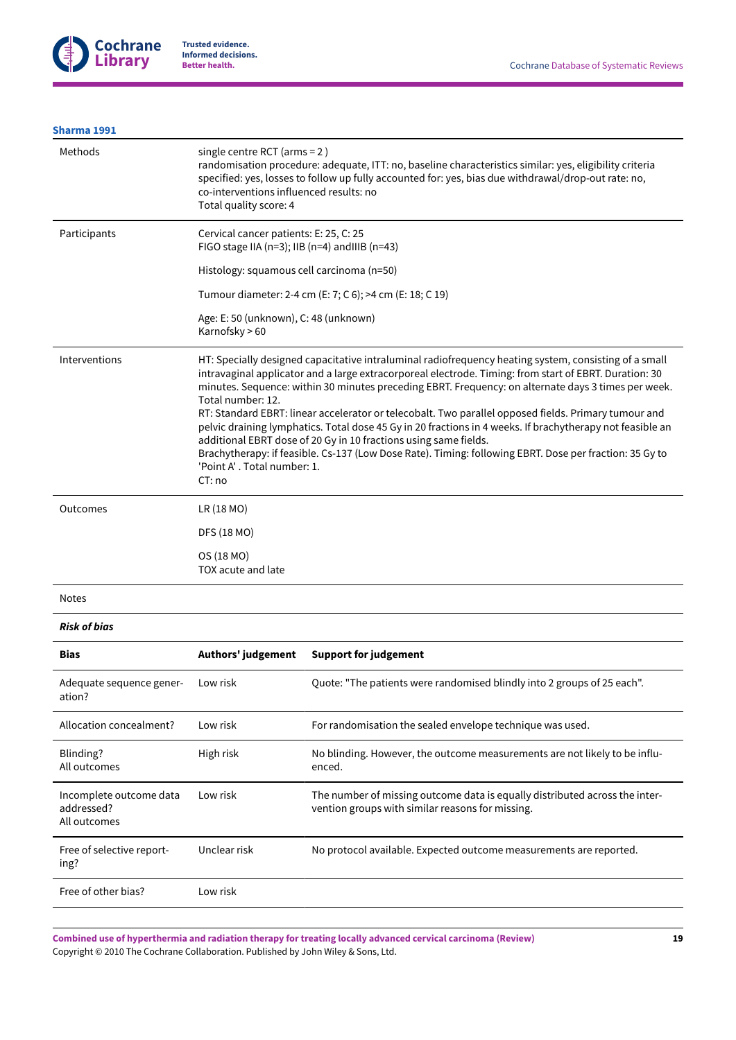### **[Sharma 1991](#page-15-4)**

| Methods       | single centre RCT (arms = $2$ )<br>randomisation procedure: adequate, ITT: no, baseline characteristics similar: yes, eligibility criteria<br>specified: yes, losses to follow up fully accounted for: yes, bias due withdrawal/drop-out rate: no,<br>co-interventions influenced results: no<br>Total quality score: 4                                                                                                                                                                                                                                                                                                                                                                                                                                                                 |
|---------------|-----------------------------------------------------------------------------------------------------------------------------------------------------------------------------------------------------------------------------------------------------------------------------------------------------------------------------------------------------------------------------------------------------------------------------------------------------------------------------------------------------------------------------------------------------------------------------------------------------------------------------------------------------------------------------------------------------------------------------------------------------------------------------------------|
| Participants  | Cervical cancer patients: E: 25, C: 25<br>FIGO stage IIA ( $n=3$ ); IIB ( $n=4$ ) and IIIB ( $n=43$ )<br>Histology: squamous cell carcinoma (n=50)                                                                                                                                                                                                                                                                                                                                                                                                                                                                                                                                                                                                                                      |
|               | Tumour diameter: 2-4 cm (E: 7; C 6); >4 cm (E: 18; C 19)                                                                                                                                                                                                                                                                                                                                                                                                                                                                                                                                                                                                                                                                                                                                |
|               | Age: E: 50 (unknown), C: 48 (unknown)<br>Karnofsky > 60                                                                                                                                                                                                                                                                                                                                                                                                                                                                                                                                                                                                                                                                                                                                 |
| Interventions | HT: Specially designed capacitative intraluminal radiofrequency heating system, consisting of a small<br>intravaginal applicator and a large extracorporeal electrode. Timing: from start of EBRT. Duration: 30<br>minutes. Sequence: within 30 minutes preceding EBRT. Frequency: on alternate days 3 times per week.<br>Total number: 12.<br>RT: Standard EBRT: linear accelerator or telecobalt. Two parallel opposed fields. Primary tumour and<br>pelvic draining lymphatics. Total dose 45 Gy in 20 fractions in 4 weeks. If brachytherapy not feasible an<br>additional EBRT dose of 20 Gy in 10 fractions using same fields.<br>Brachytherapy: if feasible. Cs-137 (Low Dose Rate). Timing: following EBRT. Dose per fraction: 35 Gy to<br>'Point A', Total number: 1.<br>CT:no |
| Outcomes      | LR (18 MO)                                                                                                                                                                                                                                                                                                                                                                                                                                                                                                                                                                                                                                                                                                                                                                              |
|               | DFS (18 MO)                                                                                                                                                                                                                                                                                                                                                                                                                                                                                                                                                                                                                                                                                                                                                                             |
|               | OS (18 MO)<br>TOX acute and late                                                                                                                                                                                                                                                                                                                                                                                                                                                                                                                                                                                                                                                                                                                                                        |

#### Notes

*Risk of bias*

| <b>Bias</b>                                           | Authors' judgement | <b>Support for judgement</b>                                                                                                    |
|-------------------------------------------------------|--------------------|---------------------------------------------------------------------------------------------------------------------------------|
| Adequate sequence gener-<br>ation?                    | Low risk           | Ouote: "The patients were randomised blindly into 2 groups of 25 each".                                                         |
| Allocation concealment?                               | Low risk           | For randomisation the sealed envelope technique was used.                                                                       |
| Blinding?<br>All outcomes                             | High risk          | No blinding. However, the outcome measurements are not likely to be influ-<br>enced.                                            |
| Incomplete outcome data<br>addressed?<br>All outcomes | Low risk           | The number of missing outcome data is equally distributed across the inter-<br>vention groups with similar reasons for missing. |
| Free of selective report-<br>ing?                     | Unclear risk       | No protocol available. Expected outcome measurements are reported.                                                              |
| Free of other bias?                                   | Low risk           |                                                                                                                                 |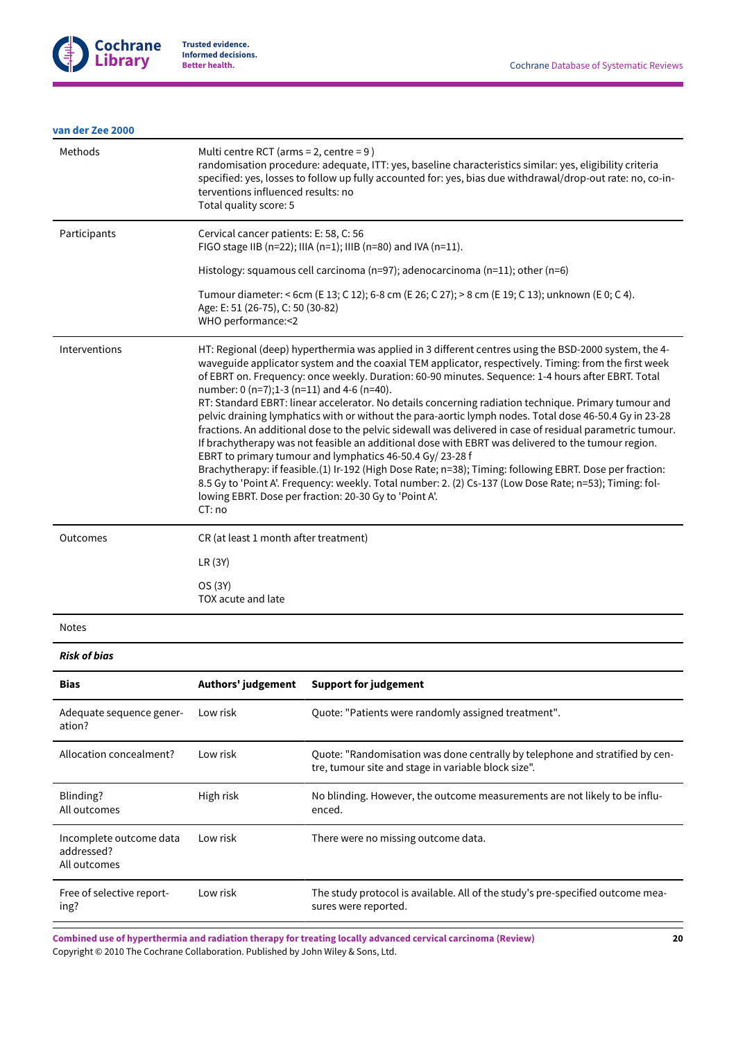

### **van der Zee [2000](#page-15-5)**

| Methods       | Multi centre RCT (arms = $2$ , centre = $9$ )<br>randomisation procedure: adequate, ITT: yes, baseline characteristics similar: yes, eligibility criteria<br>specified: yes, losses to follow up fully accounted for: yes, bias due withdrawal/drop-out rate: no, co-in-<br>terventions influenced results: no<br>Total quality score: 5                                                                                                                                                                                                                                                                                                                                                                                                                                                                                                                                                                                                                                                                                                                                                                                                                       |
|---------------|----------------------------------------------------------------------------------------------------------------------------------------------------------------------------------------------------------------------------------------------------------------------------------------------------------------------------------------------------------------------------------------------------------------------------------------------------------------------------------------------------------------------------------------------------------------------------------------------------------------------------------------------------------------------------------------------------------------------------------------------------------------------------------------------------------------------------------------------------------------------------------------------------------------------------------------------------------------------------------------------------------------------------------------------------------------------------------------------------------------------------------------------------------------|
| Participants  | Cervical cancer patients: E: 58, C: 56<br>FIGO stage IIB (n=22); IIIA (n=1); IIIB (n=80) and IVA (n=11).                                                                                                                                                                                                                                                                                                                                                                                                                                                                                                                                                                                                                                                                                                                                                                                                                                                                                                                                                                                                                                                       |
|               | Histology: squamous cell carcinoma (n=97); adenocarcinoma (n=11); other (n=6)                                                                                                                                                                                                                                                                                                                                                                                                                                                                                                                                                                                                                                                                                                                                                                                                                                                                                                                                                                                                                                                                                  |
|               | Tumour diameter: < 6cm (E 13; C 12); 6-8 cm (E 26; C 27); > 8 cm (E 19; C 13); unknown (E 0; C 4).<br>Age: E: 51 (26-75), C: 50 (30-82)<br>WHO performance: < 2                                                                                                                                                                                                                                                                                                                                                                                                                                                                                                                                                                                                                                                                                                                                                                                                                                                                                                                                                                                                |
| Interventions | HT: Regional (deep) hyperthermia was applied in 3 different centres using the BSD-2000 system, the 4-<br>waveguide applicator system and the coaxial TEM applicator, respectively. Timing: from the first week<br>of EBRT on. Frequency: once weekly. Duration: 60-90 minutes. Sequence: 1-4 hours after EBRT. Total<br>number: 0 (n=7);1-3 (n=11) and 4-6 (n=40).<br>RT: Standard EBRT: linear accelerator. No details concerning radiation technique. Primary tumour and<br>pelvic draining lymphatics with or without the para-aortic lymph nodes. Total dose 46-50.4 Gy in 23-28<br>fractions. An additional dose to the pelvic sidewall was delivered in case of residual parametric tumour.<br>If brachytherapy was not feasible an additional dose with EBRT was delivered to the tumour region.<br>EBRT to primary tumour and lymphatics 46-50.4 Gy/ 23-28 f<br>Brachytherapy: if feasible.(1) Ir-192 (High Dose Rate; n=38); Timing: following EBRT. Dose per fraction:<br>8.5 Gy to 'Point A'. Frequency: weekly. Total number: 2. (2) Cs-137 (Low Dose Rate; n=53); Timing: fol-<br>lowing EBRT. Dose per fraction: 20-30 Gy to 'Point A'.<br>CT:no |
| Outcomes      | CR (at least 1 month after treatment)                                                                                                                                                                                                                                                                                                                                                                                                                                                                                                                                                                                                                                                                                                                                                                                                                                                                                                                                                                                                                                                                                                                          |
|               | LR(3Y)                                                                                                                                                                                                                                                                                                                                                                                                                                                                                                                                                                                                                                                                                                                                                                                                                                                                                                                                                                                                                                                                                                                                                         |
|               | OS (3Y)<br>TOX acute and late                                                                                                                                                                                                                                                                                                                                                                                                                                                                                                                                                                                                                                                                                                                                                                                                                                                                                                                                                                                                                                                                                                                                  |

Notes

*Risk of bias*

| <b>Bias</b>                                           | Authors' judgement | <b>Support for judgement</b>                                                                                                        |
|-------------------------------------------------------|--------------------|-------------------------------------------------------------------------------------------------------------------------------------|
| Adequate sequence gener-<br>ation?                    | Low risk           | Quote: "Patients were randomly assigned treatment".                                                                                 |
| Allocation concealment?                               | Low risk           | Quote: "Randomisation was done centrally by telephone and stratified by cen-<br>tre, tumour site and stage in variable block size". |
| Blinding?<br>All outcomes                             | High risk          | No blinding. However, the outcome measurements are not likely to be influ-<br>enced.                                                |
| Incomplete outcome data<br>addressed?<br>All outcomes | Low risk           | There were no missing outcome data.                                                                                                 |
| Free of selective report-<br>ing?                     | Low risk           | The study protocol is available. All of the study's pre-specified outcome mea-<br>sures were reported.                              |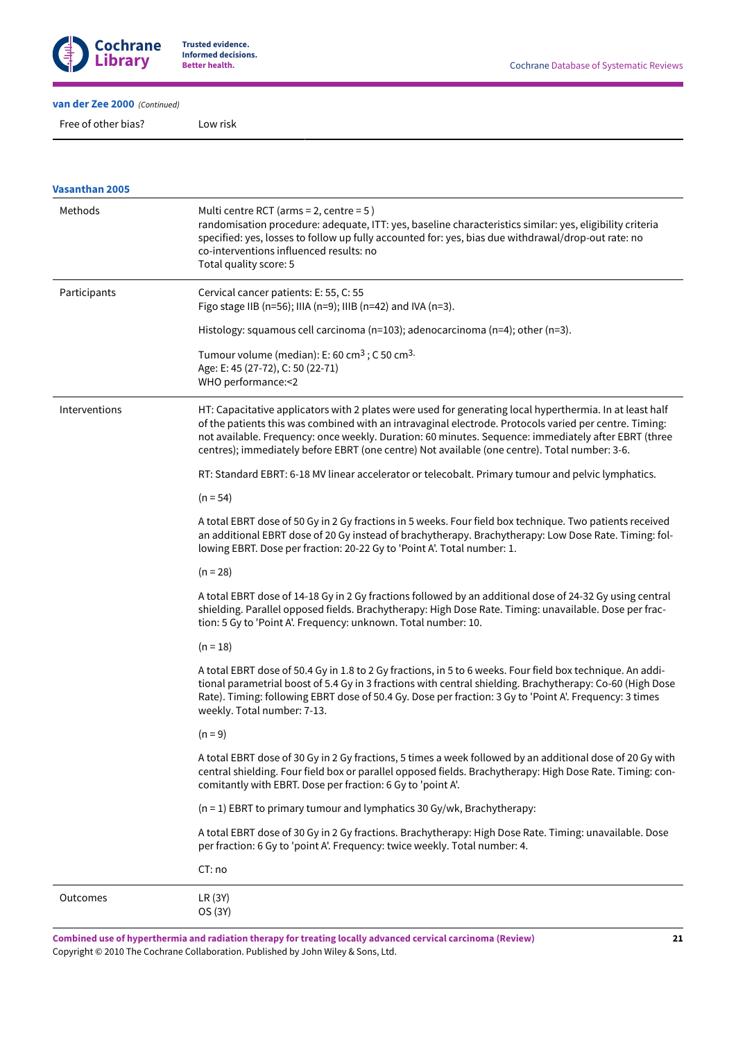

**Better health.** Cochrane Database of Systematic Reviews

**van der Zee [2000](#page-15-5)**  *(Continued)*

Free of other bias? Low risk

| <b>Vasanthan 2005</b> |                                                                                                                                                                                                                                                                                                                                                                                                                             |  |  |  |  |  |  |  |
|-----------------------|-----------------------------------------------------------------------------------------------------------------------------------------------------------------------------------------------------------------------------------------------------------------------------------------------------------------------------------------------------------------------------------------------------------------------------|--|--|--|--|--|--|--|
| Methods               | Multi centre RCT (arms = 2, centre = $5$ )<br>randomisation procedure: adequate, ITT: yes, baseline characteristics similar: yes, eligibility criteria<br>specified: yes, losses to follow up fully accounted for: yes, bias due withdrawal/drop-out rate: no<br>co-interventions influenced results: no<br>Total quality score: 5                                                                                          |  |  |  |  |  |  |  |
| Participants          | Cervical cancer patients: E: 55, C: 55<br>Figo stage IIB (n=56); IIIA (n=9); IIIB (n=42) and IVA (n=3).                                                                                                                                                                                                                                                                                                                     |  |  |  |  |  |  |  |
|                       | Histology: squamous cell carcinoma ( $n=103$ ); adenocarcinoma ( $n=4$ ); other ( $n=3$ ).                                                                                                                                                                                                                                                                                                                                  |  |  |  |  |  |  |  |
|                       | Tumour volume (median): E: 60 cm <sup>3</sup> ; C 50 cm <sup>3.</sup><br>Age: E: 45 (27-72), C: 50 (22-71)<br>WHO performance: < 2                                                                                                                                                                                                                                                                                          |  |  |  |  |  |  |  |
| Interventions         | HT: Capacitative applicators with 2 plates were used for generating local hyperthermia. In at least half<br>of the patients this was combined with an intravaginal electrode. Protocols varied per centre. Timing:<br>not available. Frequency: once weekly. Duration: 60 minutes. Sequence: immediately after EBRT (three<br>centres); immediately before EBRT (one centre) Not available (one centre). Total number: 3-6. |  |  |  |  |  |  |  |
|                       | RT: Standard EBRT: 6-18 MV linear accelerator or telecobalt. Primary tumour and pelvic lymphatics.                                                                                                                                                                                                                                                                                                                          |  |  |  |  |  |  |  |
|                       | $(n = 54)$                                                                                                                                                                                                                                                                                                                                                                                                                  |  |  |  |  |  |  |  |
|                       | A total EBRT dose of 50 Gy in 2 Gy fractions in 5 weeks. Four field box technique. Two patients received<br>an additional EBRT dose of 20 Gy instead of brachytherapy. Brachytherapy: Low Dose Rate. Timing: fol-<br>lowing EBRT. Dose per fraction: 20-22 Gy to 'Point A'. Total number: 1.                                                                                                                                |  |  |  |  |  |  |  |
|                       | $(n = 28)$                                                                                                                                                                                                                                                                                                                                                                                                                  |  |  |  |  |  |  |  |
|                       | A total EBRT dose of 14-18 Gy in 2 Gy fractions followed by an additional dose of 24-32 Gy using central<br>shielding. Parallel opposed fields. Brachytherapy: High Dose Rate. Timing: unavailable. Dose per frac-<br>tion: 5 Gy to 'Point A'. Frequency: unknown. Total number: 10.                                                                                                                                        |  |  |  |  |  |  |  |
|                       | $(n = 18)$                                                                                                                                                                                                                                                                                                                                                                                                                  |  |  |  |  |  |  |  |
|                       | A total EBRT dose of 50.4 Gy in 1.8 to 2 Gy fractions, in 5 to 6 weeks. Four field box technique. An addi-<br>tional parametrial boost of 5.4 Gy in 3 fractions with central shielding. Brachytherapy: Co-60 (High Dose<br>Rate). Timing: following EBRT dose of 50.4 Gy. Dose per fraction: 3 Gy to 'Point A'. Frequency: 3 times<br>weekly. Total number: 7-13.                                                           |  |  |  |  |  |  |  |
|                       | $(n = 9)$                                                                                                                                                                                                                                                                                                                                                                                                                   |  |  |  |  |  |  |  |
|                       | A total EBRT dose of 30 Gy in 2 Gy fractions, 5 times a week followed by an additional dose of 20 Gy with<br>central shielding. Four field box or parallel opposed fields. Brachytherapy: High Dose Rate. Timing: con-<br>comitantly with EBRT. Dose per fraction: 6 Gy to 'point A'.                                                                                                                                       |  |  |  |  |  |  |  |
|                       | $(n = 1)$ EBRT to primary tumour and lymphatics 30 Gy/wk, Brachytherapy:                                                                                                                                                                                                                                                                                                                                                    |  |  |  |  |  |  |  |
|                       | A total EBRT dose of 30 Gy in 2 Gy fractions. Brachytherapy: High Dose Rate. Timing: unavailable. Dose<br>per fraction: 6 Gy to 'point A'. Frequency: twice weekly. Total number: 4.                                                                                                                                                                                                                                        |  |  |  |  |  |  |  |
|                       | CT: no                                                                                                                                                                                                                                                                                                                                                                                                                      |  |  |  |  |  |  |  |
| Outcomes              | LR (3Y)<br>OS (3Y)                                                                                                                                                                                                                                                                                                                                                                                                          |  |  |  |  |  |  |  |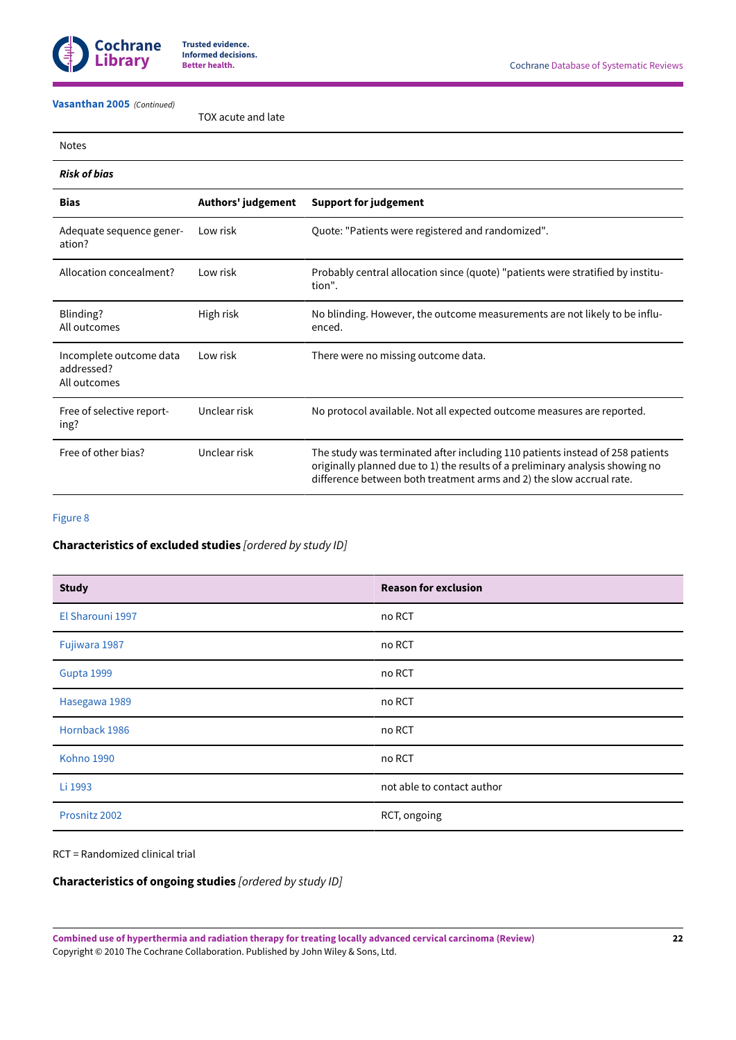

# **[Vasanthan](#page-15-6) 2005**  *(Continued)*

### TOX acute and late

| NOT<br>r |
|----------|
|----------|

# *Risk of bias*

| <b>Bias</b>                                           | Authors' judgement | <b>Support for judgement</b>                                                                                                                                                                                                           |
|-------------------------------------------------------|--------------------|----------------------------------------------------------------------------------------------------------------------------------------------------------------------------------------------------------------------------------------|
| Adequate sequence gener-<br>ation?                    | Low risk           | Quote: "Patients were registered and randomized".                                                                                                                                                                                      |
| Allocation concealment?                               | Low risk           | Probably central allocation since (quote) "patients were stratified by institu-<br>tion".                                                                                                                                              |
| Blinding?<br>All outcomes                             | High risk          | No blinding. However, the outcome measurements are not likely to be influ-<br>enced.                                                                                                                                                   |
| Incomplete outcome data<br>addressed?<br>All outcomes | Low risk           | There were no missing outcome data.                                                                                                                                                                                                    |
| Free of selective report-<br>ing?                     | Unclear risk       | No protocol available. Not all expected outcome measures are reported.                                                                                                                                                                 |
| Free of other bias?                                   | Unclear risk       | The study was terminated after including 110 patients instead of 258 patients<br>originally planned due to 1) the results of a preliminary analysis showing no<br>difference between both treatment arms and 2) the slow accrual rate. |

### [Figure](#page-32-0) 8

# **Characteristics of excluded studies** *[ordered by study ID]*

| <b>Study</b>      | <b>Reason for exclusion</b> |
|-------------------|-----------------------------|
| El Sharouni 1997  | no RCT                      |
| Fujiwara 1987     | no RCT                      |
| Gupta 1999        | no RCT                      |
| Hasegawa 1989     | no RCT                      |
| Hornback 1986     | no RCT                      |
| <b>Kohno 1990</b> | no RCT                      |
| Li 1993           | not able to contact author  |
| Prosnitz 2002     | RCT, ongoing                |

## RCT = Randomized clinical trial

# **Characteristics of ongoing studies** *[ordered by study ID]*

**Combined use of hyperthermia and radiation therapy for treating locally advanced cervical carcinoma (Review)** Copyright © 2010 The Cochrane Collaboration. Published by John Wiley & Sons, Ltd.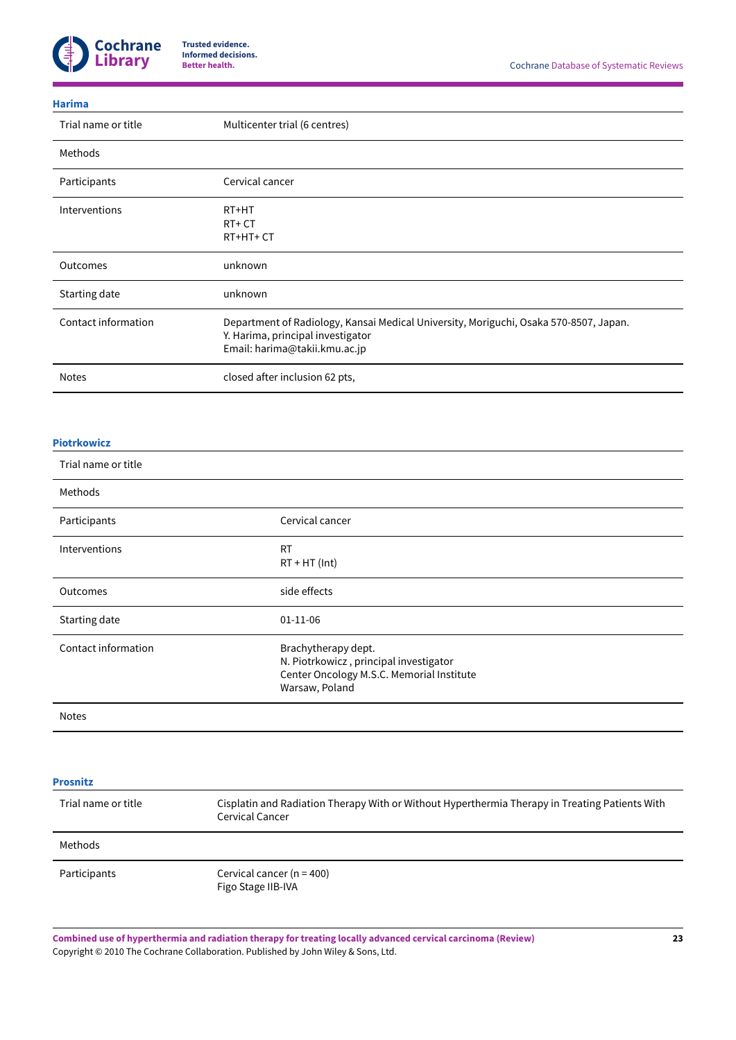

#### **[Harima](#page-15-15)**

| Trial name or title | Multicenter trial (6 centres)                                                                                                                               |
|---------------------|-------------------------------------------------------------------------------------------------------------------------------------------------------------|
| Methods             |                                                                                                                                                             |
| Participants        | Cervical cancer                                                                                                                                             |
| Interventions       | RT+HT<br>$RT+CT$<br>RT+HT+CT                                                                                                                                |
| Outcomes            | unknown                                                                                                                                                     |
| Starting date       | unknown                                                                                                                                                     |
| Contact information | Department of Radiology, Kansai Medical University, Moriguchi, Osaka 570-8507, Japan.<br>Y. Harima, principal investigator<br>Email: harima@takii.kmu.ac.jp |
| <b>Notes</b>        | closed after inclusion 62 pts,                                                                                                                              |

#### **[Piotrkowicz](#page-15-16)**

| Trial name or title |                                                                                                                              |
|---------------------|------------------------------------------------------------------------------------------------------------------------------|
| Methods             |                                                                                                                              |
| Participants        | Cervical cancer                                                                                                              |
| Interventions       | <b>RT</b><br>$RT + HT$ (Int)                                                                                                 |
| Outcomes            | side effects                                                                                                                 |
| Starting date       | $01-11-06$                                                                                                                   |
| Contact information | Brachytherapy dept.<br>N. Piotrkowicz, principal investigator<br>Center Oncology M.S.C. Memorial Institute<br>Warsaw, Poland |
| <b>Notes</b>        |                                                                                                                              |

| <b>Prosnitz</b>     |                                                                                                                   |
|---------------------|-------------------------------------------------------------------------------------------------------------------|
| Trial name or title | Cisplatin and Radiation Therapy With or Without Hyperthermia Therapy in Treating Patients With<br>Cervical Cancer |
| Methods             |                                                                                                                   |
| Participants        | Cervical cancer ( $n = 400$ )<br>Figo Stage IIB-IVA                                                               |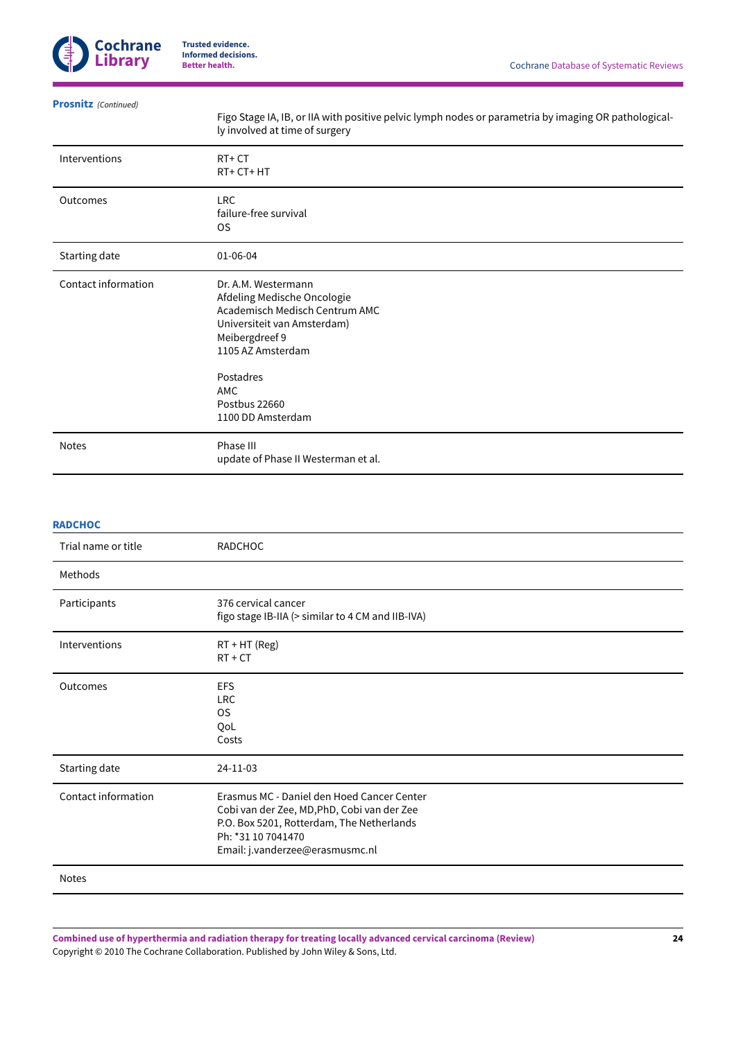

**[Prosnitz](#page-15-17)**  *(Continued)*

Figo Stage IA, IB, or IIA with positive pelvic lymph nodes or parametria by imaging OR pathologically involved at time of surgery

| Interventions       | $RT+CT$<br>RT+CT+HT                                                                                                                                                                                                         |
|---------------------|-----------------------------------------------------------------------------------------------------------------------------------------------------------------------------------------------------------------------------|
| Outcomes            | <b>LRC</b><br>failure-free survival<br>OS.                                                                                                                                                                                  |
| Starting date       | 01-06-04                                                                                                                                                                                                                    |
| Contact information | Dr. A.M. Westermann<br>Afdeling Medische Oncologie<br>Academisch Medisch Centrum AMC<br>Universiteit van Amsterdam)<br>Meibergdreef 9<br>1105 AZ Amsterdam<br>Postadres<br><b>AMC</b><br>Postbus 22660<br>1100 DD Amsterdam |
| <b>Notes</b>        | Phase III                                                                                                                                                                                                                   |
|                     | update of Phase II Westerman et al.                                                                                                                                                                                         |

### **[RADCHOC](#page-15-18)**

| Trial name or title | RADCHOC                                                                                                                                                                                         |
|---------------------|-------------------------------------------------------------------------------------------------------------------------------------------------------------------------------------------------|
| Methods             |                                                                                                                                                                                                 |
| Participants        | 376 cervical cancer<br>figo stage IB-IIA (> similar to 4 CM and IIB-IVA)                                                                                                                        |
| Interventions       | $RT + HT$ (Reg)<br>$RT + CT$                                                                                                                                                                    |
| Outcomes            | <b>EFS</b><br><b>LRC</b><br>OS.<br>QoL<br>Costs                                                                                                                                                 |
| Starting date       | 24-11-03                                                                                                                                                                                        |
| Contact information | Erasmus MC - Daniel den Hoed Cancer Center<br>Cobi van der Zee, MD, PhD, Cobi van der Zee<br>P.O. Box 5201, Rotterdam, The Netherlands<br>Ph: *31 10 7041470<br>Email: j.vanderzee@erasmusmc.nl |
| <b>Notes</b>        |                                                                                                                                                                                                 |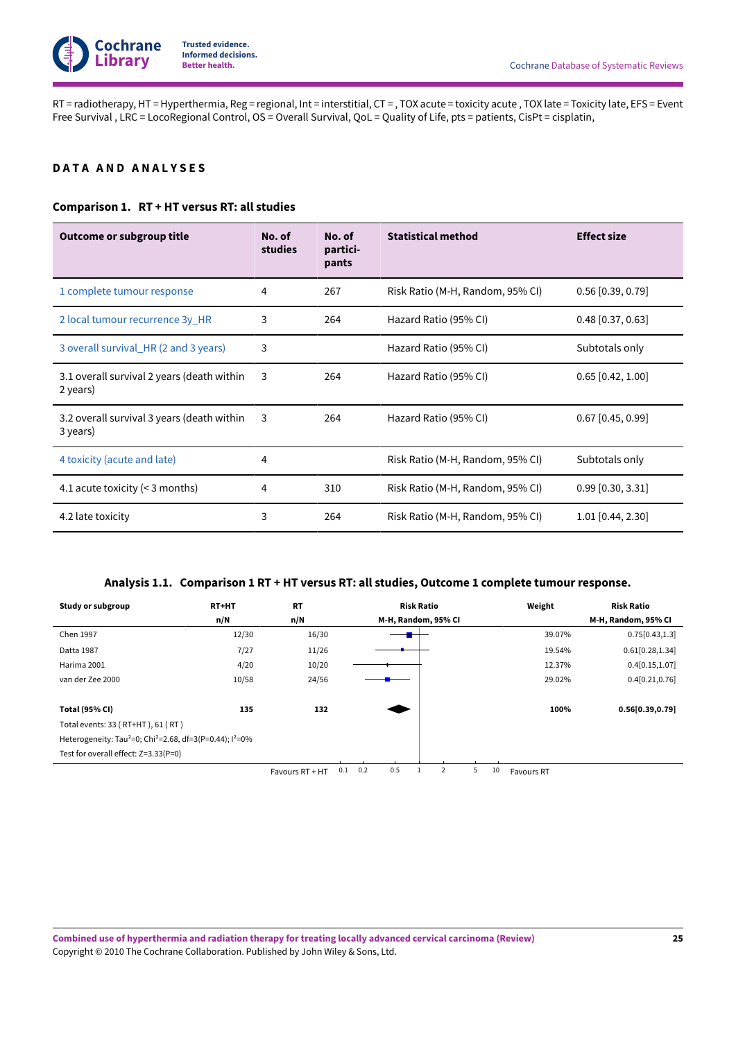RT = radiotherapy, HT = Hyperthermia, Reg = regional, Int = interstitial, CT = , TOX acute = toxicity acute , TOX late = Toxicity late, EFS = Event Free Survival , LRC = LocoRegional Control, OS = Overall Survival, QoL = Quality of Life, pts = patients, CisPt = cisplatin,

# <span id="page-27-0"></span>**D A T A A N D A N A L Y S E S**

## **Comparison 1. RT+ HTversus RT: all studies**

| Outcome or subgroup title                              | No. of<br>studies | No. of<br>partici-<br>pants | <b>Statistical method</b>        | <b>Effect size</b>    |
|--------------------------------------------------------|-------------------|-----------------------------|----------------------------------|-----------------------|
| 1 complete tumour response                             | 4                 | 267                         | Risk Ratio (M-H, Random, 95% CI) | $0.56$ [0.39, 0.79]   |
| 2 local tumour recurrence 3y_HR                        | 3                 | 264                         | Hazard Ratio (95% CI)            | $0.48$ [0.37, 0.63]   |
| 3 overall survival HR (2 and 3 years)                  | 3                 |                             | Hazard Ratio (95% CI)            | Subtotals only        |
| 3.1 overall survival 2 years (death within<br>2 years) | 3                 | 264                         | Hazard Ratio (95% CI)            | $0.65$ [0.42, 1.00]   |
| 3.2 overall survival 3 years (death within<br>3 years) | 3                 | 264                         | Hazard Ratio (95% CI)            | $0.67$ [0.45, 0.99]   |
| 4 toxicity (acute and late)                            | 4                 |                             | Risk Ratio (M-H, Random, 95% CI) | Subtotals only        |
| 4.1 acute toxicity $(< 3$ months)                      | 4                 | 310                         | Risk Ratio (M-H, Random, 95% CI) | $0.99$ $[0.30, 3.31]$ |
| 4.2 late toxicity                                      | 3                 | 264                         | Risk Ratio (M-H, Random, 95% CI) | $1.01$ [0.44, 2.30]   |

## **Analysis 1.1. Comparison 1 RT+ HTversus RT: all studies, Outcome 1 complete tumour response.**

<span id="page-27-1"></span>

| Study or subgroup                                                                   | <b>RT+HT</b> | <b>RT</b>       |     | <b>Risk Ratio</b> |     |  |                     |   |    | Weight            | <b>Risk Ratio</b>   |
|-------------------------------------------------------------------------------------|--------------|-----------------|-----|-------------------|-----|--|---------------------|---|----|-------------------|---------------------|
|                                                                                     | n/N          | n/N             |     |                   |     |  | M-H, Random, 95% CI |   |    |                   | M-H, Random, 95% CI |
| Chen 1997                                                                           | 12/30        | 16/30           |     |                   |     |  |                     |   |    | 39.07%            | 0.75[0.43, 1.3]     |
| Datta 1987                                                                          | 7/27         | 11/26           |     |                   |     |  |                     |   |    | 19.54%            | 0.61[0.28, 1.34]    |
| Harima 2001                                                                         | 4/20         | 10/20           |     |                   |     |  |                     |   |    | 12.37%            | 0.4[0.15, 1.07]     |
| van der Zee 2000                                                                    | 10/58        | 24/56           |     |                   |     |  |                     |   |    | 29.02%            | 0.4[0.21, 0.76]     |
|                                                                                     |              |                 |     |                   |     |  |                     |   |    |                   |                     |
| <b>Total (95% CI)</b>                                                               | 135          | 132             |     |                   |     |  |                     |   |    | 100%              | 0.56[0.39, 0.79]    |
| Total events: 33 (RT+HT), 61 (RT)                                                   |              |                 |     |                   |     |  |                     |   |    |                   |                     |
| Heterogeneity: Tau <sup>2</sup> =0; Chi <sup>2</sup> =2.68, df=3(P=0.44); $1^2$ =0% |              |                 |     |                   |     |  |                     |   |    |                   |                     |
| Test for overall effect: Z=3.33(P=0)                                                |              |                 |     |                   |     |  |                     |   |    |                   |                     |
|                                                                                     |              | Favours RT + HT | 0.1 | 0.2               | 0.5 |  |                     | 5 | 10 | <b>Favours RT</b> |                     |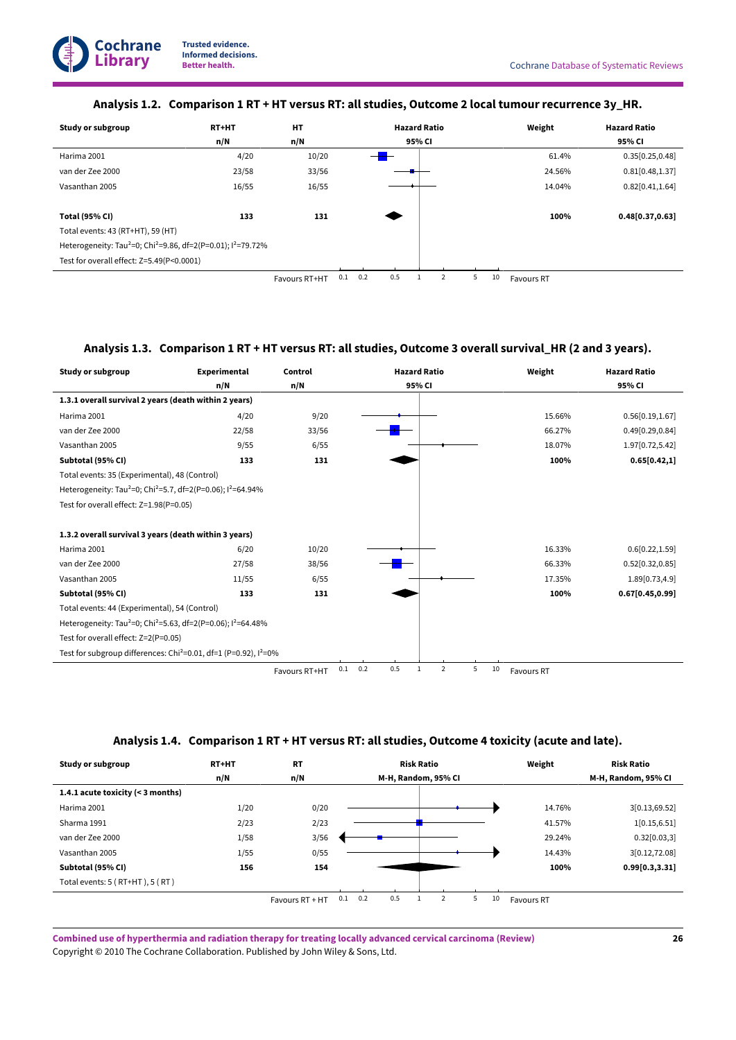# **Analysis 1.2. Comparison 1 RT+ HTversus RT: all studies, Outcome 2 local tumour recurrence 3y\_HR.**

<span id="page-28-0"></span>

| Study or subgroup                                                                                | RT+HT | <b>HT</b>     |     |     |     | <b>Hazard Ratio</b> |   |   |    | Weight            | <b>Hazard Ratio</b> |
|--------------------------------------------------------------------------------------------------|-------|---------------|-----|-----|-----|---------------------|---|---|----|-------------------|---------------------|
|                                                                                                  | n/N   | n/N           |     |     |     | 95% CI              |   |   |    |                   | 95% CI              |
| Harima 2001                                                                                      | 4/20  | 10/20         |     |     | $+$ |                     |   |   |    | 61.4%             | 0.35[0.25, 0.48]    |
| van der Zee 2000                                                                                 | 23/58 | 33/56         |     |     |     |                     |   |   |    | 24.56%            | 0.81[0.48, 1.37]    |
| Vasanthan 2005                                                                                   | 16/55 | 16/55         |     |     |     |                     |   |   |    | 14.04%            | 0.82[0.41, 1.64]    |
|                                                                                                  |       |               |     |     |     |                     |   |   |    |                   |                     |
| <b>Total (95% CI)</b>                                                                            | 133   | 131           |     |     |     |                     |   |   |    | 100%              | 0.48[0.37, 0.63]    |
| Total events: 43 (RT+HT), 59 (HT)                                                                |       |               |     |     |     |                     |   |   |    |                   |                     |
| Heterogeneity: Tau <sup>2</sup> =0; Chi <sup>2</sup> =9.86, df=2(P=0.01); l <sup>2</sup> =79.72% |       |               |     |     |     |                     |   |   |    |                   |                     |
| Test for overall effect: Z=5.49(P<0.0001)                                                        |       |               |     |     |     |                     |   |   |    |                   |                     |
|                                                                                                  |       | Favours RT+HT | 0.1 | 0.2 | 0.5 |                     | 2 | 5 | 10 | <b>Favours RT</b> |                     |

# **Analysis 1.3. Comparison 1 RT+ HTversus RT: all studies, Outcome 3 overall survival\_HR (2 and 3 years).**

<span id="page-28-1"></span>

| <b>Study or subgroup</b>                                                                         | <b>Experimental</b> | Control       | <b>Hazard Ratio</b>               |                           | Weight     | <b>Hazard Ratio</b> |
|--------------------------------------------------------------------------------------------------|---------------------|---------------|-----------------------------------|---------------------------|------------|---------------------|
|                                                                                                  | n/N                 | n/N           | 95% CI                            |                           |            | 95% CI              |
| 1.3.1 overall survival 2 years (death within 2 years)                                            |                     |               |                                   |                           |            |                     |
| Harima 2001                                                                                      | 4/20                | 9/20          |                                   |                           | 15.66%     | 0.56[0.19, 1.67]    |
| van der Zee 2000                                                                                 | 22/58               | 33/56         |                                   |                           | 66.27%     | 0.49[0.29, 0.84]    |
| Vasanthan 2005                                                                                   | 9/55                | 6/55          |                                   |                           | 18.07%     | 1.97[0.72,5.42]     |
| Subtotal (95% CI)                                                                                | 133                 | 131           |                                   |                           | 100%       | 0.65[0.42,1]        |
| Total events: 35 (Experimental), 48 (Control)                                                    |                     |               |                                   |                           |            |                     |
| Heterogeneity: Tau <sup>2</sup> =0; Chi <sup>2</sup> =5.7, df=2(P=0.06); l <sup>2</sup> =64.94%  |                     |               |                                   |                           |            |                     |
| Test for overall effect: Z=1.98(P=0.05)                                                          |                     |               |                                   |                           |            |                     |
|                                                                                                  |                     |               |                                   |                           |            |                     |
| 1.3.2 overall survival 3 years (death within 3 years)                                            |                     |               |                                   |                           |            |                     |
| Harima 2001                                                                                      | 6/20                | 10/20         |                                   |                           | 16.33%     | 0.6[0.22, 1.59]     |
| van der Zee 2000                                                                                 | 27/58               | 38/56         |                                   |                           | 66.33%     | 0.52[0.32, 0.85]    |
| Vasanthan 2005                                                                                   | 11/55               | 6/55          |                                   |                           | 17.35%     | 1.89[0.73,4.9]      |
| Subtotal (95% CI)                                                                                | 133                 | 131           |                                   |                           | 100%       | 0.67[0.45, 0.99]    |
| Total events: 44 (Experimental), 54 (Control)                                                    |                     |               |                                   |                           |            |                     |
| Heterogeneity: Tau <sup>2</sup> =0; Chi <sup>2</sup> =5.63, df=2(P=0.06); l <sup>2</sup> =64.48% |                     |               |                                   |                           |            |                     |
| Test for overall effect: Z=2(P=0.05)                                                             |                     |               |                                   |                           |            |                     |
| Test for subgroup differences: Chi <sup>2</sup> =0.01, df=1 (P=0.92), $1^2$ =0%                  |                     |               |                                   |                           |            |                     |
|                                                                                                  |                     | Favours RT+HT | 0.5<br>0.2<br>0.1<br>$\mathbf{1}$ | $\overline{2}$<br>5<br>10 | Favours RT |                     |

# **Analysis 1.4. Comparison 1 RT+ HTversus RT: all studies, Outcome 4 toxicity (acute and late).**

<span id="page-28-2"></span>

| Study or subgroup                   | RT+HT | <b>RT</b>       |     |     |     | <b>Risk Ratio</b> |                     |   |    | Weight     | <b>Risk Ratio</b>   |
|-------------------------------------|-------|-----------------|-----|-----|-----|-------------------|---------------------|---|----|------------|---------------------|
|                                     | n/N   | n/N             |     |     |     |                   | M-H, Random, 95% CI |   |    |            | M-H, Random, 95% CI |
| 1.4.1 acute toxicity (< 3 months)   |       |                 |     |     |     |                   |                     |   |    |            |                     |
| Harima 2001                         | 1/20  | 0/20            |     |     |     |                   |                     |   |    | 14.76%     | 3[0.13,69.52]       |
| Sharma 1991                         | 2/23  | 2/23            |     |     |     |                   |                     |   |    | 41.57%     | 1[0.15, 6.51]       |
| van der Zee 2000                    | 1/58  | 3/56            |     |     |     |                   |                     |   |    | 29.24%     | 0.32[0.03,3]        |
| Vasanthan 2005                      | 1/55  | 0/55            |     |     |     |                   |                     |   |    | 14.43%     | 3[0.12,72.08]       |
| Subtotal (95% CI)                   | 156   | 154             |     |     |     |                   |                     |   |    | 100%       | 0.99[0.3, 3.31]     |
| Total events: $5$ (RT+HT), $5$ (RT) |       |                 |     |     |     |                   |                     |   |    |            |                     |
|                                     |       | Favours RT + HT | 0.1 | 0.2 | 0.5 |                   |                     | 5 | 10 | Favours RT |                     |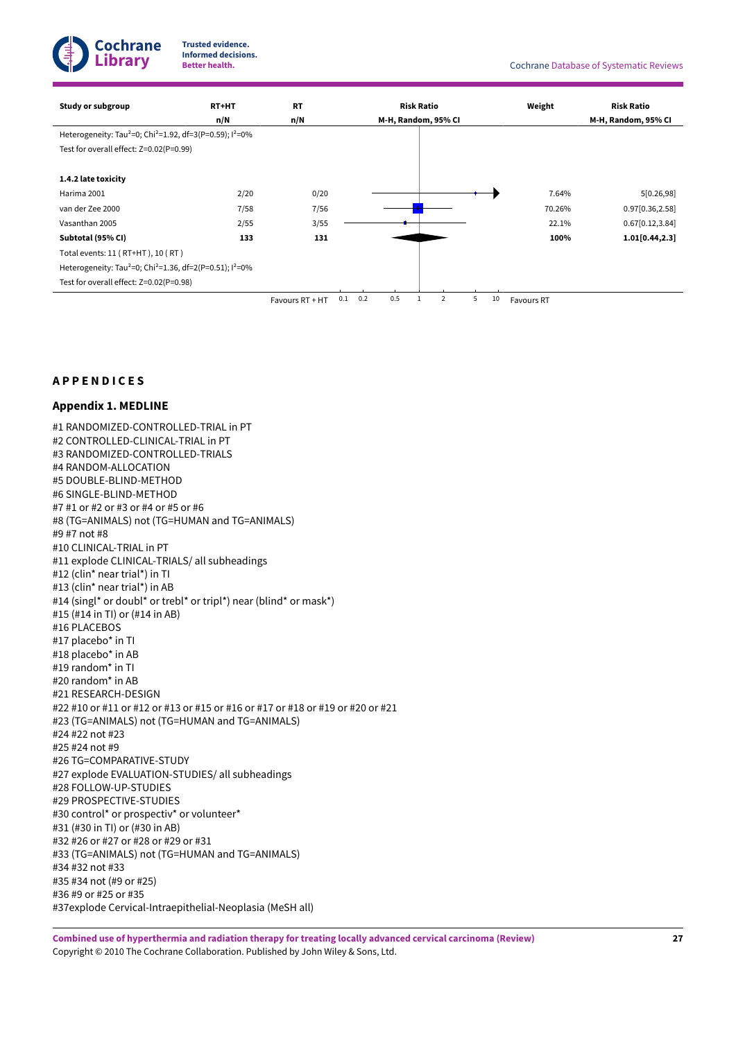**Cochrane Library**

**Trusted evidence. Informed decisions.**

| <b>Study or subgroup</b>                                                                     | <b>RT+HT</b> | <b>RT</b>       |     |     |                     | <b>Risk Ratio</b> |   |   |    | Weight     | <b>Risk Ratio</b>   |
|----------------------------------------------------------------------------------------------|--------------|-----------------|-----|-----|---------------------|-------------------|---|---|----|------------|---------------------|
|                                                                                              | n/N          | n/N             |     |     | M-H, Random, 95% CI |                   |   |   |    |            | M-H, Random, 95% CI |
| Heterogeneity: Tau <sup>2</sup> =0; Chi <sup>2</sup> =1.92, df=3(P=0.59); l <sup>2</sup> =0% |              |                 |     |     |                     |                   |   |   |    |            |                     |
| Test for overall effect: Z=0.02(P=0.99)                                                      |              |                 |     |     |                     |                   |   |   |    |            |                     |
|                                                                                              |              |                 |     |     |                     |                   |   |   |    |            |                     |
| 1.4.2 late toxicity                                                                          |              |                 |     |     |                     |                   |   |   |    |            |                     |
| Harima 2001                                                                                  | 2/20         | 0/20            |     |     |                     |                   |   |   |    | 7.64%      | 5[0.26, 98]         |
| van der Zee 2000                                                                             | 7/58         | 7/56            |     |     |                     |                   |   |   |    | 70.26%     | 0.97[0.36,2.58]     |
| Vasanthan 2005                                                                               | 2/55         | 3/55            |     |     |                     |                   |   |   |    | 22.1%      | 0.67[0.12, 3.84]    |
| Subtotal (95% CI)                                                                            | 133          | 131             |     |     |                     |                   |   |   |    | 100%       | 1.01[0.44, 2.3]     |
| Total events: 11 (RT+HT), 10 (RT)                                                            |              |                 |     |     |                     |                   |   |   |    |            |                     |
| Heterogeneity: Tau <sup>2</sup> =0; Chi <sup>2</sup> =1.36, df=2(P=0.51); l <sup>2</sup> =0% |              |                 |     |     |                     |                   |   |   |    |            |                     |
| Test for overall effect: Z=0.02(P=0.98)                                                      |              |                 |     |     |                     |                   |   |   |    |            |                     |
|                                                                                              |              | Favours RT + HT | 0.1 | 0.2 | 0.5                 |                   | 2 | 5 | 10 | Favours RT |                     |

### <span id="page-29-0"></span>**A P P E N D I C E S**

### <span id="page-29-1"></span>**Appendix 1. MEDLINE**

#1 RANDOMIZED-CONTROLLED-TRIAL in PT #2 CONTROLLED-CLINICAL-TRIAL in PT #3 RANDOMIZED-CONTROLLED-TRIALS #4 RANDOM-ALLOCATION #5 DOUBLE-BLIND-METHOD #6 SINGLE-BLIND-METHOD #7 #1 or #2 or #3 or #4 or #5 or #6 #8 (TG=ANIMALS) not (TG=HUMAN and TG=ANIMALS) #9 #7 not #8 #10 CLINICAL-TRIAL in PT #11 explode CLINICAL-TRIALS/ all subheadings #12 (clin\* near trial\*) in TI #13 (clin\* near trial\*) in AB #14 (singl\* or doubl\* or trebl\* or tripl\*) near (blind\* or mask\*) #15 (#14 in TI) or (#14 in AB) #16 PLACEBOS #17 placebo\* in TI #18 placebo\* in AB #19 random\* in TI #20 random\* in AB #21 RESEARCH-DESIGN #22 #10 or #11 or #12 or #13 or #15 or #16 or #17 or #18 or #19 or #20 or #21 #23 (TG=ANIMALS) not (TG=HUMAN and TG=ANIMALS) #24 #22 not #23 #25 #24 not #9 #26 TG=COMPARATIVE-STUDY #27 explode EVALUATION-STUDIES/ all subheadings #28 FOLLOW-UP-STUDIES #29 PROSPECTIVE-STUDIES #30 control\* or prospectiv\* or volunteer\* #31 (#30 in TI) or (#30 in AB) #32 #26 or #27 or #28 or #29 or #31 #33 (TG=ANIMALS) not (TG=HUMAN and TG=ANIMALS) #34 #32 not #33 #35 #34 not (#9 or #25) #36 #9 or #25 or #35 #37explode Cervical-Intraepithelial-Neoplasia (MeSH all)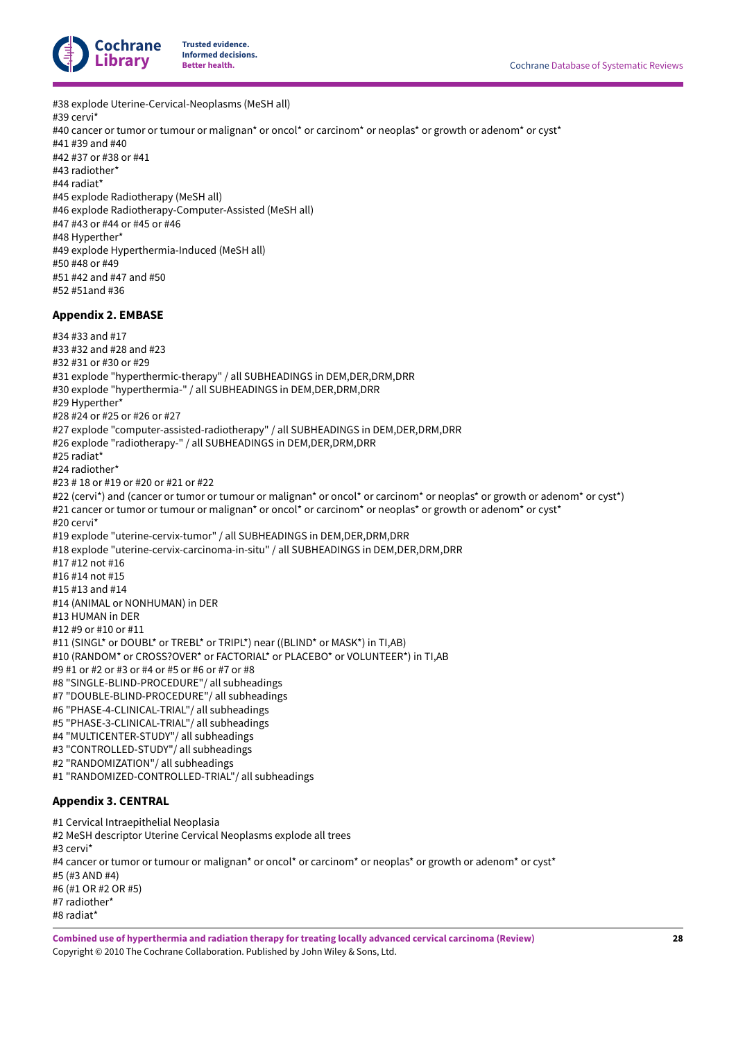

#38 explode Uterine-Cervical-Neoplasms (MeSH all) #39 cervi\* #40 cancer or tumor or tumour or malignan\* or oncol\* or carcinom\* or neoplas\* or growth or adenom\* or cyst\* #41 #39 and #40 #42 #37 or #38 or #41 #43 radiother\* #44 radiat\* #45 explode Radiotherapy (MeSH all) #46 explode Radiotherapy-Computer-Assisted (MeSH all) #47 #43 or #44 or #45 or #46 #48 Hyperther\* #49 explode Hyperthermia-Induced (MeSH all) #50 #48 or #49 #51 #42 and #47 and #50 #52 #51and #36 **Appendix 2. EMBASE** #34 #33 and #17 #33 #32 and #28 and #23 #32 #31 or #30 or #29 #31 explode "hyperthermic-therapy" / all SUBHEADINGS in DEM,DER,DRM,DRR #30 explode "hyperthermia-" / all SUBHEADINGS in DEM,DER,DRM,DRR #29 Hyperther\*

- <span id="page-30-0"></span>#28 #24 or #25 or #26 or #27
- #27 explode "computer-assisted-radiotherapy" / all SUBHEADINGS in DEM,DER,DRM,DRR
- #26 explode "radiotherapy-" / all SUBHEADINGS in DEM,DER,DRM,DRR
- #25 radiat\*
- #24 radiother\*
- #23 # 18 or #19 or #20 or #21 or #22
- #22 (cervi\*) and (cancer or tumor or tumour or malignan\* or oncol\* or carcinom\* or neoplas\* or growth or adenom\* or cyst\*) #21 cancer or tumor or tumour or malignan\* or oncol\* or carcinom\* or neoplas\* or growth or adenom\* or cyst\* #20 cervi\*
- #19 explode "uterine-cervix-tumor" / all SUBHEADINGS in DEM,DER,DRM,DRR
- #18 explode "uterine-cervix-carcinoma-in-situ" / all SUBHEADINGS in DEM,DER,DRM,DRR
- #17 #12 not #16
- #16 #14 not #15
- #15 #13 and #14
- #14 (ANIMAL or NONHUMAN) in DER
- #13 HUMAN in DER
- #12 #9 or #10 or #11
- #11 (SINGL\* or DOUBL\* or TREBL\* or TRIPL\*) near ((BLIND\* or MASK\*) in TI,AB)
- #10 (RANDOM\* or CROSS?OVER\* or FACTORIAL\* or PLACEBO\* or VOLUNTEER\*) in TI,AB
- #9 #1 or #2 or #3 or #4 or #5 or #6 or #7 or #8
- #8 "SINGLE-BLIND-PROCEDURE"/ all subheadings
- #7 "DOUBLE-BLIND-PROCEDURE"/ all subheadings
- #6 "PHASE-4-CLINICAL-TRIAL"/ all subheadings
- #5 "PHASE-3-CLINICAL-TRIAL"/ all subheadings
- #4 "MULTICENTER-STUDY"/ all subheadings
- #3 "CONTROLLED-STUDY"/ all subheadings
- #2 "RANDOMIZATION"/ all subheadings
- #1 "RANDOMIZED-CONTROLLED-TRIAL"/ all subheadings

# <span id="page-30-1"></span>**Appendix 3. CENTRAL**

- #1 Cervical Intraepithelial Neoplasia
- #2 MeSH descriptor Uterine Cervical Neoplasms explode all trees
- #3 cervi\*
- #4 cancer or tumor or tumour or malignan\* or oncol\* or carcinom\* or neoplas\* or growth or adenom\* or cyst\*
- #5 (#3 AND #4)
- #6 (#1 OR #2 OR #5)
- #7 radiother\*
- #8 radiat\*

**Combined use of hyperthermia and radiation therapy for treating locally advanced cervical carcinoma (Review)** Copyright © 2010 The Cochrane Collaboration. Published by John Wiley & Sons, Ltd.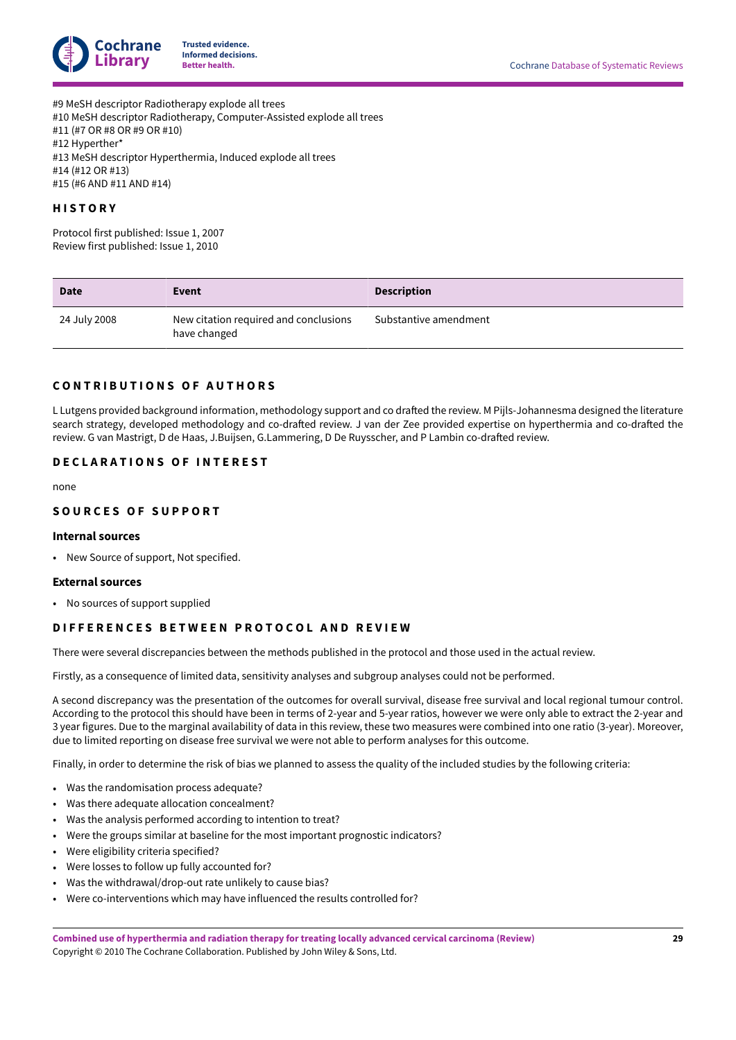

#9 MeSH descriptor Radiotherapy explode all trees #10 MeSH descriptor Radiotherapy, Computer-Assisted explode all trees #11 (#7 OR #8 OR #9 OR #10) #12 Hyperther\* #13 MeSH descriptor Hyperthermia, Induced explode all trees #14 (#12 OR #13) #15 (#6 AND #11 AND #14)

# <span id="page-31-0"></span>**H I S T O R Y**

Protocol first published: Issue 1, 2007 Review first published: Issue 1, 2010

| <b>Date</b>  | Event                                                 | <b>Description</b>    |
|--------------|-------------------------------------------------------|-----------------------|
| 24 July 2008 | New citation required and conclusions<br>have changed | Substantive amendment |

### <span id="page-31-1"></span>**C O N T R I B U T I O N S O F A U T H O R S**

L Lutgens provided background information, methodology support and co drafted the review. M Pijls-Johannesma designed the literature search strategy, developed methodology and co-drafted review. J van der Zee provided expertise on hyperthermia and co-drafted the review. G van Mastrigt, D de Haas, J.Buijsen, G.Lammering, D De Ruysscher, and P Lambin co-drafted review.

### <span id="page-31-2"></span>**D E C L A R A T I O N S O F I N T E R E S T**

none

### <span id="page-31-3"></span>**S O U R C E S O F S U P P O R T**

#### **Internal sources**

• New Source of support, Not specified.

#### **External sources**

• No sources of support supplied

### <span id="page-31-4"></span>**DIFFERENCES BETWEEN PROTOCOL AND REVIEW**

There were several discrepancies between the methods published in the protocol and those used in the actual review.

Firstly, as a consequence of limited data, sensitivity analyses and subgroup analyses could not be performed.

A second discrepancy was the presentation of the outcomes for overall survival, disease free survival and local regional tumour control. According to the protocol this should have been in terms of 2-year and 5-year ratios, however we were only able to extract the 2-year and 3 year figures. Due to the marginal availability of data in this review, these two measures were combined into one ratio (3-year). Moreover, due to limited reporting on disease free survival we were not able to perform analyses for this outcome.

Finally, in order to determine the risk of bias we planned to assess the quality of the included studies by the following criteria:

- Was the randomisation process adequate?
- Was there adequate allocation concealment?
- Was the analysis performed according to intention to treat?
- Were the groups similar at baseline for the most important prognostic indicators?
- Were eligibility criteria specified?
- Were losses to follow up fully accounted for?
- Was the withdrawal/drop-out rate unlikely to cause bias?
- Were co-interventions which may have influenced the results controlled for?

**Combined use of hyperthermia and radiation therapy for treating locally advanced cervical carcinoma (Review)** Copyright © 2010 The Cochrane Collaboration. Published by John Wiley & Sons, Ltd.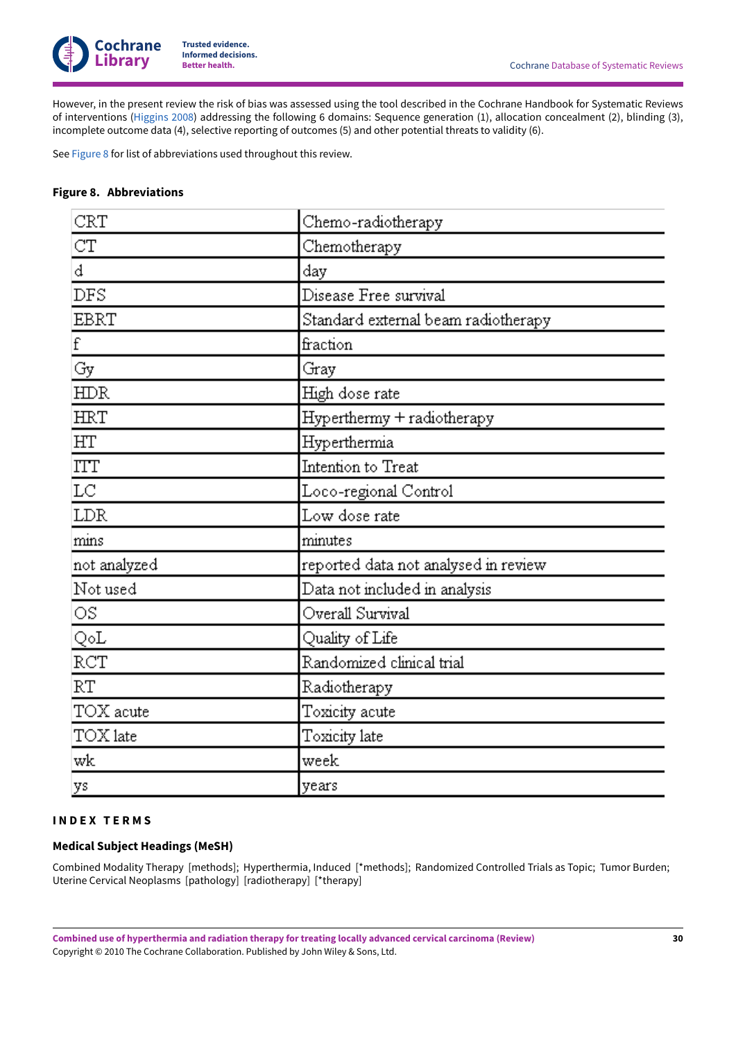

However, in the present review the risk of bias was assessed using the tool described in the Cochrane Handbook for Systematic Reviews of interventions [\(Higgins 2008\)](#page-16-12) addressing the following 6 domains: Sequence generation (1), allocation concealment (2), blinding (3), incomplete outcome data (4), selective reporting of outcomes (5) and other potential threats to validity (6).

See [Figure](#page-32-0) 8 for list of abbreviations used throughout this review.

## <span id="page-32-0"></span>**Figure 8. Abbreviations**

| CRT          | Chemo-radiotherapy                   |
|--------------|--------------------------------------|
| CT           | Chemotherapy                         |
| đ            | day                                  |
| DFS          | Disease Free survival                |
| <b>EBRT</b>  | Standard external beam radiotherapy  |
| f            | fraction                             |
| Gy           | Gray                                 |
| <b>HDR</b>   | High dose rate                       |
| <b>HRT</b>   | Hyperthermy + radiotherapy           |
| HT           | Hyperthermia                         |
| ITT          | Intention to Treat                   |
| LC           | Loco-regional Control                |
| <b>LDR</b>   | Low dose rate                        |
| mins         | minutes                              |
| not analyzed | reported data not analysed in review |
| Not used     | Data not included in analysis        |
| OS.          | Overall Survival                     |
| QoL          | Quality of Life                      |
| RCT          | Randomized clinical trial            |
| RT           | Radiotherapy                         |
| TOX acute    | Toxicity acute                       |
| TOX late     | Toxicity late                        |
| wk           | week                                 |
| ys           | years                                |

### <span id="page-32-1"></span>**I N D E X T E R M S**

# **Medical Subject Headings (MeSH)**

Combined Modality Therapy [methods]; Hyperthermia, Induced [\*methods]; Randomized Controlled Trials as Topic; Tumor Burden; Uterine Cervical Neoplasms [pathology] [radiotherapy] [\*therapy]

**Combined use of hyperthermia and radiation therapy for treating locally advanced cervical carcinoma (Review)** Copyright © 2010 The Cochrane Collaboration. Published by John Wiley & Sons, Ltd.